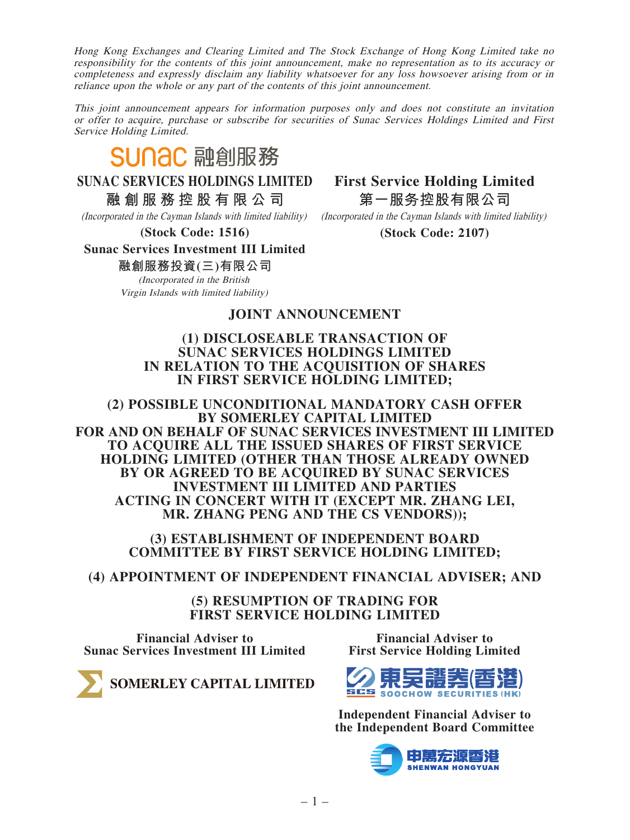Hong Kong Exchanges and Clearing Limited and The Stock Exchange of Hong Kong Limited take no responsibility for the contents of this joint announcement, make no representation as to its accuracy or completeness and expressly disclaim any liability whatsoever for any loss howsoever arising from or in reliance upon the whole or any part of the contents of this joint announcement.

This joint announcement appears for information purposes only and does not constitute an invitation or offer to acquire, purchase or subscribe for securities of Sunac Services Holdings Limited and First Service Holding Limited.

# **SUNAC 融創服務**

**SUNAC SERVICES HOLDINGS LIMITED**

**融創服務控股有限公司**

(Incorporated in the Cayman Islands with limited liability)

**(Stock Code: 1516)**

**First Service Holding Limited 第一服務控股有限公司**

(Incorporated in the Cayman Islands with limited liability)

**(Stock Code: 2107)**

# **Sunac Services Investment III Limited**

**融創服務投資(三)有限公司**

(Incorporated in the British Virgin Islands with limited liability)

## **JOINT ANNOUNCEMENT**

#### **(1) DISCLOSEABLE TRANSACTION OF SUNAC SERVICES HOLDINGS LIMITED IN RELATION TO THE ACQUISITION OF SHARES IN FIRST SERVICE HOLDING LIMITED;**

**(2) POSSIBLE UNCONDITIONAL MANDATORY CASH OFFER BY SOMERLEY CAPITAL LIMITED FOR AND ON BEHALF OF SUNAC SERVICES INVESTMENT III LIMITED TO ACQUIRE ALL THE ISSUED SHARES OF FIRST SERVICE HOLDING LIMITED (OTHER THAN THOSE ALREADY OWNED BY OR AGREED TO BE ACQUIRED BY SUNAC SERVICES INVESTMENT III LIMITED AND PARTIES ACTING IN CONCERT WITH IT (EXCEPT MR. ZHANG LEI, MR. ZHANG PENG AND THE CS VENDORS));**

#### **(3) ESTABLISHMENT OF INDEPENDENT BOARD COMMITTEE BY FIRST SERVICE HOLDING LIMITED;**

**(4) APPOINTMENT OF INDEPENDENT FINANCIAL ADVISER; AND**

**(5) RESUMPTION OF TRADING FOR FIRST SERVICE HOLDING LIMITED**

**Financial Adviser to Sunac Services Investment III Limited**

**Financial Adviser to First Service Holding Limited**



**Independent Financial Adviser to the Independent Board Committee**



SOMERLEY CAPITAL LIMITED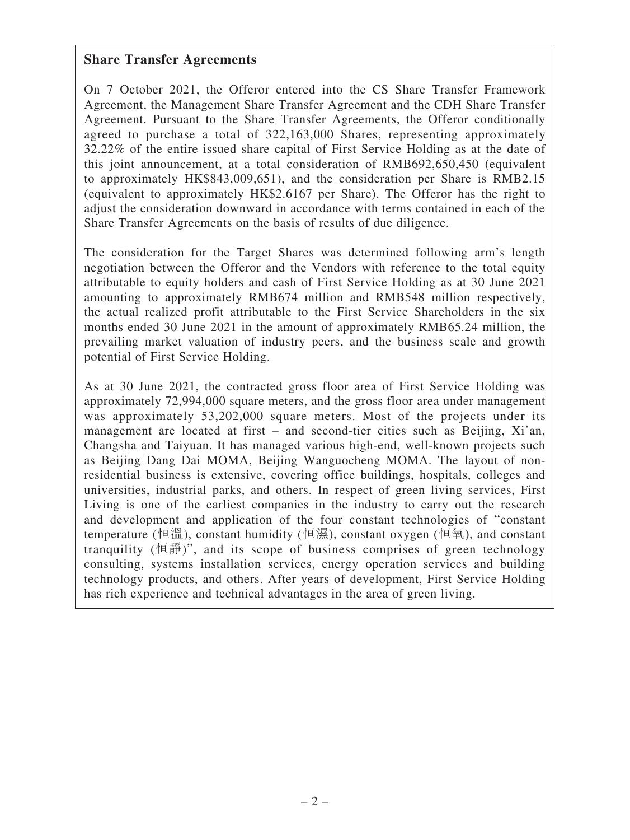#### **Share Transfer Agreements**

On 7 October 2021, the Offeror entered into the CS Share Transfer Framework Agreement, the Management Share Transfer Agreement and the CDH Share Transfer Agreement. Pursuant to the Share Transfer Agreements, the Offeror conditionally agreed to purchase a total of 322,163,000 Shares, representing approximately 32.22% of the entire issued share capital of First Service Holding as at the date of this joint announcement, at a total consideration of RMB692,650,450 (equivalent to approximately HK\$843,009,651), and the consideration per Share is RMB2.15 (equivalent to approximately HK\$2.6167 per Share). The Offeror has the right to adjust the consideration downward in accordance with terms contained in each of the Share Transfer Agreements on the basis of results of due diligence.

The consideration for the Target Shares was determined following arm's length negotiation between the Offeror and the Vendors with reference to the total equity attributable to equity holders and cash of First Service Holding as at 30 June 2021 amounting to approximately RMB674 million and RMB548 million respectively, the actual realized profit attributable to the First Service Shareholders in the six months ended 30 June 2021 in the amount of approximately RMB65.24 million, the prevailing market valuation of industry peers, and the business scale and growth potential of First Service Holding.

As at 30 June 2021, the contracted gross floor area of First Service Holding was approximately 72,994,000 square meters, and the gross floor area under management was approximately 53,202,000 square meters. Most of the projects under its management are located at first – and second-tier cities such as Beijing, Xi'an, Changsha and Taiyuan. It has managed various high-end, well-known projects such as Beijing Dang Dai MOMA, Beijing Wanguocheng MOMA. The layout of nonresidential business is extensive, covering office buildings, hospitals, colleges and universities, industrial parks, and others. In respect of green living services, First Living is one of the earliest companies in the industry to carry out the research and development and application of the four constant technologies of "constant temperature (恒溫), constant humidity (恒濕), constant oxygen (恒氧), and constant tranquility (恒靜)", and its scope of business comprises of green technology consulting, systems installation services, energy operation services and building technology products, and others. After years of development, First Service Holding has rich experience and technical advantages in the area of green living.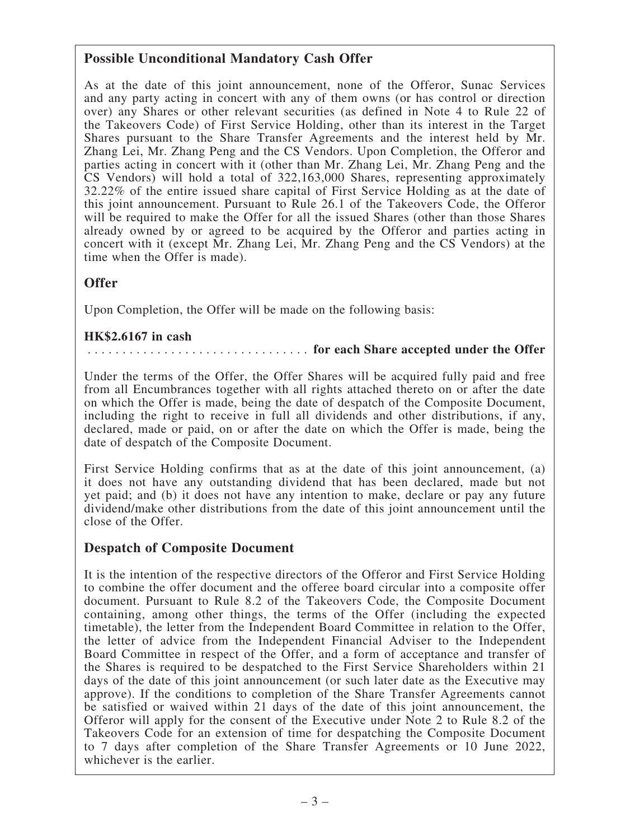# **Possible Unconditional Mandatory Cash Offer**

As at the date of this joint announcement, none of the Offeror, Sunac Services and any party acting in concert with any of them owns (or has control or direction over) any Shares or other relevant securities (as defined in Note 4 to Rule 22 of the Takeovers Code) of First Service Holding, other than its interest in the Target Shares pursuant to the Share Transfer Agreements and the interest held by Mr. Zhang Lei, Mr. Zhang Peng and the CS Vendors. Upon Completion, the Offeror and parties acting in concert with it (other than Mr. Zhang Lei, Mr. Zhang Peng and the CS Vendors) will hold a total of 322,163,000 Shares, representing approximately 32.22% of the entire issued share capital of First Service Holding as at the date of this joint announcement. Pursuant to Rule 26.1 of the Takeovers Code, the Offeror will be required to make the Offer for all the issued Shares (other than those Shares already owned by or agreed to be acquired by the Offeror and parties acting in concert with it (except Mr. Zhang Lei, Mr. Zhang Peng and the CS Vendors) at the time when the Offer is made).

## **Offer**

Upon Completion, the Offer will be made on the following basis:

#### **HK\$2.6167 in cash**

#### . . . . . . . . . . . . . . . . . . . . . . . . . . . . . . . . **for each Share accepted under the Offer**

Under the terms of the Offer, the Offer Shares will be acquired fully paid and free from all Encumbrances together with all rights attached thereto on or after the date on which the Offer is made, being the date of despatch of the Composite Document, including the right to receive in full all dividends and other distributions, if any, declared, made or paid, on or after the date on which the Offer is made, being the date of despatch of the Composite Document.

First Service Holding confirms that as at the date of this joint announcement, (a) it does not have any outstanding dividend that has been declared, made but not yet paid; and (b) it does not have any intention to make, declare or pay any future dividend/make other distributions from the date of this joint announcement until the close of the Offer.

#### **Despatch of Composite Document**

It is the intention of the respective directors of the Offeror and First Service Holding to combine the offer document and the offeree board circular into a composite offer document. Pursuant to Rule 8.2 of the Takeovers Code, the Composite Document containing, among other things, the terms of the Offer (including the expected timetable), the letter from the Independent Board Committee in relation to the Offer, the letter of advice from the Independent Financial Adviser to the Independent Board Committee in respect of the Offer, and a form of acceptance and transfer of the Shares is required to be despatched to the First Service Shareholders within 21 days of the date of this joint announcement (or such later date as the Executive may approve). If the conditions to completion of the Share Transfer Agreements cannot be satisfied or waived within 21 days of the date of this joint announcement, the Offeror will apply for the consent of the Executive under Note 2 to Rule 8.2 of the Takeovers Code for an extension of time for despatching the Composite Document to 7 days after completion of the Share Transfer Agreements or 10 June 2022, whichever is the earlier.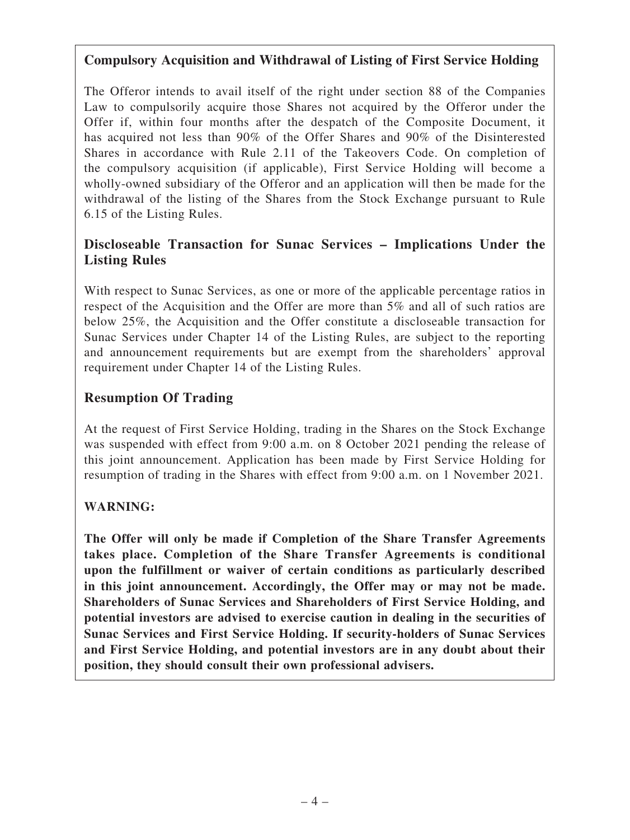# **Compulsory Acquisition and Withdrawal of Listing of First Service Holding**

The Offeror intends to avail itself of the right under section 88 of the Companies Law to compulsorily acquire those Shares not acquired by the Offeror under the Offer if, within four months after the despatch of the Composite Document, it has acquired not less than 90% of the Offer Shares and 90% of the Disinterested Shares in accordance with Rule 2.11 of the Takeovers Code. On completion of the compulsory acquisition (if applicable), First Service Holding will become a wholly-owned subsidiary of the Offeror and an application will then be made for the withdrawal of the listing of the Shares from the Stock Exchange pursuant to Rule 6.15 of the Listing Rules.

# **Discloseable Transaction for Sunac Services – Implications Under the Listing Rules**

With respect to Sunac Services, as one or more of the applicable percentage ratios in respect of the Acquisition and the Offer are more than 5% and all of such ratios are below 25%, the Acquisition and the Offer constitute a discloseable transaction for Sunac Services under Chapter 14 of the Listing Rules, are subject to the reporting and announcement requirements but are exempt from the shareholders' approval requirement under Chapter 14 of the Listing Rules.

# **Resumption Of Trading**

At the request of First Service Holding, trading in the Shares on the Stock Exchange was suspended with effect from 9:00 a.m. on 8 October 2021 pending the release of this joint announcement. Application has been made by First Service Holding for resumption of trading in the Shares with effect from 9:00 a.m. on 1 November 2021.

# **WARNING:**

**The Offer will only be made if Completion of the Share Transfer Agreements takes place. Completion of the Share Transfer Agreements is conditional upon the fulfillment or waiver of certain conditions as particularly described in this joint announcement. Accordingly, the Offer may or may not be made. Shareholders of Sunac Services and Shareholders of First Service Holding, and potential investors are advised to exercise caution in dealing in the securities of Sunac Services and First Service Holding. If security-holders of Sunac Services and First Service Holding, and potential investors are in any doubt about their position, they should consult their own professional advisers.**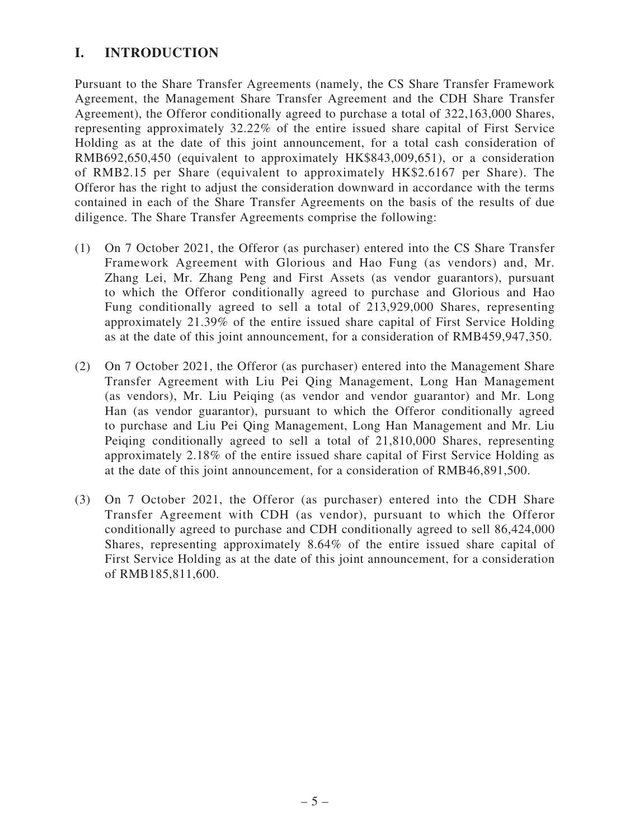# **I. INTRODUCTION**

Pursuant to the Share Transfer Agreements (namely, the CS Share Transfer Framework Agreement, the Management Share Transfer Agreement and the CDH Share Transfer Agreement), the Offeror conditionally agreed to purchase a total of 322,163,000 Shares, representing approximately 32.22% of the entire issued share capital of First Service Holding as at the date of this joint announcement, for a total cash consideration of RMB692,650,450 (equivalent to approximately HK\$843,009,651), or a consideration of RMB2.15 per Share (equivalent to approximately HK\$2.6167 per Share). The Offeror has the right to adjust the consideration downward in accordance with the terms contained in each of the Share Transfer Agreements on the basis of the results of due diligence. The Share Transfer Agreements comprise the following:

- (1) On 7 October 2021, the Offeror (as purchaser) entered into the CS Share Transfer Framework Agreement with Glorious and Hao Fung (as vendors) and, Mr. Zhang Lei, Mr. Zhang Peng and First Assets (as vendor guarantors), pursuant to which the Offeror conditionally agreed to purchase and Glorious and Hao Fung conditionally agreed to sell a total of 213,929,000 Shares, representing approximately 21.39% of the entire issued share capital of First Service Holding as at the date of this joint announcement, for a consideration of RMB459,947,350.
- (2) On 7 October 2021, the Offeror (as purchaser) entered into the Management Share Transfer Agreement with Liu Pei Qing Management, Long Han Management (as vendors), Mr. Liu Peiqing (as vendor and vendor guarantor) and Mr. Long Han (as vendor guarantor), pursuant to which the Offeror conditionally agreed to purchase and Liu Pei Qing Management, Long Han Management and Mr. Liu Peiqing conditionally agreed to sell a total of 21,810,000 Shares, representing approximately 2.18% of the entire issued share capital of First Service Holding as at the date of this joint announcement, for a consideration of RMB46,891,500.
- (3) On 7 October 2021, the Offeror (as purchaser) entered into the CDH Share Transfer Agreement with CDH (as vendor), pursuant to which the Offeror conditionally agreed to purchase and CDH conditionally agreed to sell 86,424,000 Shares, representing approximately 8.64% of the entire issued share capital of First Service Holding as at the date of this joint announcement, for a consideration of RMB185,811,600.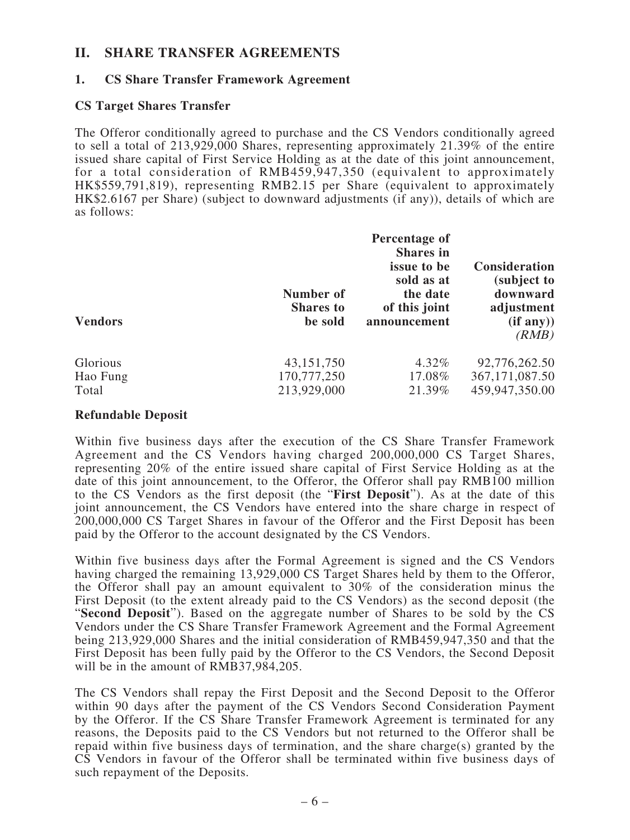#### **II. SHARE TRANSFER AGREEMENTS**

#### **1. CS Share Transfer Framework Agreement**

#### **CS Target Shares Transfer**

The Offeror conditionally agreed to purchase and the CS Vendors conditionally agreed to sell a total of 213,929,000 Shares, representing approximately 21.39% of the entire issued share capital of First Service Holding as at the date of this joint announcement, for a total consideration of RMB459,947,350 (equivalent to approximately HK\$559,791,819), representing RMB2.15 per Share (equivalent to approximately HK\$2.6167 per Share) (subject to downward adjustments (if any)), details of which are as follows:

| <b>Vendors</b> | Number of<br><b>Shares</b> to<br>be sold | Percentage of<br><b>Shares</b> in<br>issue to be<br>sold as at<br>the date<br>of this joint<br>announcement | <b>Consideration</b><br>(subject to<br>downward<br>adjustment<br>(if any))<br>(RMB) |
|----------------|------------------------------------------|-------------------------------------------------------------------------------------------------------------|-------------------------------------------------------------------------------------|
| Glorious       | 43,151,750                               | 4.32%                                                                                                       | 92,776,262.50                                                                       |
| Hao Fung       | 170,777,250                              | 17.08%                                                                                                      | 367, 171, 087.50                                                                    |
| Total          | 213,929,000                              | 21.39%                                                                                                      | 459,947,350.00                                                                      |

#### **Refundable Deposit**

Within five business days after the execution of the CS Share Transfer Framework Agreement and the CS Vendors having charged 200,000,000 CS Target Shares, representing 20% of the entire issued share capital of First Service Holding as at the date of this joint announcement, to the Offeror, the Offeror shall pay RMB100 million to the CS Vendors as the first deposit (the "**First Deposit**"). As at the date of this joint announcement, the CS Vendors have entered into the share charge in respect of 200,000,000 CS Target Shares in favour of the Offeror and the First Deposit has been paid by the Offeror to the account designated by the CS Vendors.

Within five business days after the Formal Agreement is signed and the CS Vendors having charged the remaining 13,929,000 CS Target Shares held by them to the Offeror, the Offeror shall pay an amount equivalent to 30% of the consideration minus the First Deposit (to the extent already paid to the CS Vendors) as the second deposit (the "**Second Deposit**"). Based on the aggregate number of Shares to be sold by the CS Vendors under the CS Share Transfer Framework Agreement and the Formal Agreement being 213,929,000 Shares and the initial consideration of RMB459,947,350 and that the First Deposit has been fully paid by the Offeror to the CS Vendors, the Second Deposit will be in the amount of RMB37,984,205.

The CS Vendors shall repay the First Deposit and the Second Deposit to the Offeror within 90 days after the payment of the CS Vendors Second Consideration Payment by the Offeror. If the CS Share Transfer Framework Agreement is terminated for any reasons, the Deposits paid to the CS Vendors but not returned to the Offeror shall be repaid within five business days of termination, and the share charge(s) granted by the CS Vendors in favour of the Offeror shall be terminated within five business days of such repayment of the Deposits.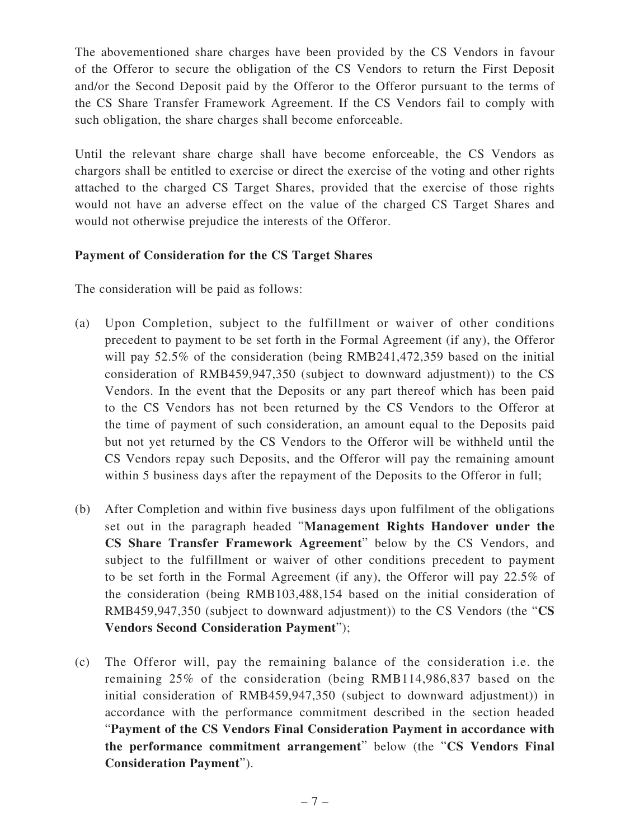The abovementioned share charges have been provided by the CS Vendors in favour of the Offeror to secure the obligation of the CS Vendors to return the First Deposit and/or the Second Deposit paid by the Offeror to the Offeror pursuant to the terms of the CS Share Transfer Framework Agreement. If the CS Vendors fail to comply with such obligation, the share charges shall become enforceable.

Until the relevant share charge shall have become enforceable, the CS Vendors as chargors shall be entitled to exercise or direct the exercise of the voting and other rights attached to the charged CS Target Shares, provided that the exercise of those rights would not have an adverse effect on the value of the charged CS Target Shares and would not otherwise prejudice the interests of the Offeror.

## **Payment of Consideration for the CS Target Shares**

The consideration will be paid as follows:

- (a) Upon Completion, subject to the fulfillment or waiver of other conditions precedent to payment to be set forth in the Formal Agreement (if any), the Offeror will pay 52.5% of the consideration (being RMB241,472,359 based on the initial consideration of RMB459,947,350 (subject to downward adjustment)) to the CS Vendors. In the event that the Deposits or any part thereof which has been paid to the CS Vendors has not been returned by the CS Vendors to the Offeror at the time of payment of such consideration, an amount equal to the Deposits paid but not yet returned by the CS Vendors to the Offeror will be withheld until the CS Vendors repay such Deposits, and the Offeror will pay the remaining amount within 5 business days after the repayment of the Deposits to the Offeror in full;
- (b) After Completion and within five business days upon fulfilment of the obligations set out in the paragraph headed "**Management Rights Handover under the CS Share Transfer Framework Agreement**" below by the CS Vendors, and subject to the fulfillment or waiver of other conditions precedent to payment to be set forth in the Formal Agreement (if any), the Offeror will pay 22.5% of the consideration (being RMB103,488,154 based on the initial consideration of RMB459,947,350 (subject to downward adjustment)) to the CS Vendors (the "**CS Vendors Second Consideration Payment**");
- (c) The Offeror will, pay the remaining balance of the consideration i.e. the remaining 25% of the consideration (being RMB114,986,837 based on the initial consideration of RMB459,947,350 (subject to downward adjustment)) in accordance with the performance commitment described in the section headed "**Payment of the CS Vendors Final Consideration Payment in accordance with the performance commitment arrangement**" below (the "**CS Vendors Final Consideration Payment**").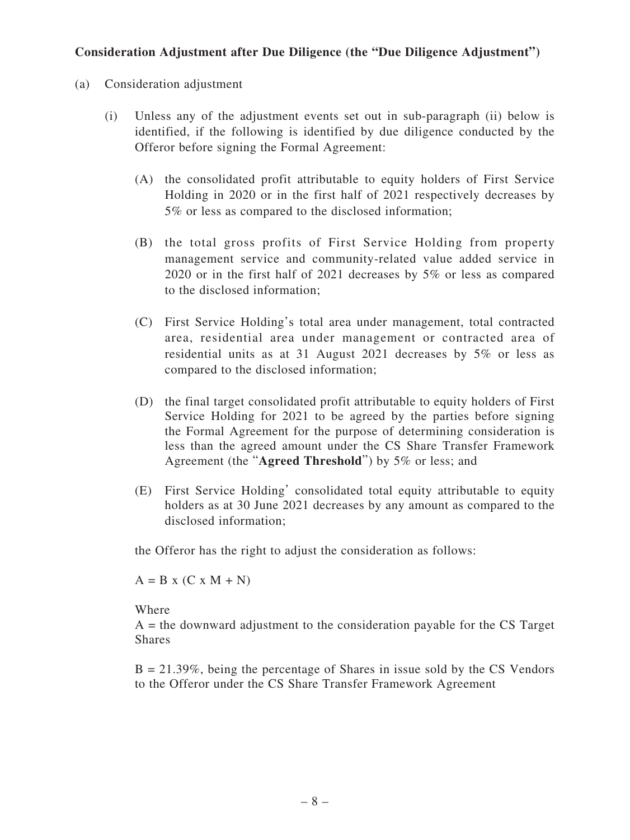## **Consideration Adjustment after Due Diligence (the "Due Diligence Adjustment")**

- (a) Consideration adjustment
	- (i) Unless any of the adjustment events set out in sub-paragraph (ii) below is identified, if the following is identified by due diligence conducted by the Offeror before signing the Formal Agreement:
		- (A) the consolidated profit attributable to equity holders of First Service Holding in 2020 or in the first half of 2021 respectively decreases by 5% or less as compared to the disclosed information;
		- (B) the total gross profits of First Service Holding from property management service and community-related value added service in 2020 or in the first half of 2021 decreases by 5% or less as compared to the disclosed information;
		- (C) First Service Holding's total area under management, total contracted area, residential area under management or contracted area of residential units as at 31 August 2021 decreases by 5% or less as compared to the disclosed information;
		- (D) the final target consolidated profit attributable to equity holders of First Service Holding for 2021 to be agreed by the parties before signing the Formal Agreement for the purpose of determining consideration is less than the agreed amount under the CS Share Transfer Framework Agreement (the "**Agreed Threshold**") by 5% or less; and
		- (E) First Service Holding' consolidated total equity attributable to equity holders as at 30 June 2021 decreases by any amount as compared to the disclosed information;

the Offeror has the right to adjust the consideration as follows:

 $A = B x (C x M + N)$ 

Where

 $A =$  the downward adjustment to the consideration payable for the CS Target Shares

 $B = 21.39\%$ , being the percentage of Shares in issue sold by the CS Vendors to the Offeror under the CS Share Transfer Framework Agreement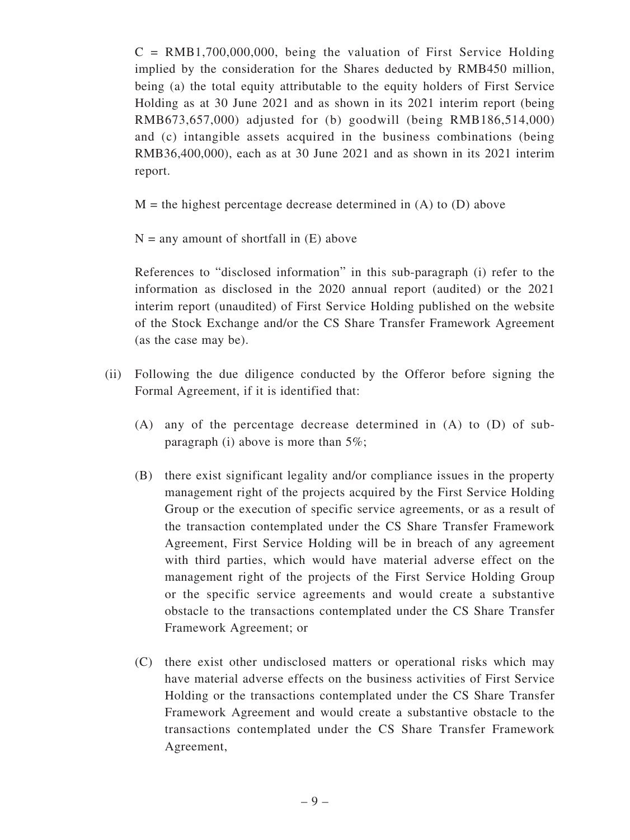$C = \text{RMB1},700,000,000$ , being the valuation of First Service Holding implied by the consideration for the Shares deducted by RMB450 million, being (a) the total equity attributable to the equity holders of First Service Holding as at 30 June 2021 and as shown in its 2021 interim report (being RMB673,657,000) adjusted for (b) goodwill (being RMB186,514,000) and (c) intangible assets acquired in the business combinations (being RMB36,400,000), each as at 30 June 2021 and as shown in its 2021 interim report.

 $M =$  the highest percentage decrease determined in (A) to (D) above

 $N =$  any amount of shortfall in  $(E)$  above

References to "disclosed information" in this sub-paragraph (i) refer to the information as disclosed in the 2020 annual report (audited) or the 2021 interim report (unaudited) of First Service Holding published on the website of the Stock Exchange and/or the CS Share Transfer Framework Agreement (as the case may be).

- (ii) Following the due diligence conducted by the Offeror before signing the Formal Agreement, if it is identified that:
	- (A) any of the percentage decrease determined in (A) to (D) of subparagraph (i) above is more than  $5\%$ ;
	- (B) there exist significant legality and/or compliance issues in the property management right of the projects acquired by the First Service Holding Group or the execution of specific service agreements, or as a result of the transaction contemplated under the CS Share Transfer Framework Agreement, First Service Holding will be in breach of any agreement with third parties, which would have material adverse effect on the management right of the projects of the First Service Holding Group or the specific service agreements and would create a substantive obstacle to the transactions contemplated under the CS Share Transfer Framework Agreement; or
	- (C) there exist other undisclosed matters or operational risks which may have material adverse effects on the business activities of First Service Holding or the transactions contemplated under the CS Share Transfer Framework Agreement and would create a substantive obstacle to the transactions contemplated under the CS Share Transfer Framework Agreement,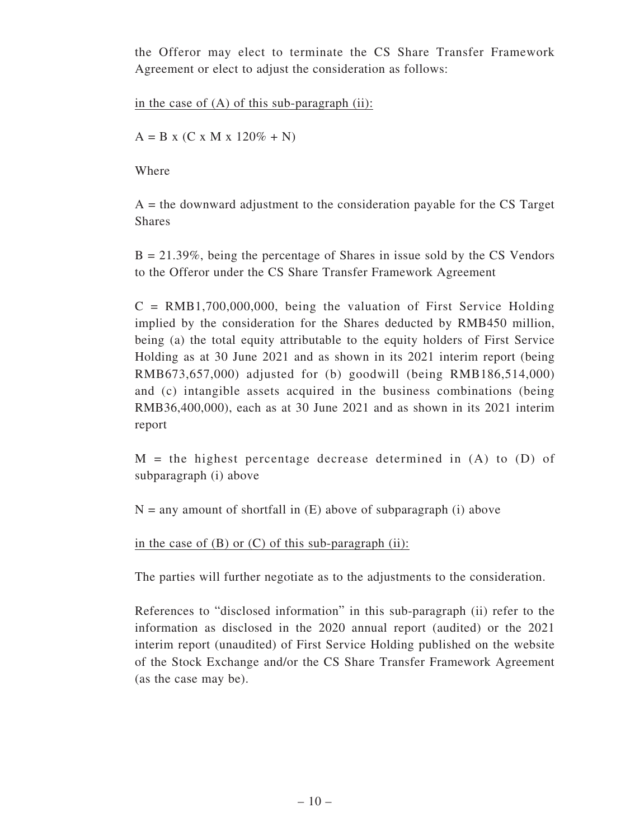the Offeror may elect to terminate the CS Share Transfer Framework Agreement or elect to adjust the consideration as follows:

in the case of  $(A)$  of this sub-paragraph  $(ii)$ :

 $A = B x (C x M x 120\% + N)$ 

Where

 $A =$  the downward adjustment to the consideration payable for the CS Target Shares

 $B = 21.39\%$ , being the percentage of Shares in issue sold by the CS Vendors to the Offeror under the CS Share Transfer Framework Agreement

 $C = \text{RMB1},700,000,000$ , being the valuation of First Service Holding implied by the consideration for the Shares deducted by RMB450 million, being (a) the total equity attributable to the equity holders of First Service Holding as at 30 June 2021 and as shown in its 2021 interim report (being RMB673,657,000) adjusted for (b) goodwill (being RMB186,514,000) and (c) intangible assets acquired in the business combinations (being RMB36,400,000), each as at 30 June 2021 and as shown in its 2021 interim report

 $M =$  the highest percentage decrease determined in  $(A)$  to  $(D)$  of subparagraph (i) above

 $N =$  any amount of shortfall in  $(E)$  above of subparagraph (i) above

in the case of  $(B)$  or  $(C)$  of this sub-paragraph  $(ii)$ :

The parties will further negotiate as to the adjustments to the consideration.

References to "disclosed information" in this sub-paragraph (ii) refer to the information as disclosed in the 2020 annual report (audited) or the 2021 interim report (unaudited) of First Service Holding published on the website of the Stock Exchange and/or the CS Share Transfer Framework Agreement (as the case may be).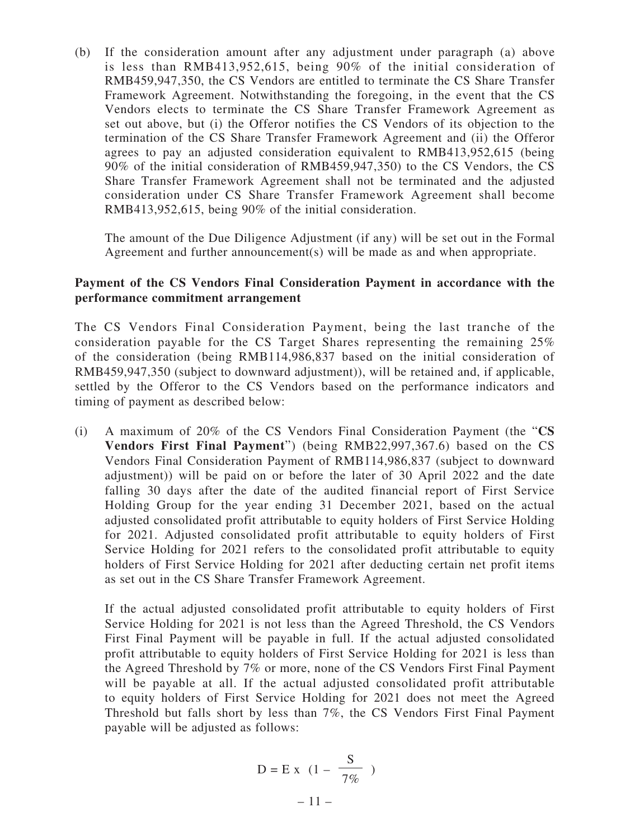(b) If the consideration amount after any adjustment under paragraph (a) above is less than RMB413,952,615, being 90% of the initial consideration of RMB459,947,350, the CS Vendors are entitled to terminate the CS Share Transfer Framework Agreement. Notwithstanding the foregoing, in the event that the CS Vendors elects to terminate the CS Share Transfer Framework Agreement as set out above, but (i) the Offeror notifies the CS Vendors of its objection to the termination of the CS Share Transfer Framework Agreement and (ii) the Offeror agrees to pay an adjusted consideration equivalent to RMB413,952,615 (being 90% of the initial consideration of RMB459,947,350) to the CS Vendors, the CS Share Transfer Framework Agreement shall not be terminated and the adjusted consideration under CS Share Transfer Framework Agreement shall become RMB413,952,615, being 90% of the initial consideration.

The amount of the Due Diligence Adjustment (if any) will be set out in the Formal Agreement and further announcement(s) will be made as and when appropriate.

#### **Payment of the CS Vendors Final Consideration Payment in accordance with the performance commitment arrangement**

The CS Vendors Final Consideration Payment, being the last tranche of the consideration payable for the CS Target Shares representing the remaining 25% of the consideration (being RMB114,986,837 based on the initial consideration of RMB459,947,350 (subject to downward adjustment)), will be retained and, if applicable, settled by the Offeror to the CS Vendors based on the performance indicators and timing of payment as described below:

(i) A maximum of 20% of the CS Vendors Final Consideration Payment (the "**CS Vendors First Final Payment**") (being RMB22,997,367.6) based on the CS Vendors Final Consideration Payment of RMB114,986,837 (subject to downward adjustment)) will be paid on or before the later of 30 April 2022 and the date falling 30 days after the date of the audited financial report of First Service Holding Group for the year ending 31 December 2021, based on the actual adjusted consolidated profit attributable to equity holders of First Service Holding for 2021. Adjusted consolidated profit attributable to equity holders of First Service Holding for 2021 refers to the consolidated profit attributable to equity holders of First Service Holding for 2021 after deducting certain net profit items as set out in the CS Share Transfer Framework Agreement.

If the actual adjusted consolidated profit attributable to equity holders of First Service Holding for 2021 is not less than the Agreed Threshold, the CS Vendors First Final Payment will be payable in full. If the actual adjusted consolidated profit attributable to equity holders of First Service Holding for 2021 is less than the Agreed Threshold by 7% or more, none of the CS Vendors First Final Payment will be payable at all. If the actual adjusted consolidated profit attributable to equity holders of First Service Holding for 2021 does not meet the Agreed Threshold but falls short by less than 7%, the CS Vendors First Final Payment payable will be adjusted as follows:

$$
D = E x (1 - \frac{S}{7\%})
$$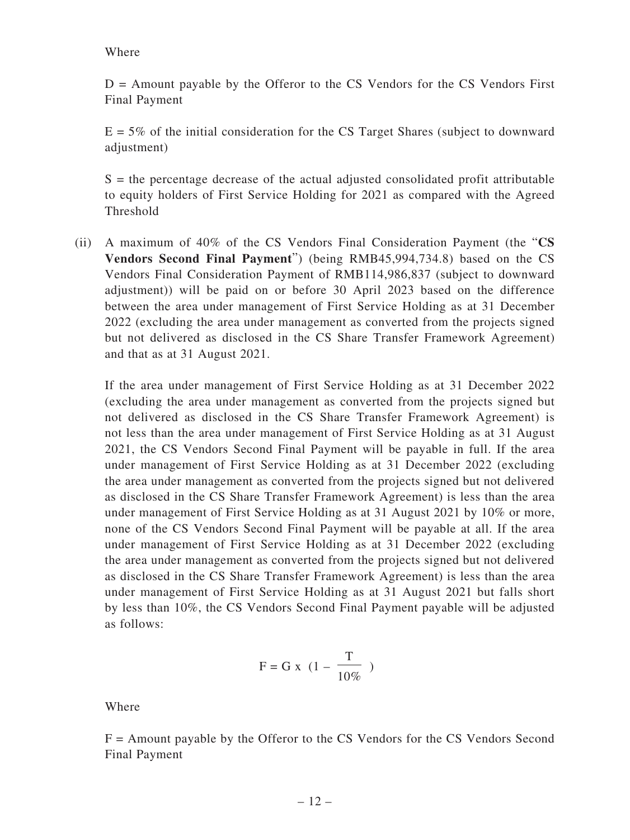Where

 $D =$  Amount payable by the Offeror to the CS Vendors for the CS Vendors First Final Payment

 $E = 5\%$  of the initial consideration for the CS Target Shares (subject to downward adjustment)

 $S =$  the percentage decrease of the actual adjusted consolidated profit attributable to equity holders of First Service Holding for 2021 as compared with the Agreed Threshold

(ii) A maximum of 40% of the CS Vendors Final Consideration Payment (the "**CS Vendors Second Final Payment**") (being RMB45,994,734.8) based on the CS Vendors Final Consideration Payment of RMB114,986,837 (subject to downward adjustment)) will be paid on or before 30 April 2023 based on the difference between the area under management of First Service Holding as at 31 December 2022 (excluding the area under management as converted from the projects signed but not delivered as disclosed in the CS Share Transfer Framework Agreement) and that as at 31 August 2021.

If the area under management of First Service Holding as at 31 December 2022 (excluding the area under management as converted from the projects signed but not delivered as disclosed in the CS Share Transfer Framework Agreement) is not less than the area under management of First Service Holding as at 31 August 2021, the CS Vendors Second Final Payment will be payable in full. If the area under management of First Service Holding as at 31 December 2022 (excluding the area under management as converted from the projects signed but not delivered as disclosed in the CS Share Transfer Framework Agreement) is less than the area under management of First Service Holding as at 31 August 2021 by 10% or more, none of the CS Vendors Second Final Payment will be payable at all. If the area under management of First Service Holding as at 31 December 2022 (excluding the area under management as converted from the projects signed but not delivered as disclosed in the CS Share Transfer Framework Agreement) is less than the area under management of First Service Holding as at 31 August 2021 but falls short by less than 10%, the CS Vendors Second Final Payment payable will be adjusted as follows:

$$
F = G \; x \; \; (1 - \frac{T}{10\%})
$$

Where

F = Amount payable by the Offeror to the CS Vendors for the CS Vendors Second Final Payment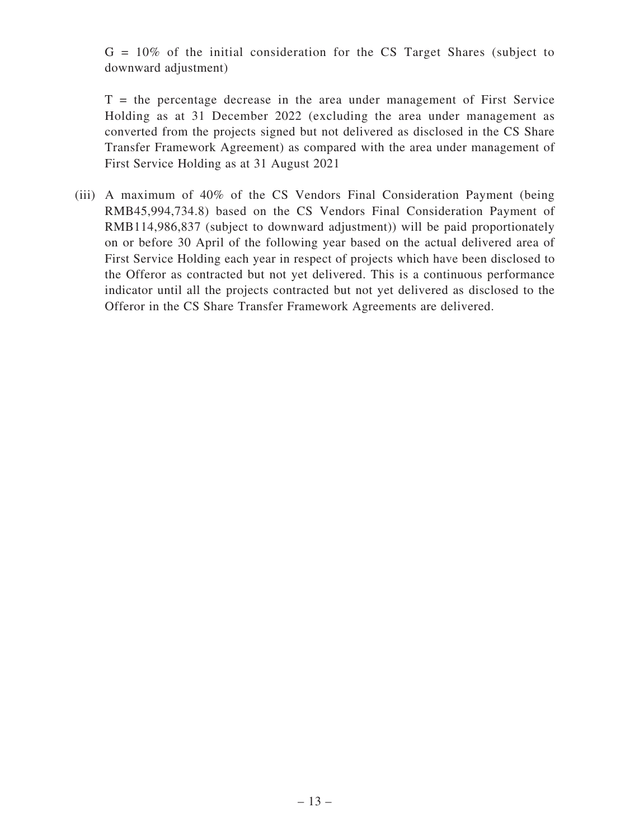$G = 10\%$  of the initial consideration for the CS Target Shares (subject to downward adjustment)

 $T =$  the percentage decrease in the area under management of First Service Holding as at 31 December 2022 (excluding the area under management as converted from the projects signed but not delivered as disclosed in the CS Share Transfer Framework Agreement) as compared with the area under management of First Service Holding as at 31 August 2021

(iii) A maximum of 40% of the CS Vendors Final Consideration Payment (being RMB45,994,734.8) based on the CS Vendors Final Consideration Payment of RMB114,986,837 (subject to downward adjustment)) will be paid proportionately on or before 30 April of the following year based on the actual delivered area of First Service Holding each year in respect of projects which have been disclosed to the Offeror as contracted but not yet delivered. This is a continuous performance indicator until all the projects contracted but not yet delivered as disclosed to the Offeror in the CS Share Transfer Framework Agreements are delivered.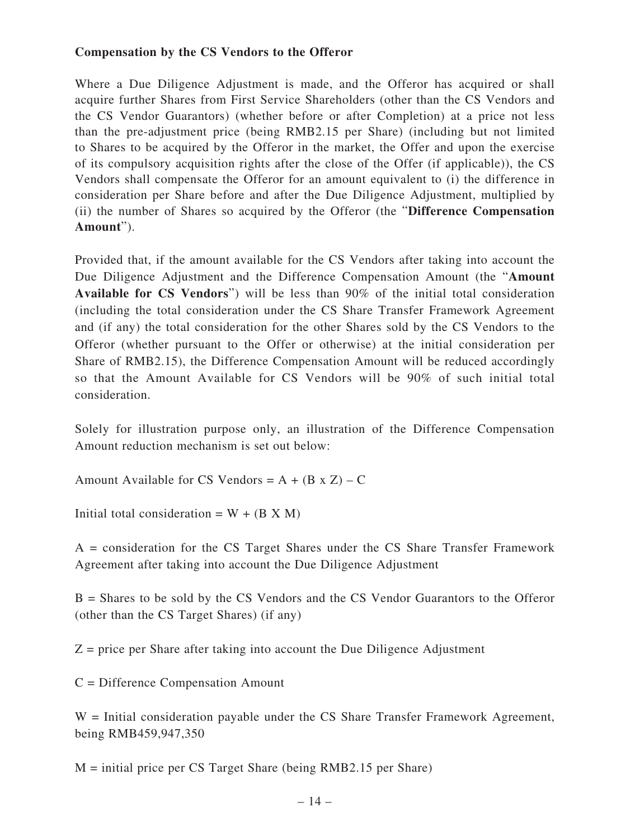#### **Compensation by the CS Vendors to the Offeror**

Where a Due Diligence Adjustment is made, and the Offeror has acquired or shall acquire further Shares from First Service Shareholders (other than the CS Vendors and the CS Vendor Guarantors) (whether before or after Completion) at a price not less than the pre-adjustment price (being RMB2.15 per Share) (including but not limited to Shares to be acquired by the Offeror in the market, the Offer and upon the exercise of its compulsory acquisition rights after the close of the Offer (if applicable)), the CS Vendors shall compensate the Offeror for an amount equivalent to (i) the difference in consideration per Share before and after the Due Diligence Adjustment, multiplied by (ii) the number of Shares so acquired by the Offeror (the "**Difference Compensation Amount**").

Provided that, if the amount available for the CS Vendors after taking into account the Due Diligence Adjustment and the Difference Compensation Amount (the "**Amount Available for CS Vendors**") will be less than 90% of the initial total consideration (including the total consideration under the CS Share Transfer Framework Agreement and (if any) the total consideration for the other Shares sold by the CS Vendors to the Offeror (whether pursuant to the Offer or otherwise) at the initial consideration per Share of RMB2.15), the Difference Compensation Amount will be reduced accordingly so that the Amount Available for CS Vendors will be 90% of such initial total consideration.

Solely for illustration purpose only, an illustration of the Difference Compensation Amount reduction mechanism is set out below:

Amount Available for CS Vendors =  $A + (B \times Z) - C$ 

Initial total consideration =  $W + (B X M)$ 

A = consideration for the CS Target Shares under the CS Share Transfer Framework Agreement after taking into account the Due Diligence Adjustment

B = Shares to be sold by the CS Vendors and the CS Vendor Guarantors to the Offeror (other than the CS Target Shares) (if any)

 $Z$  = price per Share after taking into account the Due Diligence Adjustment

C = Difference Compensation Amount

 $W =$  Initial consideration payable under the CS Share Transfer Framework Agreement, being RMB459,947,350

M = initial price per CS Target Share (being RMB2.15 per Share)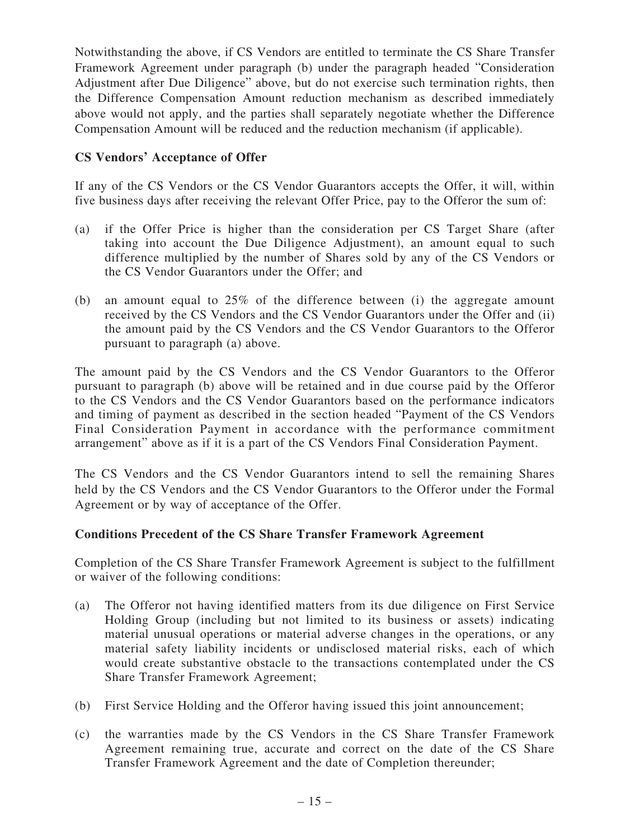Notwithstanding the above, if CS Vendors are entitled to terminate the CS Share Transfer Framework Agreement under paragraph (b) under the paragraph headed "Consideration Adjustment after Due Diligence" above, but do not exercise such termination rights, then the Difference Compensation Amount reduction mechanism as described immediately above would not apply, and the parties shall separately negotiate whether the Difference Compensation Amount will be reduced and the reduction mechanism (if applicable).

## **CS Vendors' Acceptance of Offer**

If any of the CS Vendors or the CS Vendor Guarantors accepts the Offer, it will, within five business days after receiving the relevant Offer Price, pay to the Offeror the sum of:

- (a) if the Offer Price is higher than the consideration per CS Target Share (after taking into account the Due Diligence Adjustment), an amount equal to such difference multiplied by the number of Shares sold by any of the CS Vendors or the CS Vendor Guarantors under the Offer; and
- (b) an amount equal to 25% of the difference between (i) the aggregate amount received by the CS Vendors and the CS Vendor Guarantors under the Offer and (ii) the amount paid by the CS Vendors and the CS Vendor Guarantors to the Offeror pursuant to paragraph (a) above.

The amount paid by the CS Vendors and the CS Vendor Guarantors to the Offeror pursuant to paragraph (b) above will be retained and in due course paid by the Offeror to the CS Vendors and the CS Vendor Guarantors based on the performance indicators and timing of payment as described in the section headed "Payment of the CS Vendors Final Consideration Payment in accordance with the performance commitment arrangement" above as if it is a part of the CS Vendors Final Consideration Payment.

The CS Vendors and the CS Vendor Guarantors intend to sell the remaining Shares held by the CS Vendors and the CS Vendor Guarantors to the Offeror under the Formal Agreement or by way of acceptance of the Offer.

#### **Conditions Precedent of the CS Share Transfer Framework Agreement**

Completion of the CS Share Transfer Framework Agreement is subject to the fulfillment or waiver of the following conditions:

- (a) The Offeror not having identified matters from its due diligence on First Service Holding Group (including but not limited to its business or assets) indicating material unusual operations or material adverse changes in the operations, or any material safety liability incidents or undisclosed material risks, each of which would create substantive obstacle to the transactions contemplated under the CS Share Transfer Framework Agreement;
- (b) First Service Holding and the Offeror having issued this joint announcement;
- (c) the warranties made by the CS Vendors in the CS Share Transfer Framework Agreement remaining true, accurate and correct on the date of the CS Share Transfer Framework Agreement and the date of Completion thereunder;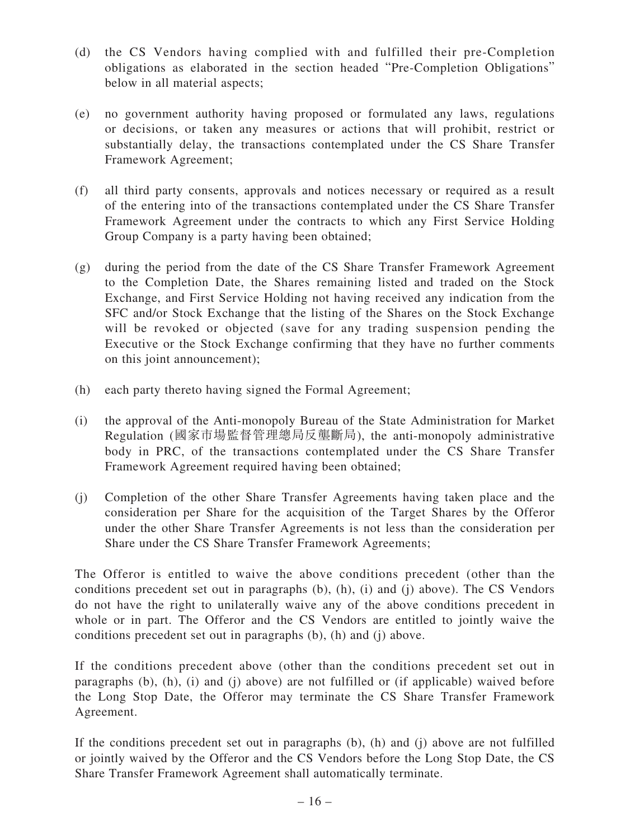- (d) the CS Vendors having complied with and fulfilled their pre-Completion obligations as elaborated in the section headed "Pre-Completion Obligations" below in all material aspects;
- (e) no government authority having proposed or formulated any laws, regulations or decisions, or taken any measures or actions that will prohibit, restrict or substantially delay, the transactions contemplated under the CS Share Transfer Framework Agreement;
- (f) all third party consents, approvals and notices necessary or required as a result of the entering into of the transactions contemplated under the CS Share Transfer Framework Agreement under the contracts to which any First Service Holding Group Company is a party having been obtained;
- (g) during the period from the date of the CS Share Transfer Framework Agreement to the Completion Date, the Shares remaining listed and traded on the Stock Exchange, and First Service Holding not having received any indication from the SFC and/or Stock Exchange that the listing of the Shares on the Stock Exchange will be revoked or objected (save for any trading suspension pending the Executive or the Stock Exchange confirming that they have no further comments on this joint announcement);
- (h) each party thereto having signed the Formal Agreement;
- (i) the approval of the Anti-monopoly Bureau of the State Administration for Market Regulation (國家市場監督管理總局反壟斷局), the anti-monopoly administrative body in PRC, of the transactions contemplated under the CS Share Transfer Framework Agreement required having been obtained;
- (j) Completion of the other Share Transfer Agreements having taken place and the consideration per Share for the acquisition of the Target Shares by the Offeror under the other Share Transfer Agreements is not less than the consideration per Share under the CS Share Transfer Framework Agreements;

The Offeror is entitled to waive the above conditions precedent (other than the conditions precedent set out in paragraphs (b), (h), (i) and (j) above). The CS Vendors do not have the right to unilaterally waive any of the above conditions precedent in whole or in part. The Offeror and the CS Vendors are entitled to jointly waive the conditions precedent set out in paragraphs (b), (h) and (j) above.

If the conditions precedent above (other than the conditions precedent set out in paragraphs (b), (h), (i) and (j) above) are not fulfilled or (if applicable) waived before the Long Stop Date, the Offeror may terminate the CS Share Transfer Framework Agreement.

If the conditions precedent set out in paragraphs (b), (h) and (j) above are not fulfilled or jointly waived by the Offeror and the CS Vendors before the Long Stop Date, the CS Share Transfer Framework Agreement shall automatically terminate.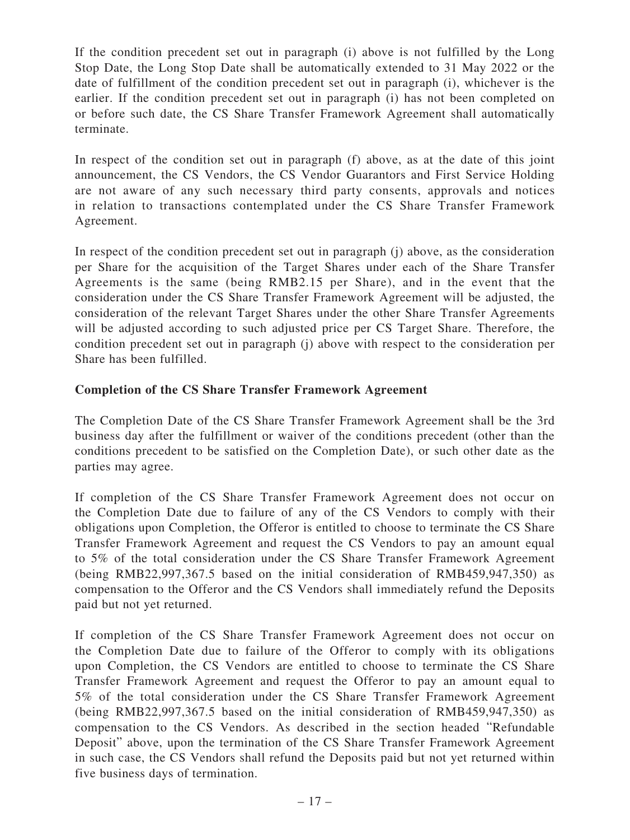If the condition precedent set out in paragraph (i) above is not fulfilled by the Long Stop Date, the Long Stop Date shall be automatically extended to 31 May 2022 or the date of fulfillment of the condition precedent set out in paragraph (i), whichever is the earlier. If the condition precedent set out in paragraph (i) has not been completed on or before such date, the CS Share Transfer Framework Agreement shall automatically terminate.

In respect of the condition set out in paragraph (f) above, as at the date of this joint announcement, the CS Vendors, the CS Vendor Guarantors and First Service Holding are not aware of any such necessary third party consents, approvals and notices in relation to transactions contemplated under the CS Share Transfer Framework Agreement.

In respect of the condition precedent set out in paragraph (j) above, as the consideration per Share for the acquisition of the Target Shares under each of the Share Transfer Agreements is the same (being RMB2.15 per Share), and in the event that the consideration under the CS Share Transfer Framework Agreement will be adjusted, the consideration of the relevant Target Shares under the other Share Transfer Agreements will be adjusted according to such adjusted price per CS Target Share. Therefore, the condition precedent set out in paragraph (j) above with respect to the consideration per Share has been fulfilled.

## **Completion of the CS Share Transfer Framework Agreement**

The Completion Date of the CS Share Transfer Framework Agreement shall be the 3rd business day after the fulfillment or waiver of the conditions precedent (other than the conditions precedent to be satisfied on the Completion Date), or such other date as the parties may agree.

If completion of the CS Share Transfer Framework Agreement does not occur on the Completion Date due to failure of any of the CS Vendors to comply with their obligations upon Completion, the Offeror is entitled to choose to terminate the CS Share Transfer Framework Agreement and request the CS Vendors to pay an amount equal to 5% of the total consideration under the CS Share Transfer Framework Agreement (being RMB22,997,367.5 based on the initial consideration of RMB459,947,350) as compensation to the Offeror and the CS Vendors shall immediately refund the Deposits paid but not yet returned.

If completion of the CS Share Transfer Framework Agreement does not occur on the Completion Date due to failure of the Offeror to comply with its obligations upon Completion, the CS Vendors are entitled to choose to terminate the CS Share Transfer Framework Agreement and request the Offeror to pay an amount equal to 5% of the total consideration under the CS Share Transfer Framework Agreement (being RMB22,997,367.5 based on the initial consideration of RMB459,947,350) as compensation to the CS Vendors. As described in the section headed "Refundable Deposit" above, upon the termination of the CS Share Transfer Framework Agreement in such case, the CS Vendors shall refund the Deposits paid but not yet returned within five business days of termination.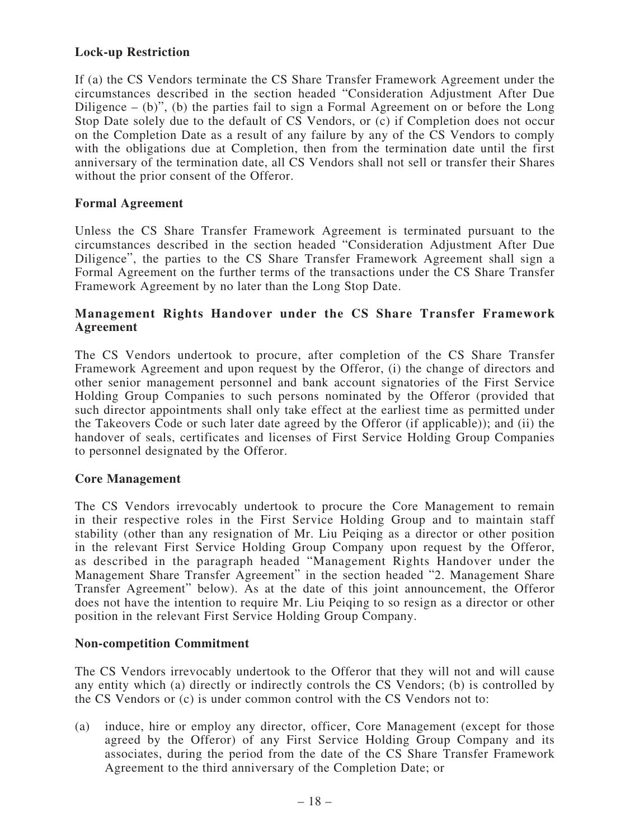#### **Lock-up Restriction**

If (a) the CS Vendors terminate the CS Share Transfer Framework Agreement under the circumstances described in the section headed "Consideration Adjustment After Due Diligence – (b)", (b) the parties fail to sign a Formal Agreement on or before the Long Stop Date solely due to the default of CS Vendors, or (c) if Completion does not occur on the Completion Date as a result of any failure by any of the CS Vendors to comply with the obligations due at Completion, then from the termination date until the first anniversary of the termination date, all CS Vendors shall not sell or transfer their Shares without the prior consent of the Offeror.

#### **Formal Agreement**

Unless the CS Share Transfer Framework Agreement is terminated pursuant to the circumstances described in the section headed "Consideration Adjustment After Due Diligence", the parties to the CS Share Transfer Framework Agreement shall sign a Formal Agreement on the further terms of the transactions under the CS Share Transfer Framework Agreement by no later than the Long Stop Date.

#### **Management Rights Handover under the CS Share Transfer Framework Agreement**

The CS Vendors undertook to procure, after completion of the CS Share Transfer Framework Agreement and upon request by the Offeror, (i) the change of directors and other senior management personnel and bank account signatories of the First Service Holding Group Companies to such persons nominated by the Offeror (provided that such director appointments shall only take effect at the earliest time as permitted under the Takeovers Code or such later date agreed by the Offeror (if applicable)); and (ii) the handover of seals, certificates and licenses of First Service Holding Group Companies to personnel designated by the Offeror.

#### **Core Management**

The CS Vendors irrevocably undertook to procure the Core Management to remain in their respective roles in the First Service Holding Group and to maintain staff stability (other than any resignation of Mr. Liu Peiqing as a director or other position in the relevant First Service Holding Group Company upon request by the Offeror, as described in the paragraph headed "Management Rights Handover under the Management Share Transfer Agreement" in the section headed "2. Management Share Transfer Agreement" below). As at the date of this joint announcement, the Offeror does not have the intention to require Mr. Liu Peiqing to so resign as a director or other position in the relevant First Service Holding Group Company.

#### **Non-competition Commitment**

The CS Vendors irrevocably undertook to the Offeror that they will not and will cause any entity which (a) directly or indirectly controls the CS Vendors; (b) is controlled by the CS Vendors or (c) is under common control with the CS Vendors not to:

(a) induce, hire or employ any director, officer, Core Management (except for those agreed by the Offeror) of any First Service Holding Group Company and its associates, during the period from the date of the CS Share Transfer Framework Agreement to the third anniversary of the Completion Date; or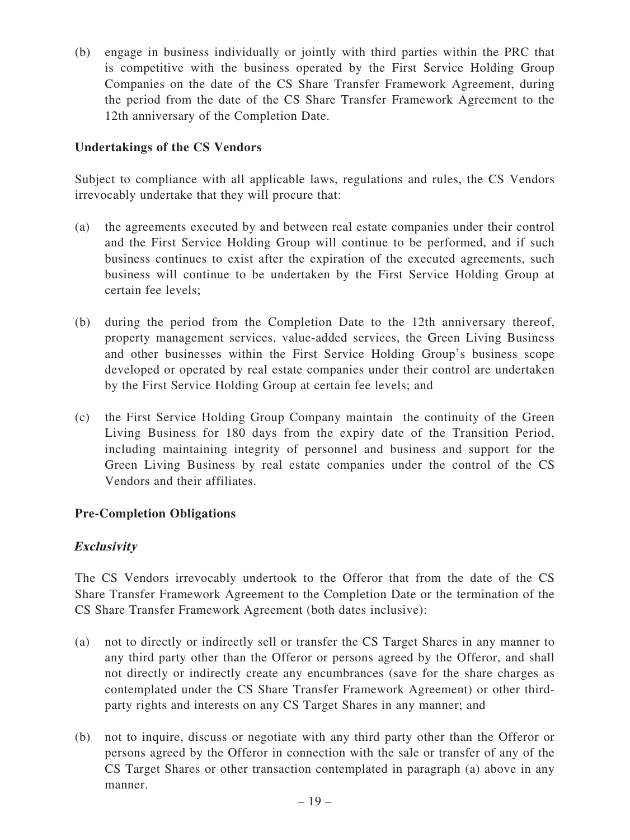(b) engage in business individually or jointly with third parties within the PRC that is competitive with the business operated by the First Service Holding Group Companies on the date of the CS Share Transfer Framework Agreement, during the period from the date of the CS Share Transfer Framework Agreement to the 12th anniversary of the Completion Date.

## **Undertakings of the CS Vendors**

Subject to compliance with all applicable laws, regulations and rules, the CS Vendors irrevocably undertake that they will procure that:

- (a) the agreements executed by and between real estate companies under their control and the First Service Holding Group will continue to be performed, and if such business continues to exist after the expiration of the executed agreements, such business will continue to be undertaken by the First Service Holding Group at certain fee levels;
- (b) during the period from the Completion Date to the 12th anniversary thereof, property management services, value-added services, the Green Living Business and other businesses within the First Service Holding Group's business scope developed or operated by real estate companies under their control are undertaken by the First Service Holding Group at certain fee levels; and
- (c) the First Service Holding Group Company maintain the continuity of the Green Living Business for 180 days from the expiry date of the Transition Period, including maintaining integrity of personnel and business and support for the Green Living Business by real estate companies under the control of the CS Vendors and their affiliates.

#### **Pre-Completion Obligations**

#### **Exclusivity**

The CS Vendors irrevocably undertook to the Offeror that from the date of the CS Share Transfer Framework Agreement to the Completion Date or the termination of the CS Share Transfer Framework Agreement (both dates inclusive):

- (a) not to directly or indirectly sell or transfer the CS Target Shares in any manner to any third party other than the Offeror or persons agreed by the Offeror, and shall not directly or indirectly create any encumbrances (save for the share charges as contemplated under the CS Share Transfer Framework Agreement) or other thirdparty rights and interests on any CS Target Shares in any manner; and
- (b) not to inquire, discuss or negotiate with any third party other than the Offeror or persons agreed by the Offeror in connection with the sale or transfer of any of the CS Target Shares or other transaction contemplated in paragraph (a) above in any manner.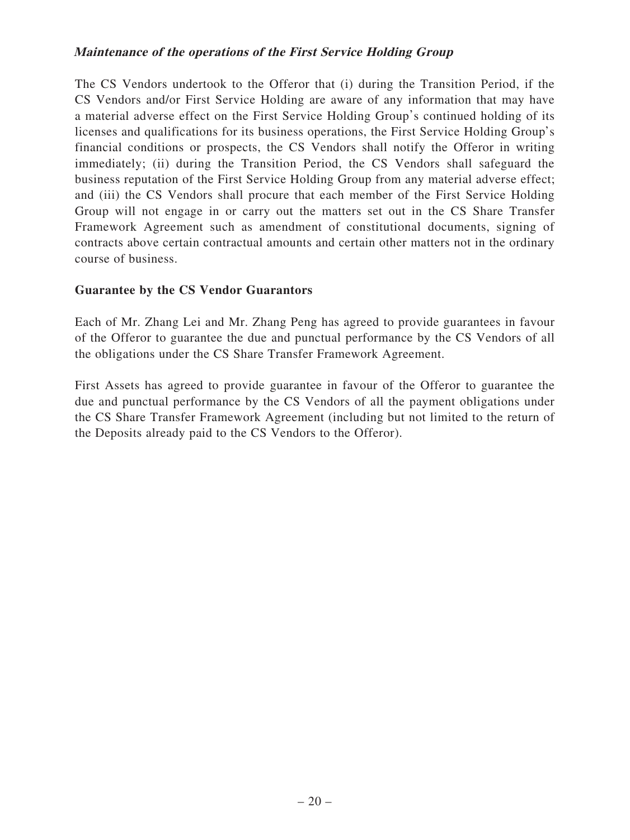#### **Maintenance of the operations of the First Service Holding Group**

The CS Vendors undertook to the Offeror that (i) during the Transition Period, if the CS Vendors and/or First Service Holding are aware of any information that may have a material adverse effect on the First Service Holding Group's continued holding of its licenses and qualifications for its business operations, the First Service Holding Group's financial conditions or prospects, the CS Vendors shall notify the Offeror in writing immediately; (ii) during the Transition Period, the CS Vendors shall safeguard the business reputation of the First Service Holding Group from any material adverse effect; and (iii) the CS Vendors shall procure that each member of the First Service Holding Group will not engage in or carry out the matters set out in the CS Share Transfer Framework Agreement such as amendment of constitutional documents, signing of contracts above certain contractual amounts and certain other matters not in the ordinary course of business.

#### **Guarantee by the CS Vendor Guarantors**

Each of Mr. Zhang Lei and Mr. Zhang Peng has agreed to provide guarantees in favour of the Offeror to guarantee the due and punctual performance by the CS Vendors of all the obligations under the CS Share Transfer Framework Agreement.

First Assets has agreed to provide guarantee in favour of the Offeror to guarantee the due and punctual performance by the CS Vendors of all the payment obligations under the CS Share Transfer Framework Agreement (including but not limited to the return of the Deposits already paid to the CS Vendors to the Offeror).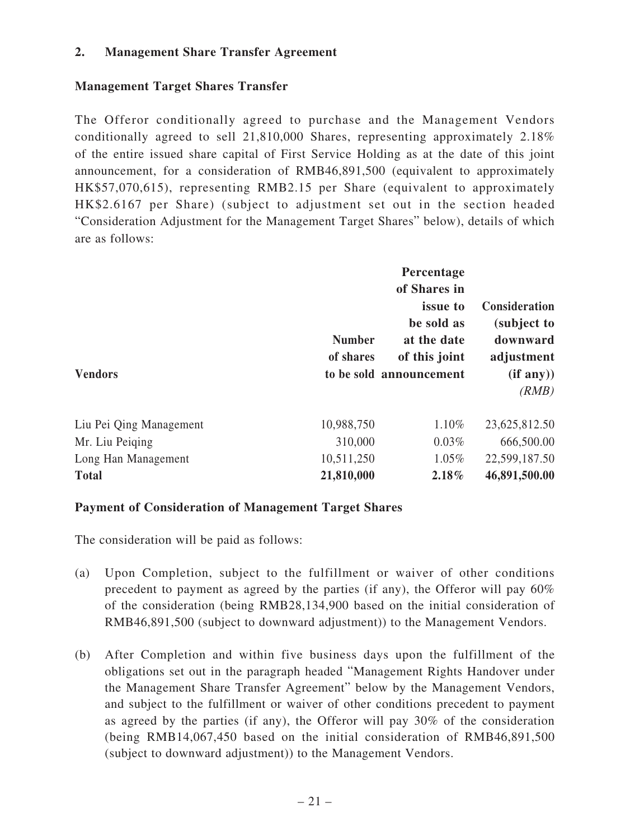#### **2. Management Share Transfer Agreement**

## **Management Target Shares Transfer**

The Offeror conditionally agreed to purchase and the Management Vendors conditionally agreed to sell 21,810,000 Shares, representing approximately 2.18% of the entire issued share capital of First Service Holding as at the date of this joint announcement, for a consideration of RMB46,891,500 (equivalent to approximately HK\$57,070,615), representing RMB2.15 per Share (equivalent to approximately HK\$2.6167 per Share) (subject to adjustment set out in the section headed "Consideration Adjustment for the Management Target Shares" below), details of which are as follows:

| <b>Vendors</b>          | <b>Number</b><br>of shares | Percentage<br>of Shares in<br><i>issue to</i><br>be sold as<br>at the date<br>of this joint<br>to be sold announcement | <b>Consideration</b><br>(subject to<br>downward<br>adjustment<br>(if any))<br>(RMB) |
|-------------------------|----------------------------|------------------------------------------------------------------------------------------------------------------------|-------------------------------------------------------------------------------------|
| Liu Pei Qing Management | 10,988,750                 | 1.10%                                                                                                                  | 23,625,812.50                                                                       |
| Mr. Liu Peiging         | 310,000                    | $0.03\%$                                                                                                               | 666,500.00                                                                          |
| Long Han Management     | 10,511,250                 | $1.05\%$                                                                                                               | 22,599,187.50                                                                       |
| <b>Total</b>            | 21,810,000                 | 2.18%                                                                                                                  | 46,891,500.00                                                                       |

#### **Payment of Consideration of Management Target Shares**

The consideration will be paid as follows:

- (a) Upon Completion, subject to the fulfillment or waiver of other conditions precedent to payment as agreed by the parties (if any), the Offeror will pay 60% of the consideration (being RMB28,134,900 based on the initial consideration of RMB46,891,500 (subject to downward adjustment)) to the Management Vendors.
- (b) After Completion and within five business days upon the fulfillment of the obligations set out in the paragraph headed "Management Rights Handover under the Management Share Transfer Agreement" below by the Management Vendors, and subject to the fulfillment or waiver of other conditions precedent to payment as agreed by the parties (if any), the Offeror will pay 30% of the consideration (being RMB14,067,450 based on the initial consideration of RMB46,891,500 (subject to downward adjustment)) to the Management Vendors.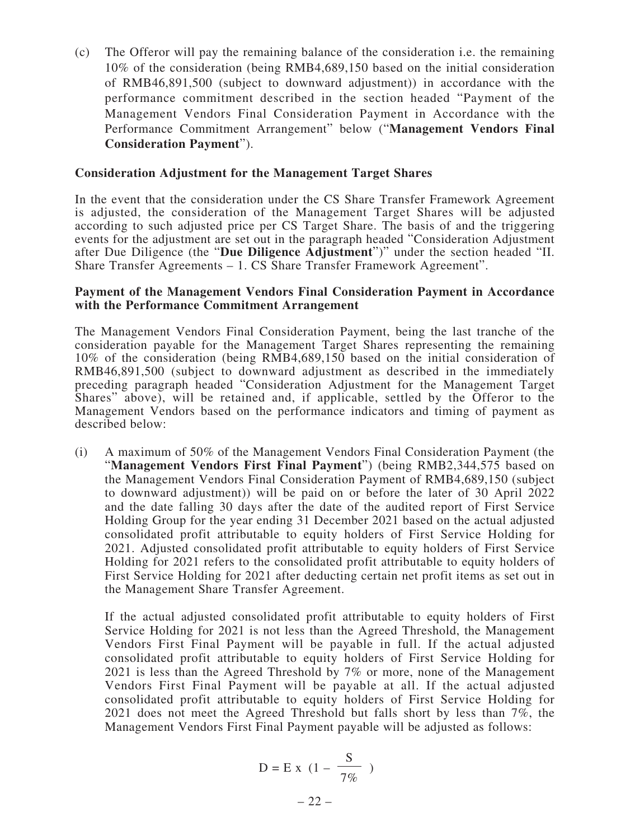(c) The Offeror will pay the remaining balance of the consideration i.e. the remaining 10% of the consideration (being RMB4,689,150 based on the initial consideration of RMB46,891,500 (subject to downward adjustment)) in accordance with the performance commitment described in the section headed "Payment of the Management Vendors Final Consideration Payment in Accordance with the Performance Commitment Arrangement" below ("**Management Vendors Final Consideration Payment**").

#### **Consideration Adjustment for the Management Target Shares**

In the event that the consideration under the CS Share Transfer Framework Agreement is adjusted, the consideration of the Management Target Shares will be adjusted according to such adjusted price per CS Target Share. The basis of and the triggering events for the adjustment are set out in the paragraph headed "Consideration Adjustment after Due Diligence (the "**Due Diligence Adjustment**")" under the section headed "II. Share Transfer Agreements – 1. CS Share Transfer Framework Agreement".

#### **Payment of the Management Vendors Final Consideration Payment in Accordance with the Performance Commitment Arrangement**

The Management Vendors Final Consideration Payment, being the last tranche of the consideration payable for the Management Target Shares representing the remaining 10% of the consideration (being RMB4,689,150 based on the initial consideration of RMB46,891,500 (subject to downward adjustment as described in the immediately preceding paragraph headed "Consideration Adjustment for the Management Target Shares" above), will be retained and, if applicable, settled by the Offeror to the Management Vendors based on the performance indicators and timing of payment as described below:

(i) A maximum of 50% of the Management Vendors Final Consideration Payment (the "**Management Vendors First Final Payment**") (being RMB2,344,575 based on the Management Vendors Final Consideration Payment of RMB4,689,150 (subject to downward adjustment)) will be paid on or before the later of 30 April 2022 and the date falling 30 days after the date of the audited report of First Service Holding Group for the year ending 31 December 2021 based on the actual adjusted consolidated profit attributable to equity holders of First Service Holding for 2021. Adjusted consolidated profit attributable to equity holders of First Service Holding for 2021 refers to the consolidated profit attributable to equity holders of First Service Holding for 2021 after deducting certain net profit items as set out in the Management Share Transfer Agreement.

If the actual adjusted consolidated profit attributable to equity holders of First Service Holding for 2021 is not less than the Agreed Threshold, the Management Vendors First Final Payment will be payable in full. If the actual adjusted consolidated profit attributable to equity holders of First Service Holding for 2021 is less than the Agreed Threshold by 7% or more, none of the Management Vendors First Final Payment will be payable at all. If the actual adjusted consolidated profit attributable to equity holders of First Service Holding for 2021 does not meet the Agreed Threshold but falls short by less than 7%, the Management Vendors First Final Payment payable will be adjusted as follows:

$$
D = E x (1 - \frac{S}{7\%})
$$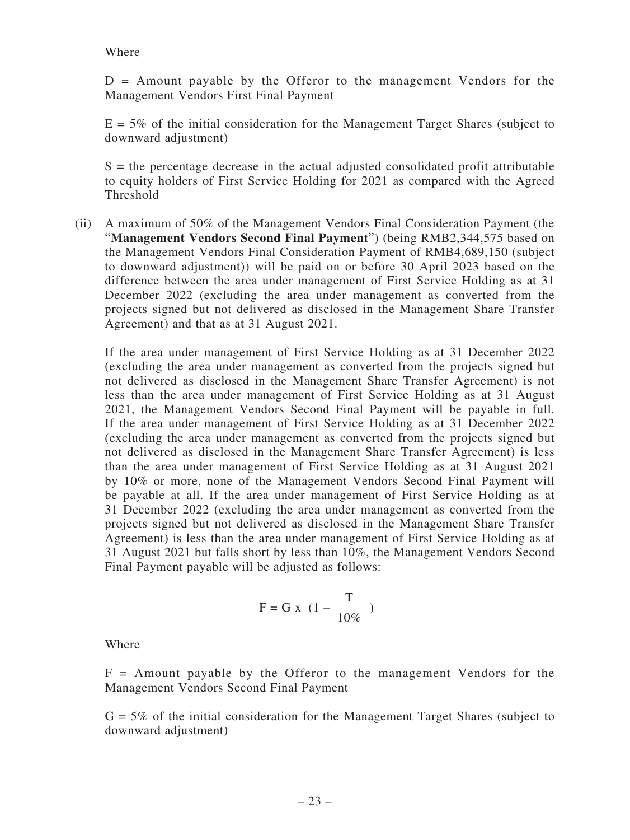#### Where

 $D =$  Amount payable by the Offeror to the management Vendors for the Management Vendors First Final Payment

 $E = 5\%$  of the initial consideration for the Management Target Shares (subject to downward adjustment)

 $S =$  the percentage decrease in the actual adjusted consolidated profit attributable to equity holders of First Service Holding for 2021 as compared with the Agreed Threshold

(ii) A maximum of 50% of the Management Vendors Final Consideration Payment (the "**Management Vendors Second Final Payment**") (being RMB2,344,575 based on the Management Vendors Final Consideration Payment of RMB4,689,150 (subject to downward adjustment)) will be paid on or before 30 April 2023 based on the difference between the area under management of First Service Holding as at 31 December 2022 (excluding the area under management as converted from the projects signed but not delivered as disclosed in the Management Share Transfer Agreement) and that as at 31 August 2021.

If the area under management of First Service Holding as at 31 December 2022 (excluding the area under management as converted from the projects signed but not delivered as disclosed in the Management Share Transfer Agreement) is not less than the area under management of First Service Holding as at 31 August 2021, the Management Vendors Second Final Payment will be payable in full. If the area under management of First Service Holding as at 31 December 2022 (excluding the area under management as converted from the projects signed but not delivered as disclosed in the Management Share Transfer Agreement) is less than the area under management of First Service Holding as at 31 August 2021 by 10% or more, none of the Management Vendors Second Final Payment will be payable at all. If the area under management of First Service Holding as at 31 December 2022 (excluding the area under management as converted from the projects signed but not delivered as disclosed in the Management Share Transfer Agreement) is less than the area under management of First Service Holding as at 31 August 2021 but falls short by less than 10%, the Management Vendors Second Final Payment payable will be adjusted as follows:

$$
F = G x (1 - \frac{T}{10\%})
$$

Where

 $F =$  Amount payable by the Offeror to the management Vendors for the Management Vendors Second Final Payment

 $G = 5\%$  of the initial consideration for the Management Target Shares (subject to downward adjustment)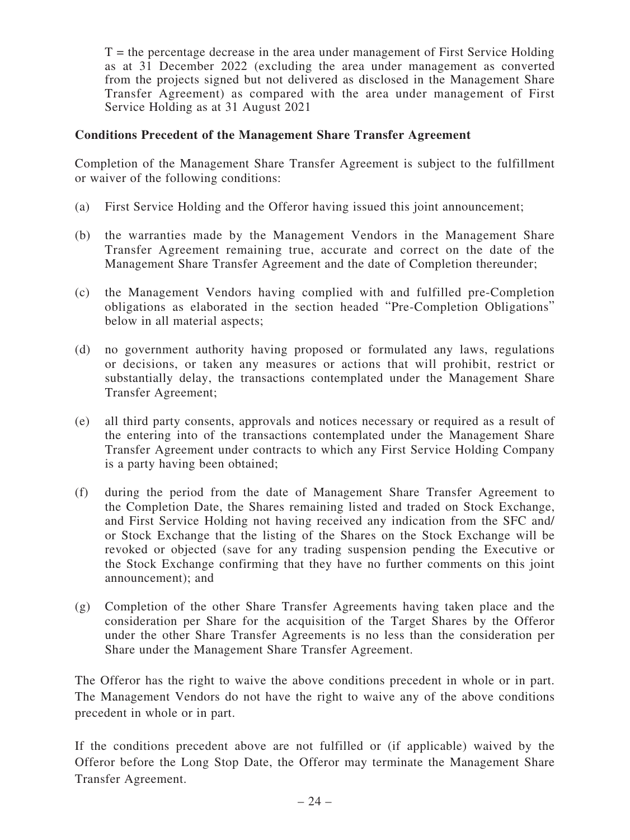$T =$  the percentage decrease in the area under management of First Service Holding as at 31 December 2022 (excluding the area under management as converted from the projects signed but not delivered as disclosed in the Management Share Transfer Agreement) as compared with the area under management of First Service Holding as at 31 August 2021

#### **Conditions Precedent of the Management Share Transfer Agreement**

Completion of the Management Share Transfer Agreement is subject to the fulfillment or waiver of the following conditions:

- (a) First Service Holding and the Offeror having issued this joint announcement;
- (b) the warranties made by the Management Vendors in the Management Share Transfer Agreement remaining true, accurate and correct on the date of the Management Share Transfer Agreement and the date of Completion thereunder;
- (c) the Management Vendors having complied with and fulfilled pre-Completion obligations as elaborated in the section headed "Pre-Completion Obligations" below in all material aspects;
- (d) no government authority having proposed or formulated any laws, regulations or decisions, or taken any measures or actions that will prohibit, restrict or substantially delay, the transactions contemplated under the Management Share Transfer Agreement;
- (e) all third party consents, approvals and notices necessary or required as a result of the entering into of the transactions contemplated under the Management Share Transfer Agreement under contracts to which any First Service Holding Company is a party having been obtained;
- (f) during the period from the date of Management Share Transfer Agreement to the Completion Date, the Shares remaining listed and traded on Stock Exchange, and First Service Holding not having received any indication from the SFC and/ or Stock Exchange that the listing of the Shares on the Stock Exchange will be revoked or objected (save for any trading suspension pending the Executive or the Stock Exchange confirming that they have no further comments on this joint announcement); and
- (g) Completion of the other Share Transfer Agreements having taken place and the consideration per Share for the acquisition of the Target Shares by the Offeror under the other Share Transfer Agreements is no less than the consideration per Share under the Management Share Transfer Agreement.

The Offeror has the right to waive the above conditions precedent in whole or in part. The Management Vendors do not have the right to waive any of the above conditions precedent in whole or in part.

If the conditions precedent above are not fulfilled or (if applicable) waived by the Offeror before the Long Stop Date, the Offeror may terminate the Management Share Transfer Agreement.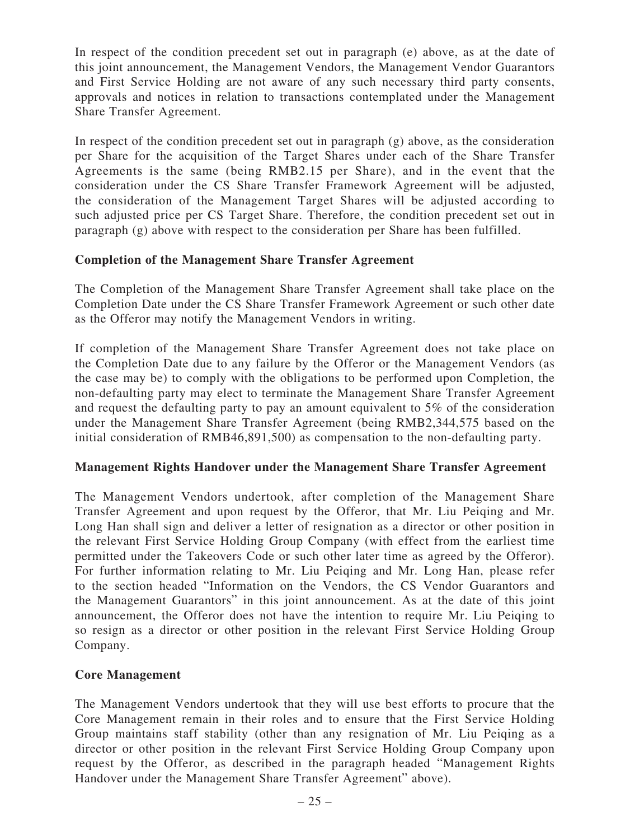In respect of the condition precedent set out in paragraph (e) above, as at the date of this joint announcement, the Management Vendors, the Management Vendor Guarantors and First Service Holding are not aware of any such necessary third party consents, approvals and notices in relation to transactions contemplated under the Management Share Transfer Agreement.

In respect of the condition precedent set out in paragraph (g) above, as the consideration per Share for the acquisition of the Target Shares under each of the Share Transfer Agreements is the same (being RMB2.15 per Share), and in the event that the consideration under the CS Share Transfer Framework Agreement will be adjusted, the consideration of the Management Target Shares will be adjusted according to such adjusted price per CS Target Share. Therefore, the condition precedent set out in paragraph (g) above with respect to the consideration per Share has been fulfilled.

## **Completion of the Management Share Transfer Agreement**

The Completion of the Management Share Transfer Agreement shall take place on the Completion Date under the CS Share Transfer Framework Agreement or such other date as the Offeror may notify the Management Vendors in writing.

If completion of the Management Share Transfer Agreement does not take place on the Completion Date due to any failure by the Offeror or the Management Vendors (as the case may be) to comply with the obligations to be performed upon Completion, the non-defaulting party may elect to terminate the Management Share Transfer Agreement and request the defaulting party to pay an amount equivalent to 5% of the consideration under the Management Share Transfer Agreement (being RMB2,344,575 based on the initial consideration of RMB46,891,500) as compensation to the non-defaulting party.

#### **Management Rights Handover under the Management Share Transfer Agreement**

The Management Vendors undertook, after completion of the Management Share Transfer Agreement and upon request by the Offeror, that Mr. Liu Peiqing and Mr. Long Han shall sign and deliver a letter of resignation as a director or other position in the relevant First Service Holding Group Company (with effect from the earliest time permitted under the Takeovers Code or such other later time as agreed by the Offeror). For further information relating to Mr. Liu Peiqing and Mr. Long Han, please refer to the section headed "Information on the Vendors, the CS Vendor Guarantors and the Management Guarantors" in this joint announcement. As at the date of this joint announcement, the Offeror does not have the intention to require Mr. Liu Peiqing to so resign as a director or other position in the relevant First Service Holding Group Company.

#### **Core Management**

The Management Vendors undertook that they will use best efforts to procure that the Core Management remain in their roles and to ensure that the First Service Holding Group maintains staff stability (other than any resignation of Mr. Liu Peiqing as a director or other position in the relevant First Service Holding Group Company upon request by the Offeror, as described in the paragraph headed "Management Rights Handover under the Management Share Transfer Agreement" above).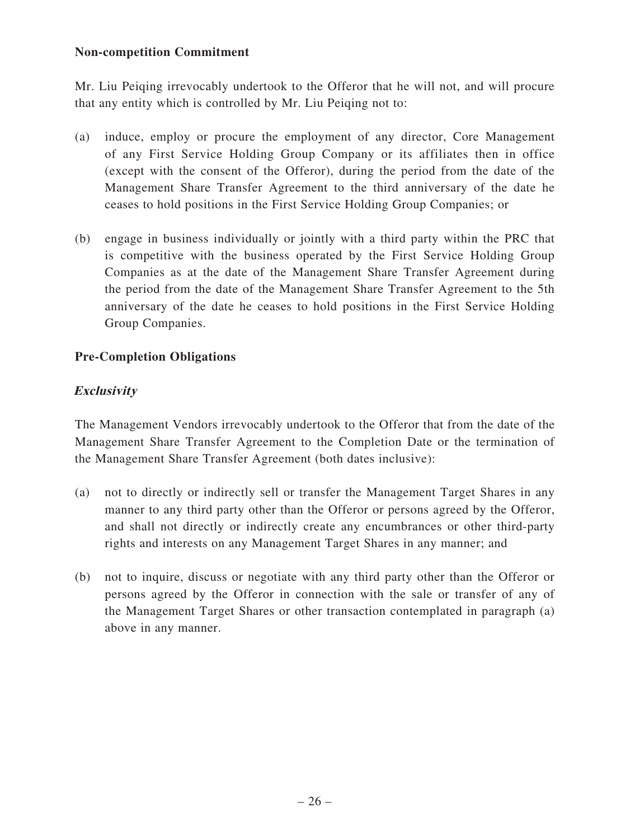#### **Non-competition Commitment**

Mr. Liu Peiqing irrevocably undertook to the Offeror that he will not, and will procure that any entity which is controlled by Mr. Liu Peiqing not to:

- (a) induce, employ or procure the employment of any director, Core Management of any First Service Holding Group Company or its affiliates then in office (except with the consent of the Offeror), during the period from the date of the Management Share Transfer Agreement to the third anniversary of the date he ceases to hold positions in the First Service Holding Group Companies; or
- (b) engage in business individually or jointly with a third party within the PRC that is competitive with the business operated by the First Service Holding Group Companies as at the date of the Management Share Transfer Agreement during the period from the date of the Management Share Transfer Agreement to the 5th anniversary of the date he ceases to hold positions in the First Service Holding Group Companies.

## **Pre-Completion Obligations**

# **Exclusivity**

The Management Vendors irrevocably undertook to the Offeror that from the date of the Management Share Transfer Agreement to the Completion Date or the termination of the Management Share Transfer Agreement (both dates inclusive):

- (a) not to directly or indirectly sell or transfer the Management Target Shares in any manner to any third party other than the Offeror or persons agreed by the Offeror, and shall not directly or indirectly create any encumbrances or other third-party rights and interests on any Management Target Shares in any manner; and
- (b) not to inquire, discuss or negotiate with any third party other than the Offeror or persons agreed by the Offeror in connection with the sale or transfer of any of the Management Target Shares or other transaction contemplated in paragraph (a) above in any manner.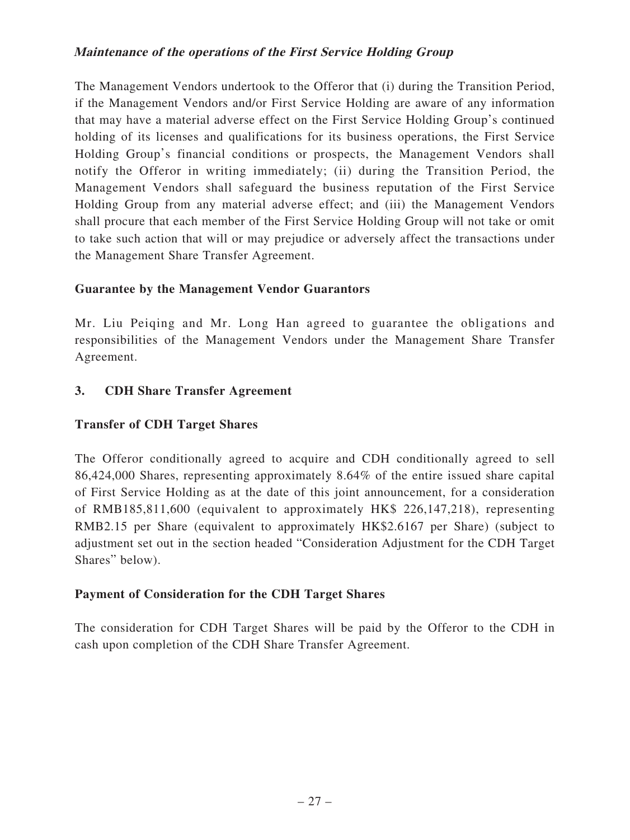#### **Maintenance of the operations of the First Service Holding Group**

The Management Vendors undertook to the Offeror that (i) during the Transition Period, if the Management Vendors and/or First Service Holding are aware of any information that may have a material adverse effect on the First Service Holding Group's continued holding of its licenses and qualifications for its business operations, the First Service Holding Group's financial conditions or prospects, the Management Vendors shall notify the Offeror in writing immediately; (ii) during the Transition Period, the Management Vendors shall safeguard the business reputation of the First Service Holding Group from any material adverse effect; and (iii) the Management Vendors shall procure that each member of the First Service Holding Group will not take or omit to take such action that will or may prejudice or adversely affect the transactions under the Management Share Transfer Agreement.

#### **Guarantee by the Management Vendor Guarantors**

Mr. Liu Peiqing and Mr. Long Han agreed to guarantee the obligations and responsibilities of the Management Vendors under the Management Share Transfer Agreement.

## **3. CDH Share Transfer Agreement**

## **Transfer of CDH Target Shares**

The Offeror conditionally agreed to acquire and CDH conditionally agreed to sell 86,424,000 Shares, representing approximately 8.64% of the entire issued share capital of First Service Holding as at the date of this joint announcement, for a consideration of RMB185,811,600 (equivalent to approximately HK\$ 226,147,218), representing RMB2.15 per Share (equivalent to approximately HK\$2.6167 per Share) (subject to adjustment set out in the section headed "Consideration Adjustment for the CDH Target Shares" below).

#### **Payment of Consideration for the CDH Target Shares**

The consideration for CDH Target Shares will be paid by the Offeror to the CDH in cash upon completion of the CDH Share Transfer Agreement.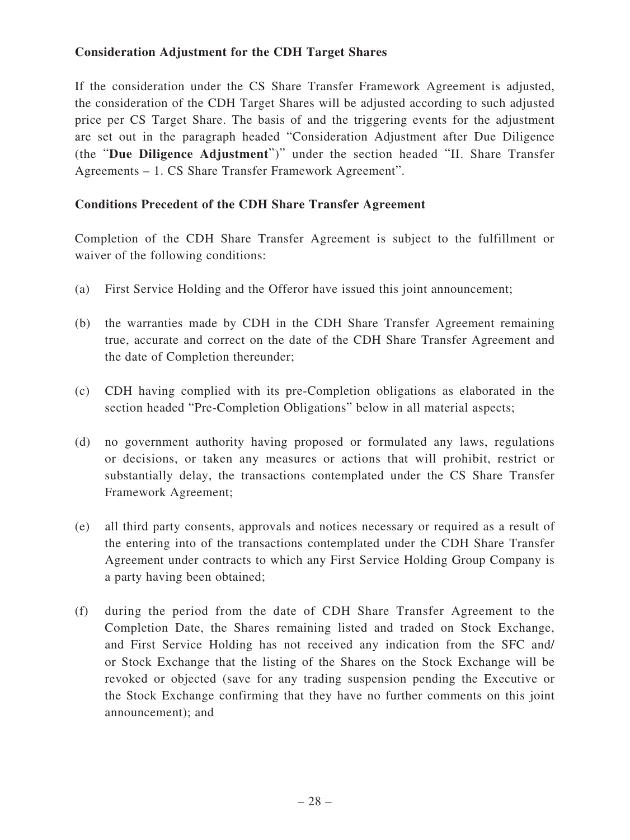## **Consideration Adjustment for the CDH Target Shares**

If the consideration under the CS Share Transfer Framework Agreement is adjusted, the consideration of the CDH Target Shares will be adjusted according to such adjusted price per CS Target Share. The basis of and the triggering events for the adjustment are set out in the paragraph headed "Consideration Adjustment after Due Diligence (the "**Due Diligence Adjustment**")" under the section headed "II. Share Transfer Agreements – 1. CS Share Transfer Framework Agreement".

#### **Conditions Precedent of the CDH Share Transfer Agreement**

Completion of the CDH Share Transfer Agreement is subject to the fulfillment or waiver of the following conditions:

- (a) First Service Holding and the Offeror have issued this joint announcement;
- (b) the warranties made by CDH in the CDH Share Transfer Agreement remaining true, accurate and correct on the date of the CDH Share Transfer Agreement and the date of Completion thereunder;
- (c) CDH having complied with its pre-Completion obligations as elaborated in the section headed "Pre-Completion Obligations" below in all material aspects;
- (d) no government authority having proposed or formulated any laws, regulations or decisions, or taken any measures or actions that will prohibit, restrict or substantially delay, the transactions contemplated under the CS Share Transfer Framework Agreement;
- (e) all third party consents, approvals and notices necessary or required as a result of the entering into of the transactions contemplated under the CDH Share Transfer Agreement under contracts to which any First Service Holding Group Company is a party having been obtained;
- (f) during the period from the date of CDH Share Transfer Agreement to the Completion Date, the Shares remaining listed and traded on Stock Exchange, and First Service Holding has not received any indication from the SFC and/ or Stock Exchange that the listing of the Shares on the Stock Exchange will be revoked or objected (save for any trading suspension pending the Executive or the Stock Exchange confirming that they have no further comments on this joint announcement); and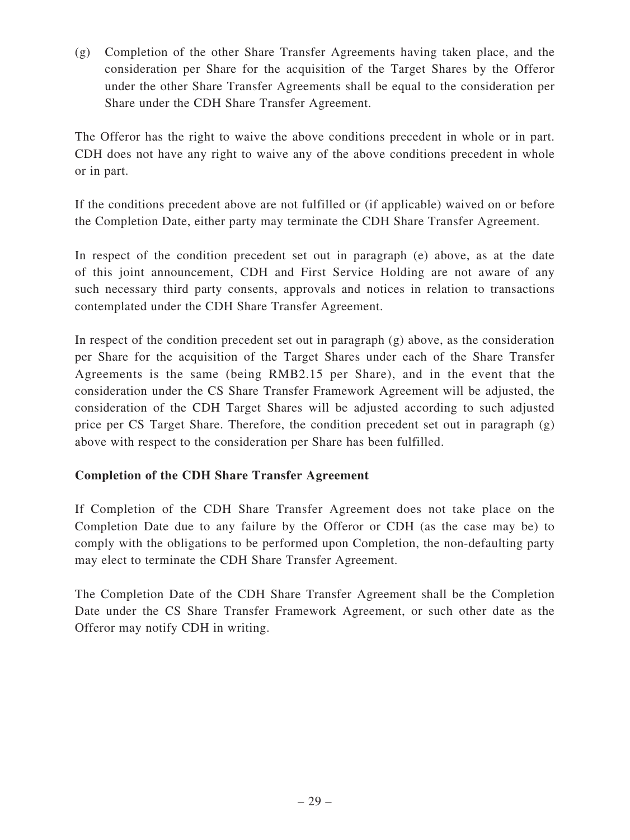(g) Completion of the other Share Transfer Agreements having taken place, and the consideration per Share for the acquisition of the Target Shares by the Offeror under the other Share Transfer Agreements shall be equal to the consideration per Share under the CDH Share Transfer Agreement.

The Offeror has the right to waive the above conditions precedent in whole or in part. CDH does not have any right to waive any of the above conditions precedent in whole or in part.

If the conditions precedent above are not fulfilled or (if applicable) waived on or before the Completion Date, either party may terminate the CDH Share Transfer Agreement.

In respect of the condition precedent set out in paragraph (e) above, as at the date of this joint announcement, CDH and First Service Holding are not aware of any such necessary third party consents, approvals and notices in relation to transactions contemplated under the CDH Share Transfer Agreement.

In respect of the condition precedent set out in paragraph (g) above, as the consideration per Share for the acquisition of the Target Shares under each of the Share Transfer Agreements is the same (being RMB2.15 per Share), and in the event that the consideration under the CS Share Transfer Framework Agreement will be adjusted, the consideration of the CDH Target Shares will be adjusted according to such adjusted price per CS Target Share. Therefore, the condition precedent set out in paragraph (g) above with respect to the consideration per Share has been fulfilled.

## **Completion of the CDH Share Transfer Agreement**

If Completion of the CDH Share Transfer Agreement does not take place on the Completion Date due to any failure by the Offeror or CDH (as the case may be) to comply with the obligations to be performed upon Completion, the non-defaulting party may elect to terminate the CDH Share Transfer Agreement.

The Completion Date of the CDH Share Transfer Agreement shall be the Completion Date under the CS Share Transfer Framework Agreement, or such other date as the Offeror may notify CDH in writing.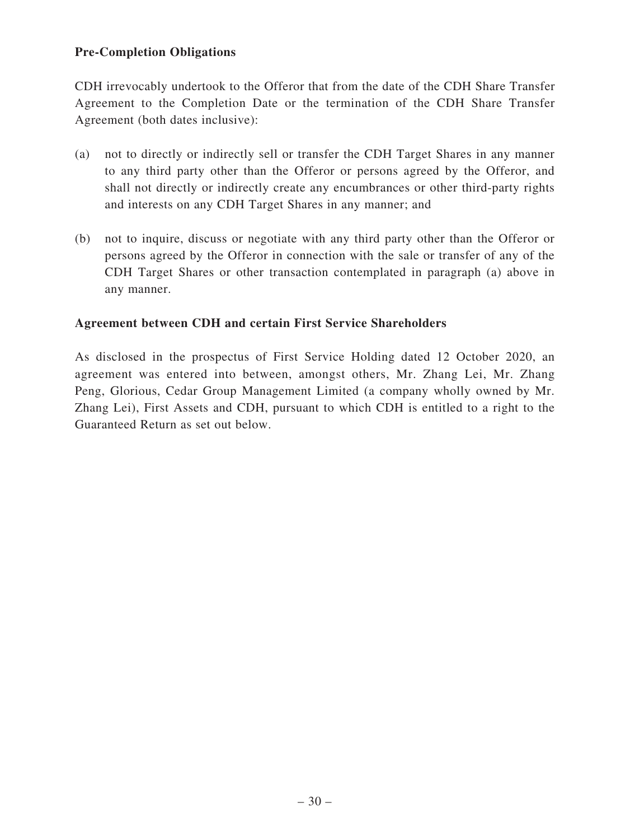## **Pre-Completion Obligations**

CDH irrevocably undertook to the Offeror that from the date of the CDH Share Transfer Agreement to the Completion Date or the termination of the CDH Share Transfer Agreement (both dates inclusive):

- (a) not to directly or indirectly sell or transfer the CDH Target Shares in any manner to any third party other than the Offeror or persons agreed by the Offeror, and shall not directly or indirectly create any encumbrances or other third-party rights and interests on any CDH Target Shares in any manner; and
- (b) not to inquire, discuss or negotiate with any third party other than the Offeror or persons agreed by the Offeror in connection with the sale or transfer of any of the CDH Target Shares or other transaction contemplated in paragraph (a) above in any manner.

#### **Agreement between CDH and certain First Service Shareholders**

As disclosed in the prospectus of First Service Holding dated 12 October 2020, an agreement was entered into between, amongst others, Mr. Zhang Lei, Mr. Zhang Peng, Glorious, Cedar Group Management Limited (a company wholly owned by Mr. Zhang Lei), First Assets and CDH, pursuant to which CDH is entitled to a right to the Guaranteed Return as set out below.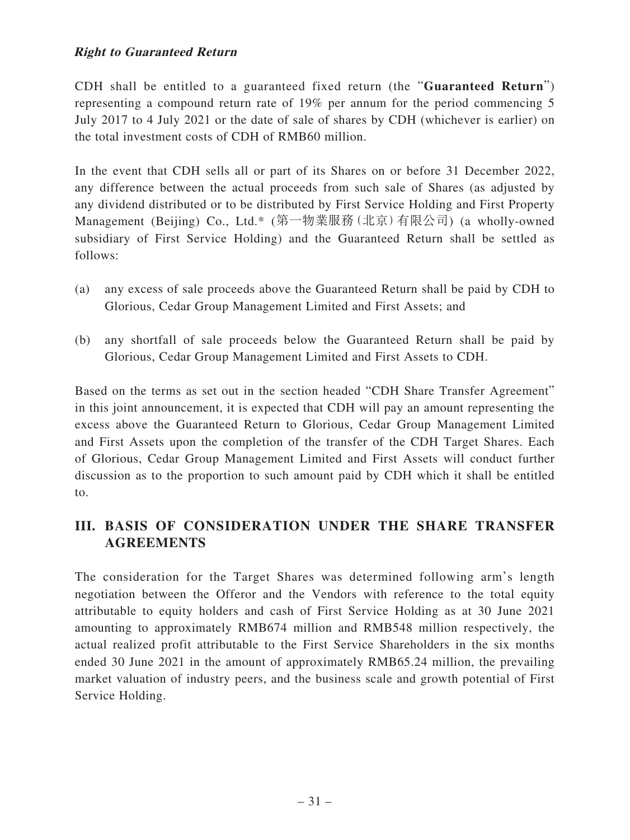## **Right to Guaranteed Return**

CDH shall be entitled to a guaranteed fixed return (the "**Guaranteed Return**") representing a compound return rate of 19% per annum for the period commencing 5 July 2017 to 4 July 2021 or the date of sale of shares by CDH (whichever is earlier) on the total investment costs of CDH of RMB60 million.

In the event that CDH sells all or part of its Shares on or before 31 December 2022, any difference between the actual proceeds from such sale of Shares (as adjusted by any dividend distributed or to be distributed by First Service Holding and First Property Management (Beijing) Co., Ltd.\* (第一物業服務(北京)有限公司) (a wholly-owned subsidiary of First Service Holding) and the Guaranteed Return shall be settled as follows:

- (a) any excess of sale proceeds above the Guaranteed Return shall be paid by CDH to Glorious, Cedar Group Management Limited and First Assets; and
- (b) any shortfall of sale proceeds below the Guaranteed Return shall be paid by Glorious, Cedar Group Management Limited and First Assets to CDH.

Based on the terms as set out in the section headed "CDH Share Transfer Agreement" in this joint announcement, it is expected that CDH will pay an amount representing the excess above the Guaranteed Return to Glorious, Cedar Group Management Limited and First Assets upon the completion of the transfer of the CDH Target Shares. Each of Glorious, Cedar Group Management Limited and First Assets will conduct further discussion as to the proportion to such amount paid by CDH which it shall be entitled to.

# **III. BASIS OF CONSIDERATION UNDER THE SHARE TRANSFER AGREEMENTS**

The consideration for the Target Shares was determined following arm's length negotiation between the Offeror and the Vendors with reference to the total equity attributable to equity holders and cash of First Service Holding as at 30 June 2021 amounting to approximately RMB674 million and RMB548 million respectively, the actual realized profit attributable to the First Service Shareholders in the six months ended 30 June 2021 in the amount of approximately RMB65.24 million, the prevailing market valuation of industry peers, and the business scale and growth potential of First Service Holding.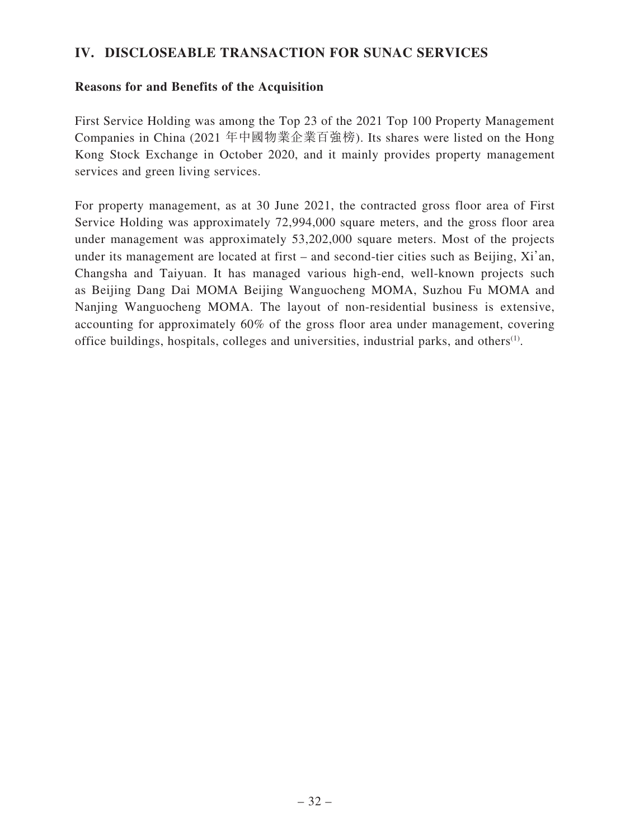## **IV. DISCLOSEABLE TRANSACTION FOR SUNAC SERVICES**

#### **Reasons for and Benefits of the Acquisition**

First Service Holding was among the Top 23 of the 2021 Top 100 Property Management Companies in China (2021 年中國物業企業百強榜). Its shares were listed on the Hong Kong Stock Exchange in October 2020, and it mainly provides property management services and green living services.

For property management, as at 30 June 2021, the contracted gross floor area of First Service Holding was approximately 72,994,000 square meters, and the gross floor area under management was approximately 53,202,000 square meters. Most of the projects under its management are located at first – and second-tier cities such as Beijing, Xi'an, Changsha and Taiyuan. It has managed various high-end, well-known projects such as Beijing Dang Dai MOMA Beijing Wanguocheng MOMA, Suzhou Fu MOMA and Nanjing Wanguocheng MOMA. The layout of non-residential business is extensive, accounting for approximately 60% of the gross floor area under management, covering office buildings, hospitals, colleges and universities, industrial parks, and others(1).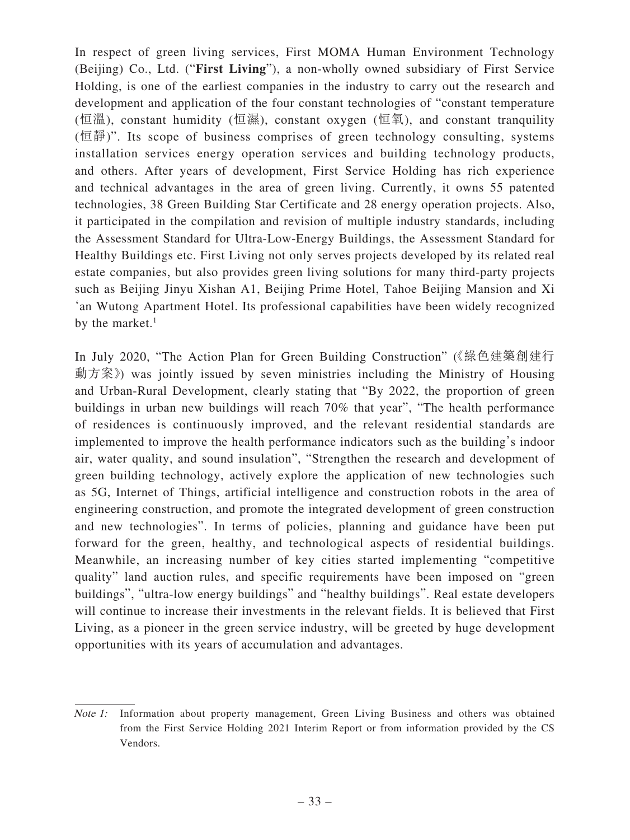In respect of green living services, First MOMA Human Environment Technology (Beijing) Co., Ltd. ("**First Living**"), a non-wholly owned subsidiary of First Service Holding, is one of the earliest companies in the industry to carry out the research and development and application of the four constant technologies of "constant temperature (恒溫), constant humidity (恒濕), constant oxygen (恒氧), and constant tranquility (恒靜)". Its scope of business comprises of green technology consulting, systems installation services energy operation services and building technology products, and others. After years of development, First Service Holding has rich experience and technical advantages in the area of green living. Currently, it owns 55 patented technologies, 38 Green Building Star Certificate and 28 energy operation projects. Also, it participated in the compilation and revision of multiple industry standards, including the Assessment Standard for Ultra-Low-Energy Buildings, the Assessment Standard for Healthy Buildings etc. First Living not only serves projects developed by its related real estate companies, but also provides green living solutions for many third-party projects such as Beijing Jinyu Xishan A1, Beijing Prime Hotel, Tahoe Beijing Mansion and Xi 'an Wutong Apartment Hotel. Its professional capabilities have been widely recognized by the market. $1$ 

In July 2020, "The Action Plan for Green Building Construction" (《綠色建築創建行 動方案》) was jointly issued by seven ministries including the Ministry of Housing and Urban-Rural Development, clearly stating that "By 2022, the proportion of green buildings in urban new buildings will reach 70% that year", "The health performance of residences is continuously improved, and the relevant residential standards are implemented to improve the health performance indicators such as the building's indoor air, water quality, and sound insulation", "Strengthen the research and development of green building technology, actively explore the application of new technologies such as 5G, Internet of Things, artificial intelligence and construction robots in the area of engineering construction, and promote the integrated development of green construction and new technologies". In terms of policies, planning and guidance have been put forward for the green, healthy, and technological aspects of residential buildings. Meanwhile, an increasing number of key cities started implementing "competitive quality" land auction rules, and specific requirements have been imposed on "green buildings", "ultra-low energy buildings" and "healthy buildings". Real estate developers will continue to increase their investments in the relevant fields. It is believed that First Living, as a pioneer in the green service industry, will be greeted by huge development opportunities with its years of accumulation and advantages.

Note 1: Information about property management, Green Living Business and others was obtained from the First Service Holding 2021 Interim Report or from information provided by the CS Vendors.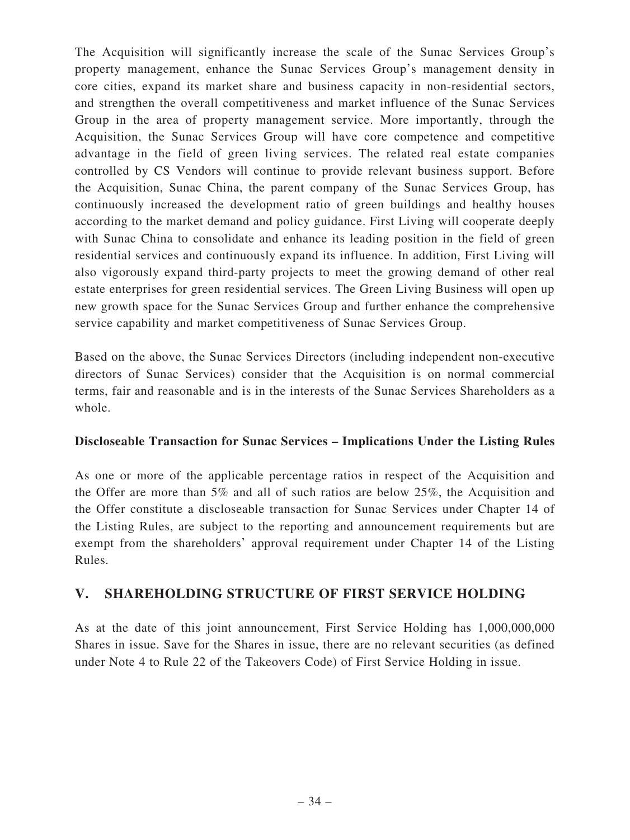The Acquisition will significantly increase the scale of the Sunac Services Group's property management, enhance the Sunac Services Group's management density in core cities, expand its market share and business capacity in non-residential sectors, and strengthen the overall competitiveness and market influence of the Sunac Services Group in the area of property management service. More importantly, through the Acquisition, the Sunac Services Group will have core competence and competitive advantage in the field of green living services. The related real estate companies controlled by CS Vendors will continue to provide relevant business support. Before the Acquisition, Sunac China, the parent company of the Sunac Services Group, has continuously increased the development ratio of green buildings and healthy houses according to the market demand and policy guidance. First Living will cooperate deeply with Sunac China to consolidate and enhance its leading position in the field of green residential services and continuously expand its influence. In addition, First Living will also vigorously expand third-party projects to meet the growing demand of other real estate enterprises for green residential services. The Green Living Business will open up new growth space for the Sunac Services Group and further enhance the comprehensive service capability and market competitiveness of Sunac Services Group.

Based on the above, the Sunac Services Directors (including independent non-executive directors of Sunac Services) consider that the Acquisition is on normal commercial terms, fair and reasonable and is in the interests of the Sunac Services Shareholders as a whole.

#### **Discloseable Transaction for Sunac Services – Implications Under the Listing Rules**

As one or more of the applicable percentage ratios in respect of the Acquisition and the Offer are more than 5% and all of such ratios are below 25%, the Acquisition and the Offer constitute a discloseable transaction for Sunac Services under Chapter 14 of the Listing Rules, are subject to the reporting and announcement requirements but are exempt from the shareholders' approval requirement under Chapter 14 of the Listing Rules.

## **V. SHAREHOLDING STRUCTURE OF FIRST SERVICE HOLDING**

As at the date of this joint announcement, First Service Holding has 1,000,000,000 Shares in issue. Save for the Shares in issue, there are no relevant securities (as defined under Note 4 to Rule 22 of the Takeovers Code) of First Service Holding in issue.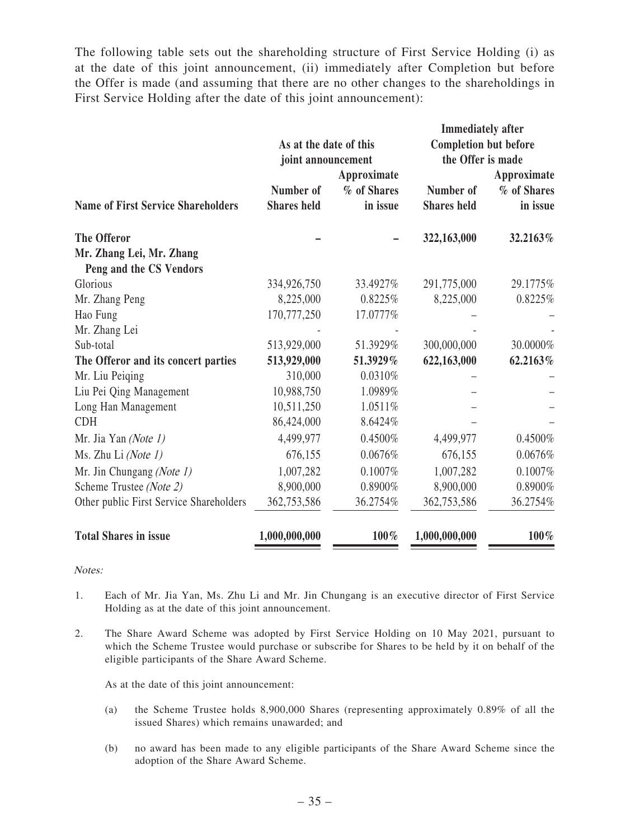The following table sets out the shareholding structure of First Service Holding (i) as at the date of this joint announcement, (ii) immediately after Completion but before the Offer is made (and assuming that there are no other changes to the shareholdings in First Service Holding after the date of this joint announcement):

|                                           |                        |             | <b>Immediately after</b>     |             |
|-------------------------------------------|------------------------|-------------|------------------------------|-------------|
|                                           | As at the date of this |             | <b>Completion but before</b> |             |
|                                           | joint announcement     |             | the Offer is made            |             |
|                                           |                        | Approximate |                              | Approximate |
|                                           | Number of              | % of Shares | Number of                    | % of Shares |
| <b>Name of First Service Shareholders</b> | <b>Shares</b> held     | in issue    | <b>Shares</b> held           | in issue    |
| <b>The Offeror</b>                        |                        |             | 322,163,000                  | 32.2163%    |
| Mr. Zhang Lei, Mr. Zhang                  |                        |             |                              |             |
| Peng and the CS Vendors                   |                        |             |                              |             |
| Glorious                                  | 334,926,750            | 33.4927%    | 291,775,000                  | 29.1775%    |
| Mr. Zhang Peng                            | 8,225,000              | 0.8225%     | 8,225,000                    | 0.8225%     |
| Hao Fung                                  | 170,777,250            | 17.0777%    |                              |             |
| Mr. Zhang Lei                             |                        |             |                              |             |
| Sub-total                                 | 513,929,000            | 51.3929%    | 300,000,000                  | 30.0000%    |
| The Offeror and its concert parties       | 513,929,000            | 51.3929%    | 622,163,000                  | 62.2163%    |
| Mr. Liu Peiqing                           | 310,000                | $0.0310\%$  |                              |             |
| Liu Pei Qing Management                   | 10,988,750             | 1.0989%     |                              |             |
| Long Han Management                       | 10,511,250             | 1.0511%     |                              |             |
| <b>CDH</b>                                | 86,424,000             | 8.6424%     |                              |             |
| Mr. Jia Yan (Note 1)                      | 4,499,977              | 0.4500%     | 4,499,977                    | 0.4500%     |
| Ms. Zhu Li (Note 1)                       | 676,155                | 0.0676%     | 676,155                      | 0.0676%     |
| Mr. Jin Chungang (Note 1)                 | 1,007,282              | 0.1007%     | 1,007,282                    | 0.1007%     |
| Scheme Trustee (Note 2)                   | 8,900,000              | 0.8900%     | 8,900,000                    | 0.8900%     |
| Other public First Service Shareholders   | 362,753,586            | 36.2754%    | 362,753,586                  | 36.2754%    |
| <b>Total Shares in issue</b>              | 1,000,000,000          | 100%        | 1,000,000,000                | 100%        |

Notes:

- 1. Each of Mr. Jia Yan, Ms. Zhu Li and Mr. Jin Chungang is an executive director of First Service Holding as at the date of this joint announcement.
- 2. The Share Award Scheme was adopted by First Service Holding on 10 May 2021, pursuant to which the Scheme Trustee would purchase or subscribe for Shares to be held by it on behalf of the eligible participants of the Share Award Scheme.

As at the date of this joint announcement:

- (a) the Scheme Trustee holds 8,900,000 Shares (representing approximately 0.89% of all the issued Shares) which remains unawarded; and
- (b) no award has been made to any eligible participants of the Share Award Scheme since the adoption of the Share Award Scheme.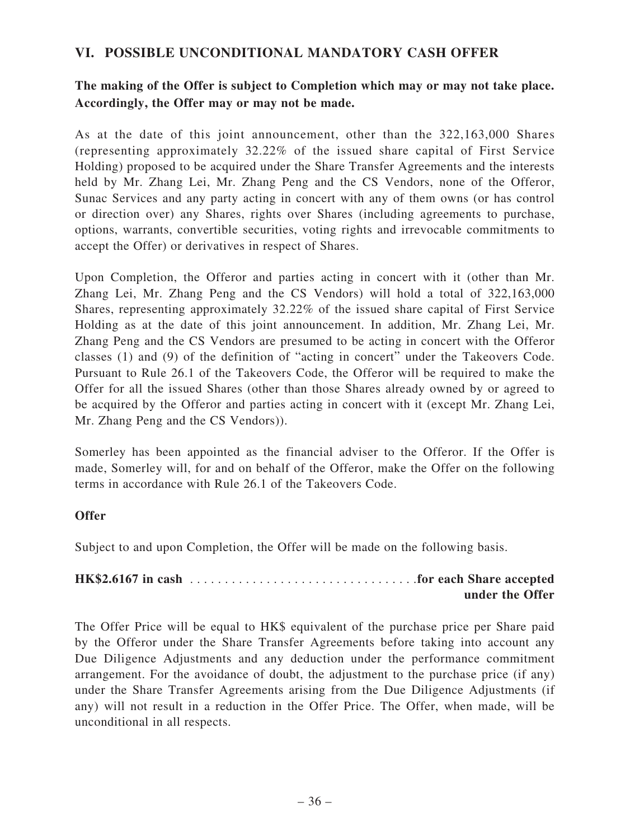## **VI. POSSIBLE UNCONDITIONAL MANDATORY CASH OFFER**

**The making of the Offer is subject to Completion which may or may not take place. Accordingly, the Offer may or may not be made.**

As at the date of this joint announcement, other than the 322,163,000 Shares (representing approximately 32.22% of the issued share capital of First Service Holding) proposed to be acquired under the Share Transfer Agreements and the interests held by Mr. Zhang Lei, Mr. Zhang Peng and the CS Vendors, none of the Offeror, Sunac Services and any party acting in concert with any of them owns (or has control or direction over) any Shares, rights over Shares (including agreements to purchase, options, warrants, convertible securities, voting rights and irrevocable commitments to accept the Offer) or derivatives in respect of Shares.

Upon Completion, the Offeror and parties acting in concert with it (other than Mr. Zhang Lei, Mr. Zhang Peng and the CS Vendors) will hold a total of 322,163,000 Shares, representing approximately 32.22% of the issued share capital of First Service Holding as at the date of this joint announcement. In addition, Mr. Zhang Lei, Mr. Zhang Peng and the CS Vendors are presumed to be acting in concert with the Offeror classes (1) and (9) of the definition of "acting in concert" under the Takeovers Code. Pursuant to Rule 26.1 of the Takeovers Code, the Offeror will be required to make the Offer for all the issued Shares (other than those Shares already owned by or agreed to be acquired by the Offeror and parties acting in concert with it (except Mr. Zhang Lei, Mr. Zhang Peng and the CS Vendors)).

Somerley has been appointed as the financial adviser to the Offeror. If the Offer is made, Somerley will, for and on behalf of the Offeror, make the Offer on the following terms in accordance with Rule 26.1 of the Takeovers Code.

#### **Offer**

Subject to and upon Completion, the Offer will be made on the following basis.

**HK\$2.6167 in cash** . . . . . . . . . . . . . . . . . . . . . . . . . . . . . . . . .**for each Share accepted under the Offer**

The Offer Price will be equal to HK\$ equivalent of the purchase price per Share paid by the Offeror under the Share Transfer Agreements before taking into account any Due Diligence Adjustments and any deduction under the performance commitment arrangement. For the avoidance of doubt, the adjustment to the purchase price (if any) under the Share Transfer Agreements arising from the Due Diligence Adjustments (if any) will not result in a reduction in the Offer Price. The Offer, when made, will be unconditional in all respects.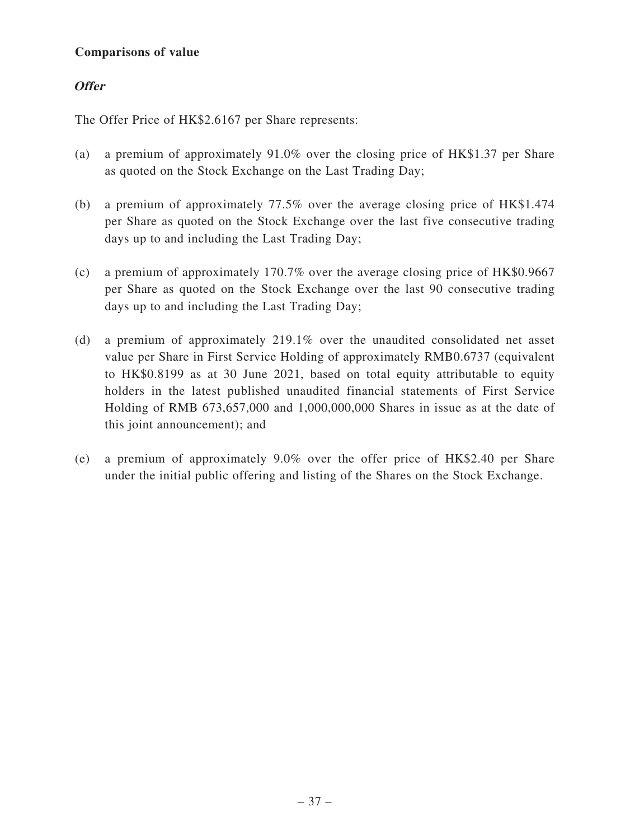## **Comparisons of value**

## **Offer**

The Offer Price of HK\$2.6167 per Share represents:

- (a) a premium of approximately 91.0% over the closing price of HK\$1.37 per Share as quoted on the Stock Exchange on the Last Trading Day;
- (b) a premium of approximately 77.5% over the average closing price of HK\$1.474 per Share as quoted on the Stock Exchange over the last five consecutive trading days up to and including the Last Trading Day;
- (c) a premium of approximately 170.7% over the average closing price of HK\$0.9667 per Share as quoted on the Stock Exchange over the last 90 consecutive trading days up to and including the Last Trading Day;
- (d) a premium of approximately 219.1% over the unaudited consolidated net asset value per Share in First Service Holding of approximately RMB0.6737 (equivalent to HK\$0.8199 as at 30 June 2021, based on total equity attributable to equity holders in the latest published unaudited financial statements of First Service Holding of RMB 673,657,000 and 1,000,000,000 Shares in issue as at the date of this joint announcement); and
- (e) a premium of approximately 9.0% over the offer price of HK\$2.40 per Share under the initial public offering and listing of the Shares on the Stock Exchange.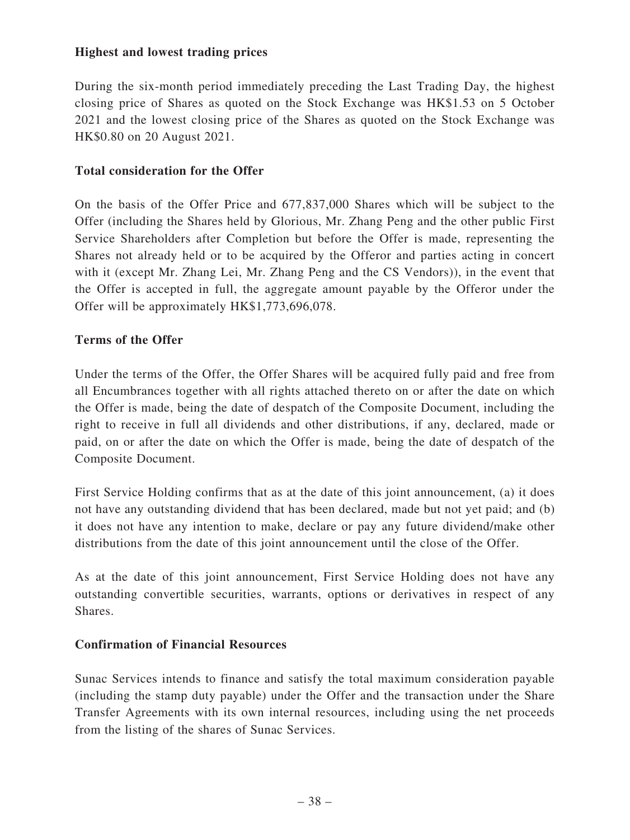#### **Highest and lowest trading prices**

During the six-month period immediately preceding the Last Trading Day, the highest closing price of Shares as quoted on the Stock Exchange was HK\$1.53 on 5 October 2021 and the lowest closing price of the Shares as quoted on the Stock Exchange was HK\$0.80 on 20 August 2021.

#### **Total consideration for the Offer**

On the basis of the Offer Price and 677,837,000 Shares which will be subject to the Offer (including the Shares held by Glorious, Mr. Zhang Peng and the other public First Service Shareholders after Completion but before the Offer is made, representing the Shares not already held or to be acquired by the Offeror and parties acting in concert with it (except Mr. Zhang Lei, Mr. Zhang Peng and the CS Vendors)), in the event that the Offer is accepted in full, the aggregate amount payable by the Offeror under the Offer will be approximately HK\$1,773,696,078.

#### **Terms of the Offer**

Under the terms of the Offer, the Offer Shares will be acquired fully paid and free from all Encumbrances together with all rights attached thereto on or after the date on which the Offer is made, being the date of despatch of the Composite Document, including the right to receive in full all dividends and other distributions, if any, declared, made or paid, on or after the date on which the Offer is made, being the date of despatch of the Composite Document.

First Service Holding confirms that as at the date of this joint announcement, (a) it does not have any outstanding dividend that has been declared, made but not yet paid; and (b) it does not have any intention to make, declare or pay any future dividend/make other distributions from the date of this joint announcement until the close of the Offer.

As at the date of this joint announcement, First Service Holding does not have any outstanding convertible securities, warrants, options or derivatives in respect of any Shares.

#### **Confirmation of Financial Resources**

Sunac Services intends to finance and satisfy the total maximum consideration payable (including the stamp duty payable) under the Offer and the transaction under the Share Transfer Agreements with its own internal resources, including using the net proceeds from the listing of the shares of Sunac Services.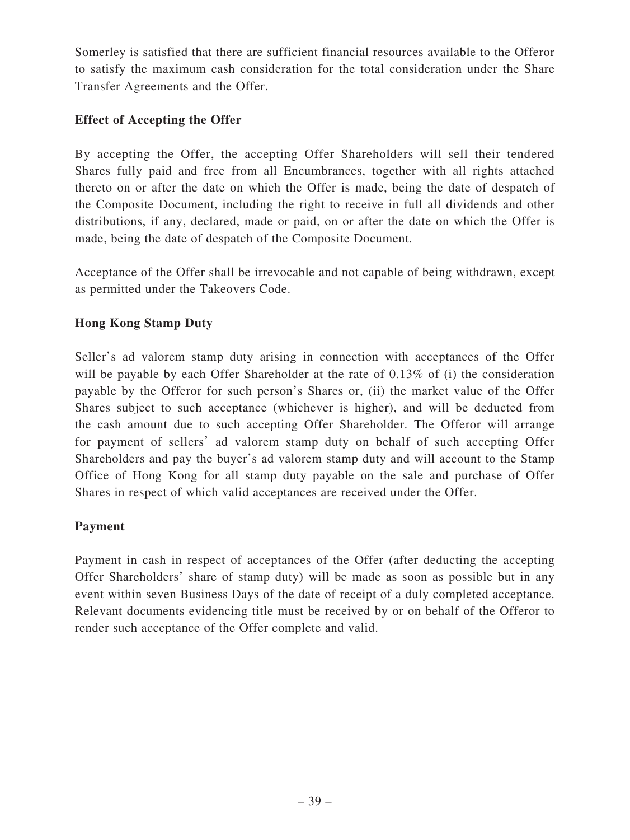Somerley is satisfied that there are sufficient financial resources available to the Offeror to satisfy the maximum cash consideration for the total consideration under the Share Transfer Agreements and the Offer.

## **Effect of Accepting the Offer**

By accepting the Offer, the accepting Offer Shareholders will sell their tendered Shares fully paid and free from all Encumbrances, together with all rights attached thereto on or after the date on which the Offer is made, being the date of despatch of the Composite Document, including the right to receive in full all dividends and other distributions, if any, declared, made or paid, on or after the date on which the Offer is made, being the date of despatch of the Composite Document.

Acceptance of the Offer shall be irrevocable and not capable of being withdrawn, except as permitted under the Takeovers Code.

## **Hong Kong Stamp Duty**

Seller's ad valorem stamp duty arising in connection with acceptances of the Offer will be payable by each Offer Shareholder at the rate of 0.13% of (i) the consideration payable by the Offeror for such person's Shares or, (ii) the market value of the Offer Shares subject to such acceptance (whichever is higher), and will be deducted from the cash amount due to such accepting Offer Shareholder. The Offeror will arrange for payment of sellers' ad valorem stamp duty on behalf of such accepting Offer Shareholders and pay the buyer's ad valorem stamp duty and will account to the Stamp Office of Hong Kong for all stamp duty payable on the sale and purchase of Offer Shares in respect of which valid acceptances are received under the Offer.

## **Payment**

Payment in cash in respect of acceptances of the Offer (after deducting the accepting Offer Shareholders' share of stamp duty) will be made as soon as possible but in any event within seven Business Days of the date of receipt of a duly completed acceptance. Relevant documents evidencing title must be received by or on behalf of the Offeror to render such acceptance of the Offer complete and valid.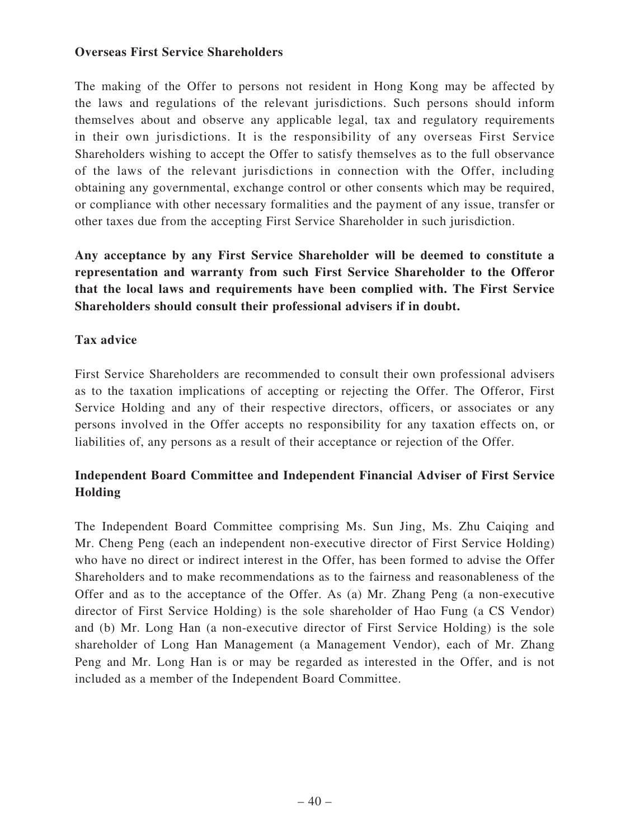#### **Overseas First Service Shareholders**

The making of the Offer to persons not resident in Hong Kong may be affected by the laws and regulations of the relevant jurisdictions. Such persons should inform themselves about and observe any applicable legal, tax and regulatory requirements in their own jurisdictions. It is the responsibility of any overseas First Service Shareholders wishing to accept the Offer to satisfy themselves as to the full observance of the laws of the relevant jurisdictions in connection with the Offer, including obtaining any governmental, exchange control or other consents which may be required, or compliance with other necessary formalities and the payment of any issue, transfer or other taxes due from the accepting First Service Shareholder in such jurisdiction.

**Any acceptance by any First Service Shareholder will be deemed to constitute a representation and warranty from such First Service Shareholder to the Offeror that the local laws and requirements have been complied with. The First Service Shareholders should consult their professional advisers if in doubt.**

## **Tax advice**

First Service Shareholders are recommended to consult their own professional advisers as to the taxation implications of accepting or rejecting the Offer. The Offeror, First Service Holding and any of their respective directors, officers, or associates or any persons involved in the Offer accepts no responsibility for any taxation effects on, or liabilities of, any persons as a result of their acceptance or rejection of the Offer.

# **Independent Board Committee and Independent Financial Adviser of First Service Holding**

The Independent Board Committee comprising Ms. Sun Jing, Ms. Zhu Caiqing and Mr. Cheng Peng (each an independent non-executive director of First Service Holding) who have no direct or indirect interest in the Offer, has been formed to advise the Offer Shareholders and to make recommendations as to the fairness and reasonableness of the Offer and as to the acceptance of the Offer. As (a) Mr. Zhang Peng (a non-executive director of First Service Holding) is the sole shareholder of Hao Fung (a CS Vendor) and (b) Mr. Long Han (a non-executive director of First Service Holding) is the sole shareholder of Long Han Management (a Management Vendor), each of Mr. Zhang Peng and Mr. Long Han is or may be regarded as interested in the Offer, and is not included as a member of the Independent Board Committee.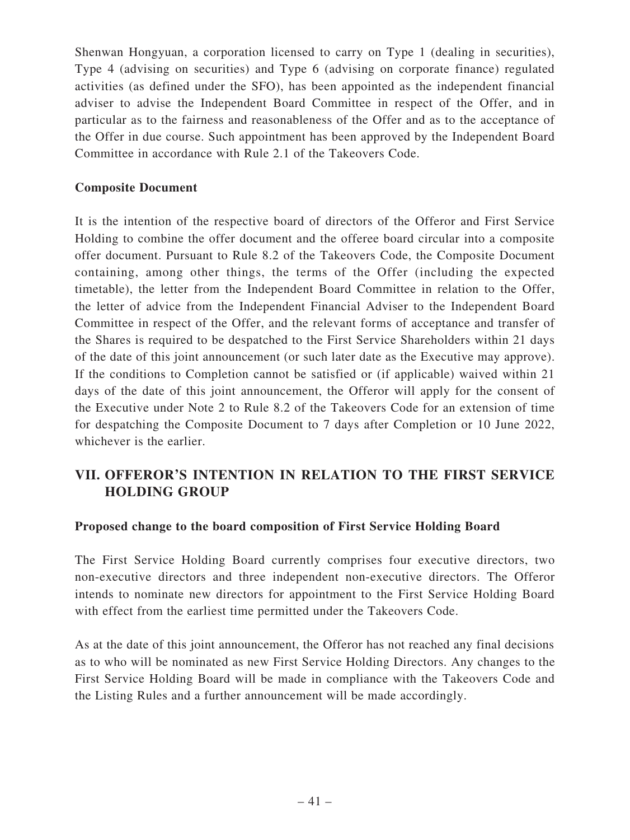Shenwan Hongyuan, a corporation licensed to carry on Type 1 (dealing in securities), Type 4 (advising on securities) and Type 6 (advising on corporate finance) regulated activities (as defined under the SFO), has been appointed as the independent financial adviser to advise the Independent Board Committee in respect of the Offer, and in particular as to the fairness and reasonableness of the Offer and as to the acceptance of the Offer in due course. Such appointment has been approved by the Independent Board Committee in accordance with Rule 2.1 of the Takeovers Code.

#### **Composite Document**

It is the intention of the respective board of directors of the Offeror and First Service Holding to combine the offer document and the offeree board circular into a composite offer document. Pursuant to Rule 8.2 of the Takeovers Code, the Composite Document containing, among other things, the terms of the Offer (including the expected timetable), the letter from the Independent Board Committee in relation to the Offer, the letter of advice from the Independent Financial Adviser to the Independent Board Committee in respect of the Offer, and the relevant forms of acceptance and transfer of the Shares is required to be despatched to the First Service Shareholders within 21 days of the date of this joint announcement (or such later date as the Executive may approve). If the conditions to Completion cannot be satisfied or (if applicable) waived within 21 days of the date of this joint announcement, the Offeror will apply for the consent of the Executive under Note 2 to Rule 8.2 of the Takeovers Code for an extension of time for despatching the Composite Document to 7 days after Completion or 10 June 2022, whichever is the earlier.

# **VII. OFFEROR'S INTENTION IN RELATION TO THE FIRST SERVICE HOLDING GROUP**

#### **Proposed change to the board composition of First Service Holding Board**

The First Service Holding Board currently comprises four executive directors, two non-executive directors and three independent non-executive directors. The Offeror intends to nominate new directors for appointment to the First Service Holding Board with effect from the earliest time permitted under the Takeovers Code.

As at the date of this joint announcement, the Offeror has not reached any final decisions as to who will be nominated as new First Service Holding Directors. Any changes to the First Service Holding Board will be made in compliance with the Takeovers Code and the Listing Rules and a further announcement will be made accordingly.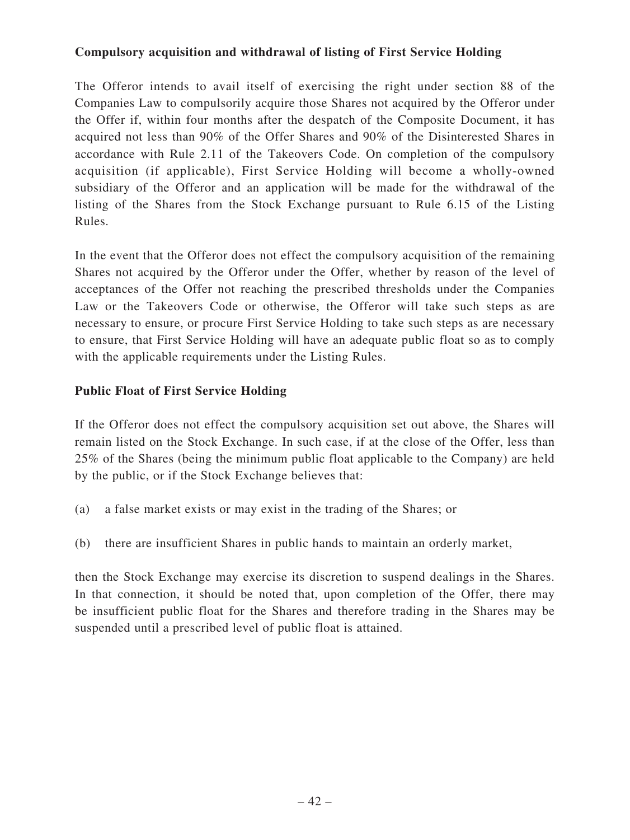## **Compulsory acquisition and withdrawal of listing of First Service Holding**

The Offeror intends to avail itself of exercising the right under section 88 of the Companies Law to compulsorily acquire those Shares not acquired by the Offeror under the Offer if, within four months after the despatch of the Composite Document, it has acquired not less than 90% of the Offer Shares and 90% of the Disinterested Shares in accordance with Rule 2.11 of the Takeovers Code. On completion of the compulsory acquisition (if applicable), First Service Holding will become a wholly-owned subsidiary of the Offeror and an application will be made for the withdrawal of the listing of the Shares from the Stock Exchange pursuant to Rule 6.15 of the Listing Rules.

In the event that the Offeror does not effect the compulsory acquisition of the remaining Shares not acquired by the Offeror under the Offer, whether by reason of the level of acceptances of the Offer not reaching the prescribed thresholds under the Companies Law or the Takeovers Code or otherwise, the Offeror will take such steps as are necessary to ensure, or procure First Service Holding to take such steps as are necessary to ensure, that First Service Holding will have an adequate public float so as to comply with the applicable requirements under the Listing Rules.

## **Public Float of First Service Holding**

If the Offeror does not effect the compulsory acquisition set out above, the Shares will remain listed on the Stock Exchange. In such case, if at the close of the Offer, less than 25% of the Shares (being the minimum public float applicable to the Company) are held by the public, or if the Stock Exchange believes that:

- (a) a false market exists or may exist in the trading of the Shares; or
- (b) there are insufficient Shares in public hands to maintain an orderly market,

then the Stock Exchange may exercise its discretion to suspend dealings in the Shares. In that connection, it should be noted that, upon completion of the Offer, there may be insufficient public float for the Shares and therefore trading in the Shares may be suspended until a prescribed level of public float is attained.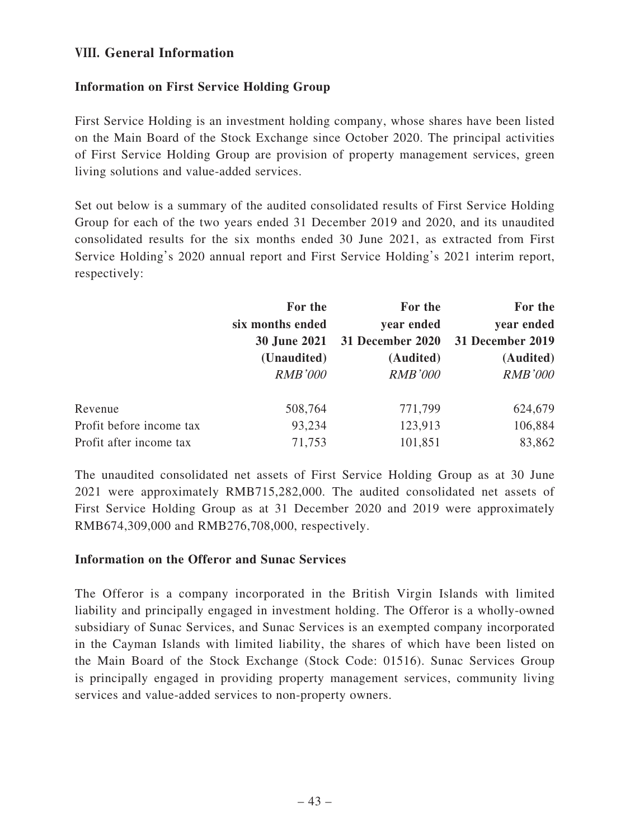## **VIII. General Information**

## **Information on First Service Holding Group**

First Service Holding is an investment holding company, whose shares have been listed on the Main Board of the Stock Exchange since October 2020. The principal activities of First Service Holding Group are provision of property management services, green living solutions and value-added services.

Set out below is a summary of the audited consolidated results of First Service Holding Group for each of the two years ended 31 December 2019 and 2020, and its unaudited consolidated results for the six months ended 30 June 2021, as extracted from First Service Holding's 2020 annual report and First Service Holding's 2021 interim report, respectively:

|                          | For the             | For the          | For the          |
|--------------------------|---------------------|------------------|------------------|
|                          | six months ended    | year ended       | year ended       |
|                          | <b>30 June 2021</b> | 31 December 2020 | 31 December 2019 |
|                          | (Unaudited)         | (Audited)        | (Audited)        |
|                          | <b>RMB'000</b>      | <b>RMB'000</b>   | <b>RMB'000</b>   |
| Revenue                  | 508,764             | 771,799          | 624,679          |
| Profit before income tax | 93,234              | 123,913          | 106,884          |
| Profit after income tax  | 71,753              | 101,851          | 83,862           |

The unaudited consolidated net assets of First Service Holding Group as at 30 June 2021 were approximately RMB715,282,000. The audited consolidated net assets of First Service Holding Group as at 31 December 2020 and 2019 were approximately RMB674,309,000 and RMB276,708,000, respectively.

#### **Information on the Offeror and Sunac Services**

The Offeror is a company incorporated in the British Virgin Islands with limited liability and principally engaged in investment holding. The Offeror is a wholly-owned subsidiary of Sunac Services, and Sunac Services is an exempted company incorporated in the Cayman Islands with limited liability, the shares of which have been listed on the Main Board of the Stock Exchange (Stock Code: 01516). Sunac Services Group is principally engaged in providing property management services, community living services and value-added services to non-property owners.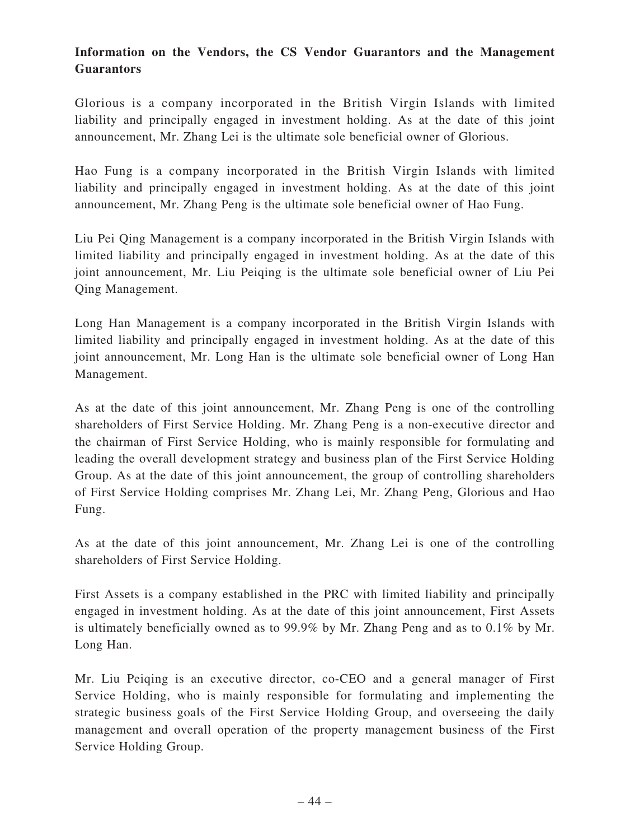# **Information on the Vendors, the CS Vendor Guarantors and the Management Guarantors**

Glorious is a company incorporated in the British Virgin Islands with limited liability and principally engaged in investment holding. As at the date of this joint announcement, Mr. Zhang Lei is the ultimate sole beneficial owner of Glorious.

Hao Fung is a company incorporated in the British Virgin Islands with limited liability and principally engaged in investment holding. As at the date of this joint announcement, Mr. Zhang Peng is the ultimate sole beneficial owner of Hao Fung.

Liu Pei Qing Management is a company incorporated in the British Virgin Islands with limited liability and principally engaged in investment holding. As at the date of this joint announcement, Mr. Liu Peiqing is the ultimate sole beneficial owner of Liu Pei Qing Management.

Long Han Management is a company incorporated in the British Virgin Islands with limited liability and principally engaged in investment holding. As at the date of this joint announcement, Mr. Long Han is the ultimate sole beneficial owner of Long Han Management.

As at the date of this joint announcement, Mr. Zhang Peng is one of the controlling shareholders of First Service Holding. Mr. Zhang Peng is a non-executive director and the chairman of First Service Holding, who is mainly responsible for formulating and leading the overall development strategy and business plan of the First Service Holding Group. As at the date of this joint announcement, the group of controlling shareholders of First Service Holding comprises Mr. Zhang Lei, Mr. Zhang Peng, Glorious and Hao Fung.

As at the date of this joint announcement, Mr. Zhang Lei is one of the controlling shareholders of First Service Holding.

First Assets is a company established in the PRC with limited liability and principally engaged in investment holding. As at the date of this joint announcement, First Assets is ultimately beneficially owned as to 99.9% by Mr. Zhang Peng and as to 0.1% by Mr. Long Han.

Mr. Liu Peiqing is an executive director, co-CEO and a general manager of First Service Holding, who is mainly responsible for formulating and implementing the strategic business goals of the First Service Holding Group, and overseeing the daily management and overall operation of the property management business of the First Service Holding Group.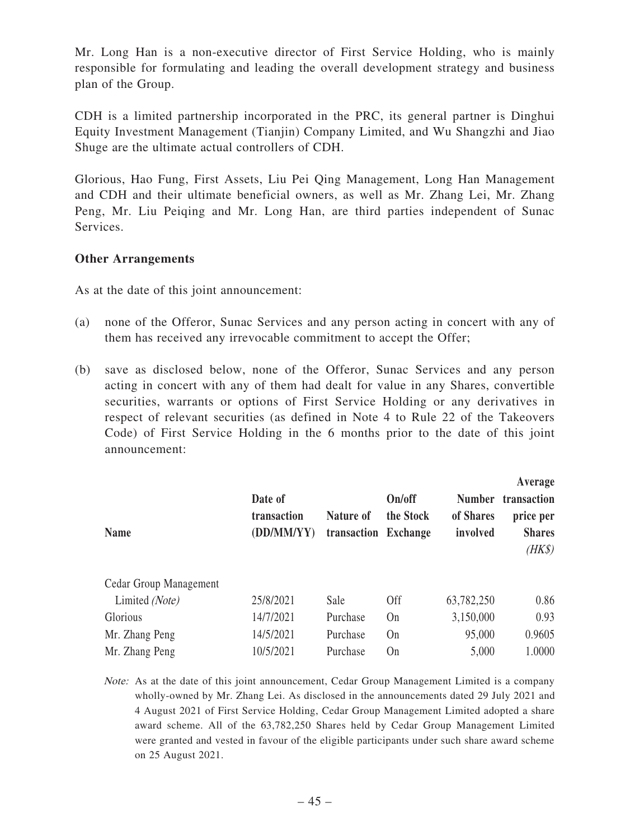Mr. Long Han is a non-executive director of First Service Holding, who is mainly responsible for formulating and leading the overall development strategy and business plan of the Group.

CDH is a limited partnership incorporated in the PRC, its general partner is Dinghui Equity Investment Management (Tianjin) Company Limited, and Wu Shangzhi and Jiao Shuge are the ultimate actual controllers of CDH.

Glorious, Hao Fung, First Assets, Liu Pei Qing Management, Long Han Management and CDH and their ultimate beneficial owners, as well as Mr. Zhang Lei, Mr. Zhang Peng, Mr. Liu Peiqing and Mr. Long Han, are third parties independent of Sunac Services.

#### **Other Arrangements**

As at the date of this joint announcement:

- (a) none of the Offeror, Sunac Services and any person acting in concert with any of them has received any irrevocable commitment to accept the Offer;
- (b) save as disclosed below, none of the Offeror, Sunac Services and any person acting in concert with any of them had dealt for value in any Shares, convertible securities, warrants or options of First Service Holding or any derivatives in respect of relevant securities (as defined in Note 4 to Rule 22 of the Takeovers Code) of First Service Holding in the 6 months prior to the date of this joint announcement:

| <b>Name</b>            | Date of<br>transaction<br>(DD/MM/YY) | Nature of<br>transaction | On/off<br>the Stock<br><b>Exchange</b> | <b>Number</b><br>of Shares<br>involved | Average<br>transaction<br>price per<br><b>Shares</b><br>$(HK\$ |
|------------------------|--------------------------------------|--------------------------|----------------------------------------|----------------------------------------|----------------------------------------------------------------|
| Cedar Group Management |                                      |                          |                                        |                                        |                                                                |
| Limited (Note)         | 25/8/2021                            | Sale                     | <b>Off</b>                             | 63,782,250                             | 0.86                                                           |
| Glorious               | 14/7/2021                            | Purchase                 | On                                     | 3,150,000                              | 0.93                                                           |
| Mr. Zhang Peng         | 14/5/2021                            | Purchase                 | On                                     | 95,000                                 | 0.9605                                                         |
| Mr. Zhang Peng         | 10/5/2021                            | Purchase                 | On                                     | 5,000                                  | 1.0000                                                         |

Note: As at the date of this joint announcement, Cedar Group Management Limited is a company wholly-owned by Mr. Zhang Lei. As disclosed in the announcements dated 29 July 2021 and 4 August 2021 of First Service Holding, Cedar Group Management Limited adopted a share award scheme. All of the 63,782,250 Shares held by Cedar Group Management Limited were granted and vested in favour of the eligible participants under such share award scheme on 25 August 2021.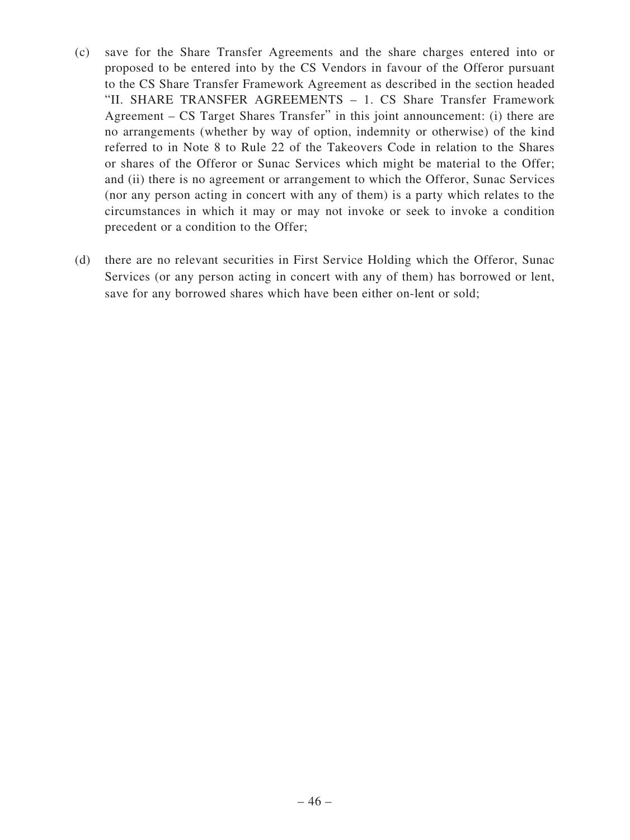- (c) save for the Share Transfer Agreements and the share charges entered into or proposed to be entered into by the CS Vendors in favour of the Offeror pursuant to the CS Share Transfer Framework Agreement as described in the section headed "II. SHARE TRANSFER AGREEMENTS – 1. CS Share Transfer Framework Agreement – CS Target Shares Transfer" in this joint announcement: (i) there are no arrangements (whether by way of option, indemnity or otherwise) of the kind referred to in Note 8 to Rule 22 of the Takeovers Code in relation to the Shares or shares of the Offeror or Sunac Services which might be material to the Offer; and (ii) there is no agreement or arrangement to which the Offeror, Sunac Services (nor any person acting in concert with any of them) is a party which relates to the circumstances in which it may or may not invoke or seek to invoke a condition precedent or a condition to the Offer;
- (d) there are no relevant securities in First Service Holding which the Offeror, Sunac Services (or any person acting in concert with any of them) has borrowed or lent, save for any borrowed shares which have been either on-lent or sold;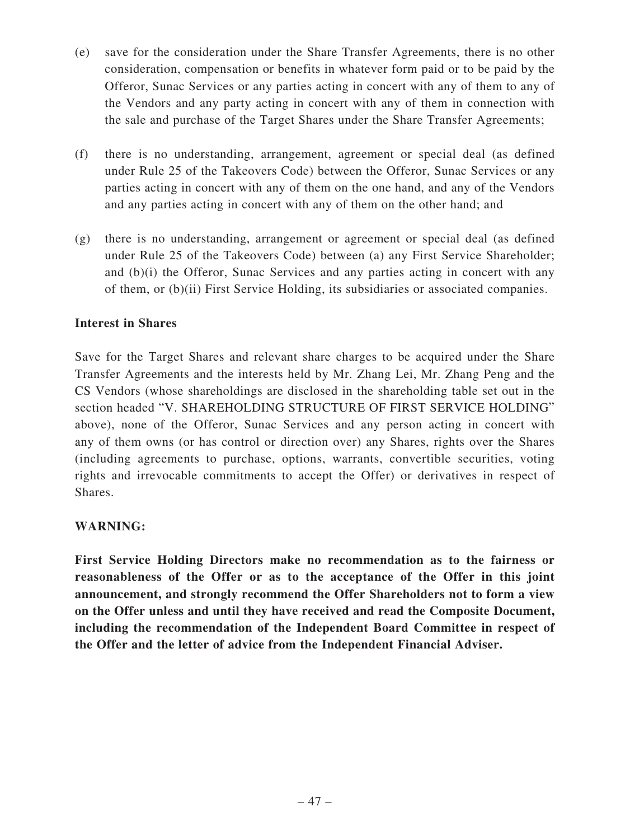- (e) save for the consideration under the Share Transfer Agreements, there is no other consideration, compensation or benefits in whatever form paid or to be paid by the Offeror, Sunac Services or any parties acting in concert with any of them to any of the Vendors and any party acting in concert with any of them in connection with the sale and purchase of the Target Shares under the Share Transfer Agreements;
- (f) there is no understanding, arrangement, agreement or special deal (as defined under Rule 25 of the Takeovers Code) between the Offeror, Sunac Services or any parties acting in concert with any of them on the one hand, and any of the Vendors and any parties acting in concert with any of them on the other hand; and
- (g) there is no understanding, arrangement or agreement or special deal (as defined under Rule 25 of the Takeovers Code) between (a) any First Service Shareholder; and (b)(i) the Offeror, Sunac Services and any parties acting in concert with any of them, or (b)(ii) First Service Holding, its subsidiaries or associated companies.

## **Interest in Shares**

Save for the Target Shares and relevant share charges to be acquired under the Share Transfer Agreements and the interests held by Mr. Zhang Lei, Mr. Zhang Peng and the CS Vendors (whose shareholdings are disclosed in the shareholding table set out in the section headed "V. SHAREHOLDING STRUCTURE OF FIRST SERVICE HOLDING" above), none of the Offeror, Sunac Services and any person acting in concert with any of them owns (or has control or direction over) any Shares, rights over the Shares (including agreements to purchase, options, warrants, convertible securities, voting rights and irrevocable commitments to accept the Offer) or derivatives in respect of Shares.

## **WARNING:**

**First Service Holding Directors make no recommendation as to the fairness or reasonableness of the Offer or as to the acceptance of the Offer in this joint announcement, and strongly recommend the Offer Shareholders not to form a view on the Offer unless and until they have received and read the Composite Document, including the recommendation of the Independent Board Committee in respect of the Offer and the letter of advice from the Independent Financial Adviser.**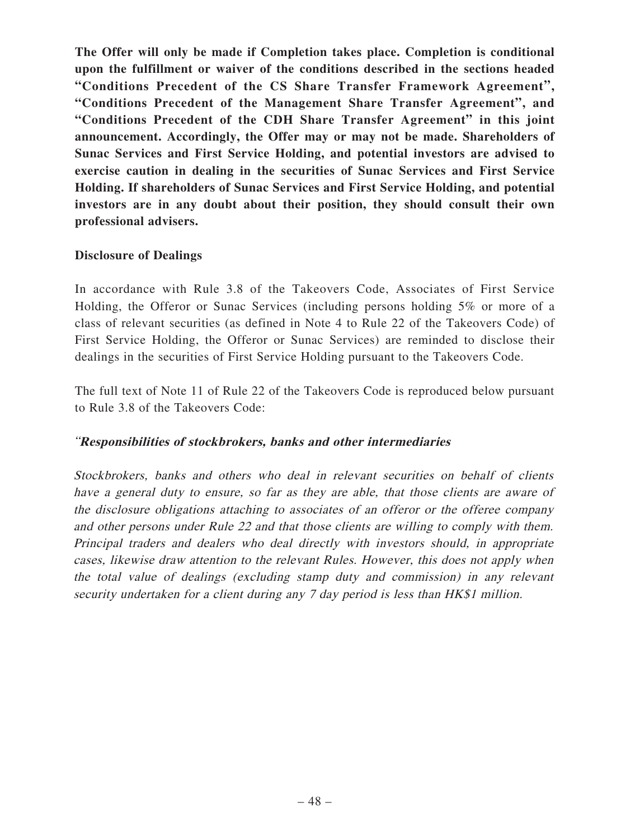**The Offer will only be made if Completion takes place. Completion is conditional upon the fulfillment or waiver of the conditions described in the sections headed "Conditions Precedent of the CS Share Transfer Framework Agreement", "Conditions Precedent of the Management Share Transfer Agreement", and "Conditions Precedent of the CDH Share Transfer Agreement" in this joint announcement. Accordingly, the Offer may or may not be made. Shareholders of Sunac Services and First Service Holding, and potential investors are advised to exercise caution in dealing in the securities of Sunac Services and First Service Holding. If shareholders of Sunac Services and First Service Holding, and potential investors are in any doubt about their position, they should consult their own professional advisers.**

#### **Disclosure of Dealings**

In accordance with Rule 3.8 of the Takeovers Code, Associates of First Service Holding, the Offeror or Sunac Services (including persons holding 5% or more of a class of relevant securities (as defined in Note 4 to Rule 22 of the Takeovers Code) of First Service Holding, the Offeror or Sunac Services) are reminded to disclose their dealings in the securities of First Service Holding pursuant to the Takeovers Code.

The full text of Note 11 of Rule 22 of the Takeovers Code is reproduced below pursuant to Rule 3.8 of the Takeovers Code:

#### "**Responsibilities of stockbrokers, banks and other intermediaries**

Stockbrokers, banks and others who deal in relevant securities on behalf of clients have a general duty to ensure, so far as they are able, that those clients are aware of the disclosure obligations attaching to associates of an offeror or the offeree company and other persons under Rule 22 and that those clients are willing to comply with them. Principal traders and dealers who deal directly with investors should, in appropriate cases, likewise draw attention to the relevant Rules. However, this does not apply when the total value of dealings (excluding stamp duty and commission) in any relevant security undertaken for a client during any 7 day period is less than HK\$1 million.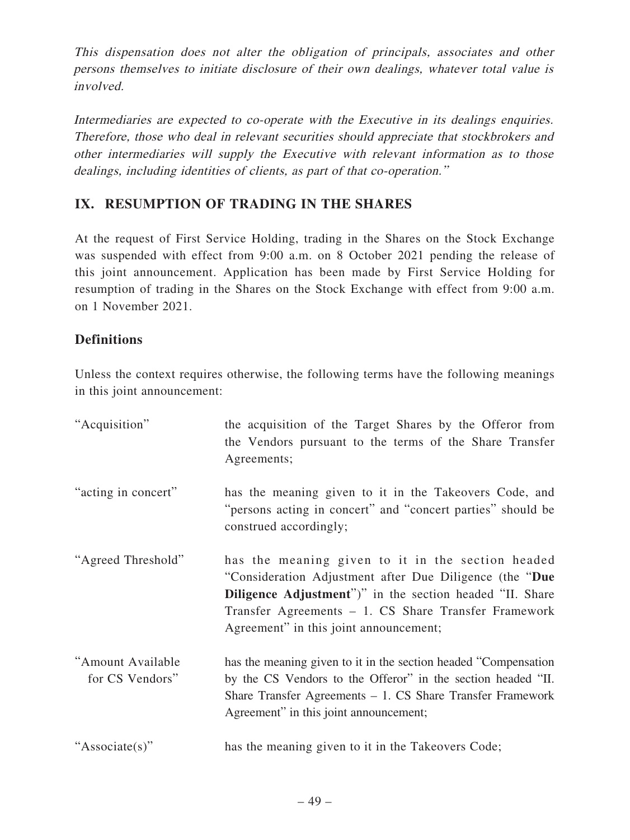This dispensation does not alter the obligation of principals, associates and other persons themselves to initiate disclosure of their own dealings, whatever total value is involved.

Intermediaries are expected to co-operate with the Executive in its dealings enquiries. Therefore, those who deal in relevant securities should appreciate that stockbrokers and other intermediaries will supply the Executive with relevant information as to those dealings, including identities of clients, as part of that co-operation."

# **IX. RESUMPTION OF TRADING IN THE SHARES**

At the request of First Service Holding, trading in the Shares on the Stock Exchange was suspended with effect from 9:00 a.m. on 8 October 2021 pending the release of this joint announcement. Application has been made by First Service Holding for resumption of trading in the Shares on the Stock Exchange with effect from 9:00 a.m. on 1 November 2021.

# **Definitions**

Unless the context requires otherwise, the following terms have the following meanings in this joint announcement:

| "Acquisition"                        | the acquisition of the Target Shares by the Offeror from<br>the Vendors pursuant to the terms of the Share Transfer<br>Agreements;                                                                                                                                                 |
|--------------------------------------|------------------------------------------------------------------------------------------------------------------------------------------------------------------------------------------------------------------------------------------------------------------------------------|
| "acting in concert"                  | has the meaning given to it in the Takeovers Code, and<br>"persons acting in concert" and "concert parties" should be<br>construed accordingly;                                                                                                                                    |
| "Agreed Threshold"                   | has the meaning given to it in the section headed<br>"Consideration Adjustment after Due Diligence (the "Due<br><b>Diligence Adjustment</b> ")" in the section headed "II. Share<br>Transfer Agreements - 1. CS Share Transfer Framework<br>Agreement" in this joint announcement; |
| "Amount Available<br>for CS Vendors" | has the meaning given to it in the section headed "Compensation"<br>by the CS Vendors to the Offeror" in the section headed "II.<br>Share Transfer Agreements $-1$ . CS Share Transfer Framework<br>Agreement" in this joint announcement;                                         |
| "Associate(s)"                       | has the meaning given to it in the Takeovers Code;                                                                                                                                                                                                                                 |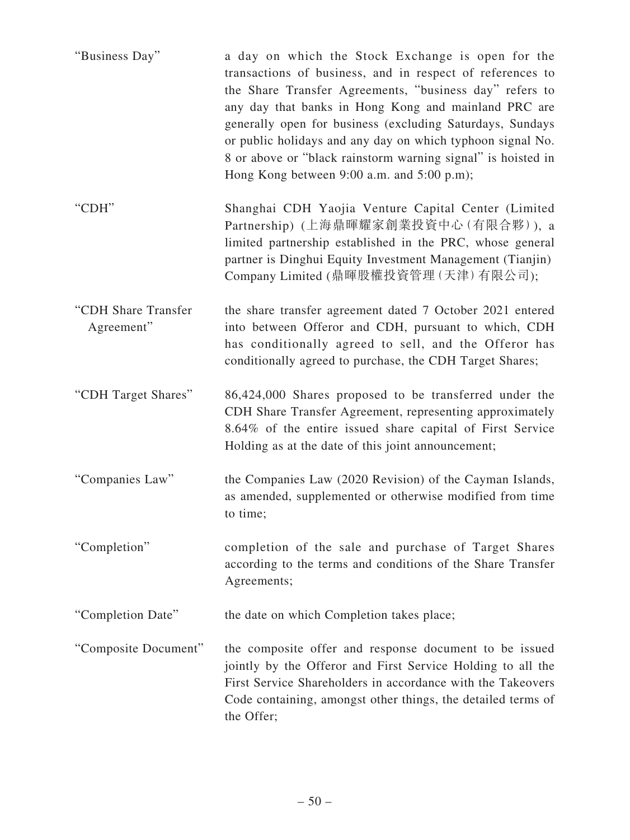| "Business Day"                    | a day on which the Stock Exchange is open for the<br>transactions of business, and in respect of references to<br>the Share Transfer Agreements, "business day" refers to<br>any day that banks in Hong Kong and mainland PRC are<br>generally open for business (excluding Saturdays, Sundays<br>or public holidays and any day on which typhoon signal No.<br>8 or above or "black rainstorm warning signal" is hoisted in<br>Hong Kong between 9:00 a.m. and 5:00 p.m); |
|-----------------------------------|----------------------------------------------------------------------------------------------------------------------------------------------------------------------------------------------------------------------------------------------------------------------------------------------------------------------------------------------------------------------------------------------------------------------------------------------------------------------------|
| "CDH"                             | Shanghai CDH Yaojia Venture Capital Center (Limited<br>Partnership) (上海鼎暉耀家創業投資中心(有限合夥)), a<br>limited partnership established in the PRC, whose general<br>partner is Dinghui Equity Investment Management (Tianjin)<br>Company Limited (鼎暉股權投資管理 (天津) 有限公司);                                                                                                                                                                                                             |
| "CDH Share Transfer<br>Agreement" | the share transfer agreement dated 7 October 2021 entered<br>into between Offeror and CDH, pursuant to which, CDH<br>has conditionally agreed to sell, and the Offeror has<br>conditionally agreed to purchase, the CDH Target Shares;                                                                                                                                                                                                                                     |
| "CDH Target Shares"               | 86,424,000 Shares proposed to be transferred under the<br>CDH Share Transfer Agreement, representing approximately<br>8.64% of the entire issued share capital of First Service<br>Holding as at the date of this joint announcement;                                                                                                                                                                                                                                      |
| "Companies Law"                   | the Companies Law (2020 Revision) of the Cayman Islands,<br>as amended, supplemented or otherwise modified from time<br>to time;                                                                                                                                                                                                                                                                                                                                           |
| "Completion"                      | completion of the sale and purchase of Target Shares<br>according to the terms and conditions of the Share Transfer<br>Agreements;                                                                                                                                                                                                                                                                                                                                         |
| "Completion Date"                 | the date on which Completion takes place;                                                                                                                                                                                                                                                                                                                                                                                                                                  |
| "Composite Document"              | the composite offer and response document to be issued<br>jointly by the Offeror and First Service Holding to all the<br>First Service Shareholders in accordance with the Takeovers<br>Code containing, amongst other things, the detailed terms of<br>the Offer;                                                                                                                                                                                                         |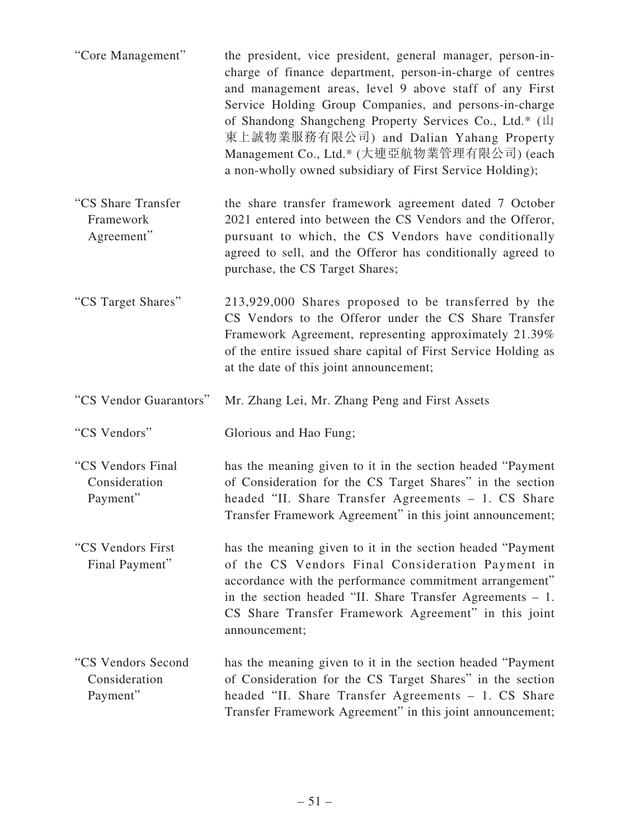| "Core Management"                              | the president, vice president, general manager, person-in-<br>charge of finance department, person-in-charge of centres<br>and management areas, level 9 above staff of any First<br>Service Holding Group Companies, and persons-in-charge<br>of Shandong Shangcheng Property Services Co., Ltd.* (山<br>東上誠物業服務有限公司) and Dalian Yahang Property<br>Management Co., Ltd.* (大連亞航物業管理有限公司) (each<br>a non-wholly owned subsidiary of First Service Holding); |
|------------------------------------------------|------------------------------------------------------------------------------------------------------------------------------------------------------------------------------------------------------------------------------------------------------------------------------------------------------------------------------------------------------------------------------------------------------------------------------------------------------------|
| "CS Share Transfer<br>Framework<br>Agreement"  | the share transfer framework agreement dated 7 October<br>2021 entered into between the CS Vendors and the Offeror,<br>pursuant to which, the CS Vendors have conditionally<br>agreed to sell, and the Offeror has conditionally agreed to<br>purchase, the CS Target Shares;                                                                                                                                                                              |
| "CS Target Shares"                             | 213,929,000 Shares proposed to be transferred by the<br>CS Vendors to the Offeror under the CS Share Transfer<br>Framework Agreement, representing approximately 21.39%<br>of the entire issued share capital of First Service Holding as<br>at the date of this joint announcement;                                                                                                                                                                       |
|                                                |                                                                                                                                                                                                                                                                                                                                                                                                                                                            |
| "CS Vendor Guarantors"                         | Mr. Zhang Lei, Mr. Zhang Peng and First Assets                                                                                                                                                                                                                                                                                                                                                                                                             |
| "CS Vendors"                                   | Glorious and Hao Fung;                                                                                                                                                                                                                                                                                                                                                                                                                                     |
| "CS Vendors Final<br>Consideration<br>Payment" | has the meaning given to it in the section headed "Payment<br>of Consideration for the CS Target Shares" in the section<br>headed "II. Share Transfer Agreements - 1. CS Share<br>Transfer Framework Agreement" in this joint announcement;                                                                                                                                                                                                                |
| "CS Vendors First<br>Final Payment"            | has the meaning given to it in the section headed "Payment"<br>of the CS Vendors Final Consideration Payment in<br>accordance with the performance commitment arrangement"<br>in the section headed "II. Share Transfer Agreements $-1$ .<br>CS Share Transfer Framework Agreement" in this joint<br>announcement;                                                                                                                                         |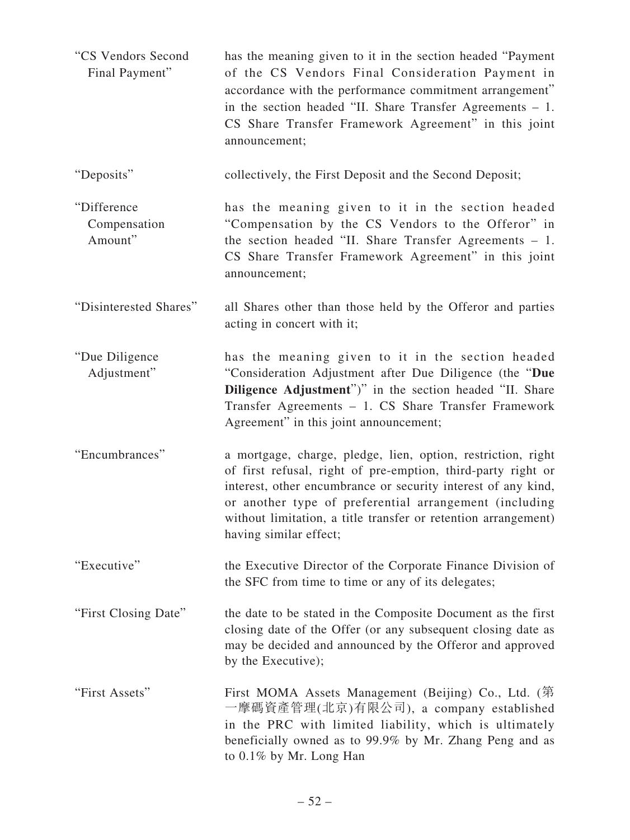| "CS Vendors Second<br>Final Payment"   | has the meaning given to it in the section headed "Payment"<br>of the CS Vendors Final Consideration Payment in<br>accordance with the performance commitment arrangement"<br>in the section headed "II. Share Transfer Agreements $-1$ .<br>CS Share Transfer Framework Agreement" in this joint<br>announcement;                                  |
|----------------------------------------|-----------------------------------------------------------------------------------------------------------------------------------------------------------------------------------------------------------------------------------------------------------------------------------------------------------------------------------------------------|
| "Deposits"                             | collectively, the First Deposit and the Second Deposit;                                                                                                                                                                                                                                                                                             |
| "Difference<br>Compensation<br>Amount" | has the meaning given to it in the section headed<br>"Compensation by the CS Vendors to the Offeror" in<br>the section headed "II. Share Transfer Agreements $-1$ .<br>CS Share Transfer Framework Agreement" in this joint<br>announcement;                                                                                                        |
| "Disinterested Shares"                 | all Shares other than those held by the Offeror and parties<br>acting in concert with it;                                                                                                                                                                                                                                                           |
| "Due Diligence<br>Adjustment"          | has the meaning given to it in the section headed<br>"Consideration Adjustment after Due Diligence (the "Due<br><b>Diligence Adjustment</b> ")" in the section headed "II. Share<br>Transfer Agreements - 1. CS Share Transfer Framework<br>Agreement" in this joint announcement;                                                                  |
| "Encumbrances"                         | a mortgage, charge, pledge, lien, option, restriction, right<br>of first refusal, right of pre-emption, third-party right or<br>interest, other encumbrance or security interest of any kind,<br>or another type of preferential arrangement (including<br>without limitation, a title transfer or retention arrangement)<br>having similar effect; |
| "Executive"                            | the Executive Director of the Corporate Finance Division of<br>the SFC from time to time or any of its delegates;                                                                                                                                                                                                                                   |
| "First Closing Date"                   | the date to be stated in the Composite Document as the first<br>closing date of the Offer (or any subsequent closing date as<br>may be decided and announced by the Offeror and approved<br>by the Executive);                                                                                                                                      |
| "First Assets"                         | First MOMA Assets Management (Beijing) Co., Ltd. (第<br>一摩碼資產管理(北京)有限公司), a company established<br>in the PRC with limited liability, which is ultimately<br>beneficially owned as to 99.9% by Mr. Zhang Peng and as<br>to 0.1% by Mr. Long Han                                                                                                      |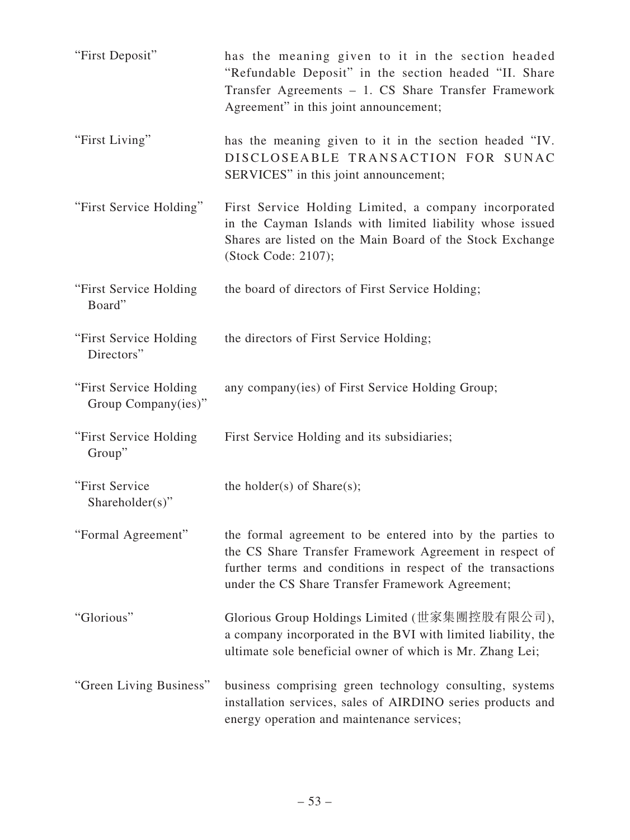| "First Deposit"                               | has the meaning given to it in the section headed<br>"Refundable Deposit" in the section headed "II. Share<br>Transfer Agreements - 1. CS Share Transfer Framework<br>Agreement" in this joint announcement;                            |
|-----------------------------------------------|-----------------------------------------------------------------------------------------------------------------------------------------------------------------------------------------------------------------------------------------|
| "First Living"                                | has the meaning given to it in the section headed "IV.<br>DISCLOSEABLE TRANSACTION FOR SUNAC<br>SERVICES" in this joint announcement;                                                                                                   |
| "First Service Holding"                       | First Service Holding Limited, a company incorporated<br>in the Cayman Islands with limited liability whose issued<br>Shares are listed on the Main Board of the Stock Exchange<br>(Stock Code: 2107);                                  |
| "First Service Holding<br>Board"              | the board of directors of First Service Holding;                                                                                                                                                                                        |
| "First Service Holding<br>Directors"          | the directors of First Service Holding;                                                                                                                                                                                                 |
| "First Service Holding<br>Group Company(ies)" | any company (ies) of First Service Holding Group;                                                                                                                                                                                       |
| "First Service Holding<br>Group"              | First Service Holding and its subsidiaries;                                                                                                                                                                                             |
| "First Service<br>Shareholder(s)"             | the holder(s) of $Share(s);$                                                                                                                                                                                                            |
| "Formal Agreement"                            | the formal agreement to be entered into by the parties to<br>the CS Share Transfer Framework Agreement in respect of<br>further terms and conditions in respect of the transactions<br>under the CS Share Transfer Framework Agreement; |
| "Glorious"                                    | Glorious Group Holdings Limited (世家集團控股有限公司),<br>a company incorporated in the BVI with limited liability, the<br>ultimate sole beneficial owner of which is Mr. Zhang Lei;                                                             |
| "Green Living Business"                       | business comprising green technology consulting, systems<br>installation services, sales of AIRDINO series products and<br>energy operation and maintenance services;                                                                   |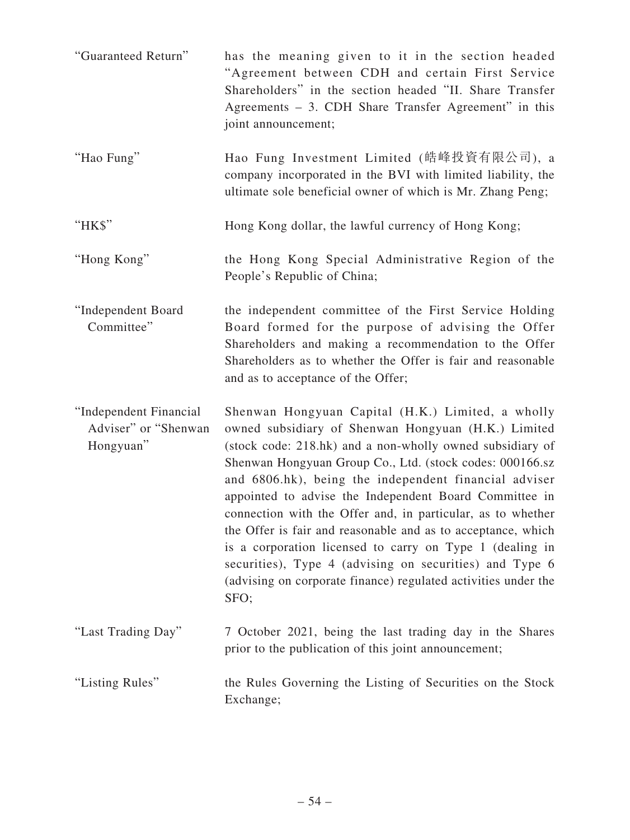| "Guaranteed Return"                                         | has the meaning given to it in the section headed<br>"Agreement between CDH and certain First Service<br>Shareholders" in the section headed "II. Share Transfer<br>Agreements – 3. CDH Share Transfer Agreement" in this<br>joint announcement;                                                                                                                                                                                                                                                                                                                                                                                                                                     |
|-------------------------------------------------------------|--------------------------------------------------------------------------------------------------------------------------------------------------------------------------------------------------------------------------------------------------------------------------------------------------------------------------------------------------------------------------------------------------------------------------------------------------------------------------------------------------------------------------------------------------------------------------------------------------------------------------------------------------------------------------------------|
| "Hao Fung"                                                  | Hao Fung Investment Limited (皓峰投資有限公司), a<br>company incorporated in the BVI with limited liability, the<br>ultimate sole beneficial owner of which is Mr. Zhang Peng;                                                                                                                                                                                                                                                                                                                                                                                                                                                                                                               |
| "HK\$"                                                      | Hong Kong dollar, the lawful currency of Hong Kong;                                                                                                                                                                                                                                                                                                                                                                                                                                                                                                                                                                                                                                  |
| "Hong Kong"                                                 | the Hong Kong Special Administrative Region of the<br>People's Republic of China;                                                                                                                                                                                                                                                                                                                                                                                                                                                                                                                                                                                                    |
| "Independent Board<br>Committee"                            | the independent committee of the First Service Holding<br>Board formed for the purpose of advising the Offer<br>Shareholders and making a recommendation to the Offer<br>Shareholders as to whether the Offer is fair and reasonable<br>and as to acceptance of the Offer;                                                                                                                                                                                                                                                                                                                                                                                                           |
| "Independent Financial<br>Adviser" or "Shenwan<br>Hongyuan" | Shenwan Hongyuan Capital (H.K.) Limited, a wholly<br>owned subsidiary of Shenwan Hongyuan (H.K.) Limited<br>(stock code: 218.hk) and a non-wholly owned subsidiary of<br>Shenwan Hongyuan Group Co., Ltd. (stock codes: 000166.sz<br>and 6806.hk), being the independent financial adviser<br>appointed to advise the Independent Board Committee in<br>connection with the Offer and, in particular, as to whether<br>the Offer is fair and reasonable and as to acceptance, which<br>is a corporation licensed to carry on Type 1 (dealing in<br>securities), Type 4 (advising on securities) and Type 6<br>(advising on corporate finance) regulated activities under the<br>SFO; |
| "Last Trading Day"                                          | 7 October 2021, being the last trading day in the Shares<br>prior to the publication of this joint announcement;                                                                                                                                                                                                                                                                                                                                                                                                                                                                                                                                                                     |
| "Listing Rules"                                             | the Rules Governing the Listing of Securities on the Stock<br>Exchange;                                                                                                                                                                                                                                                                                                                                                                                                                                                                                                                                                                                                              |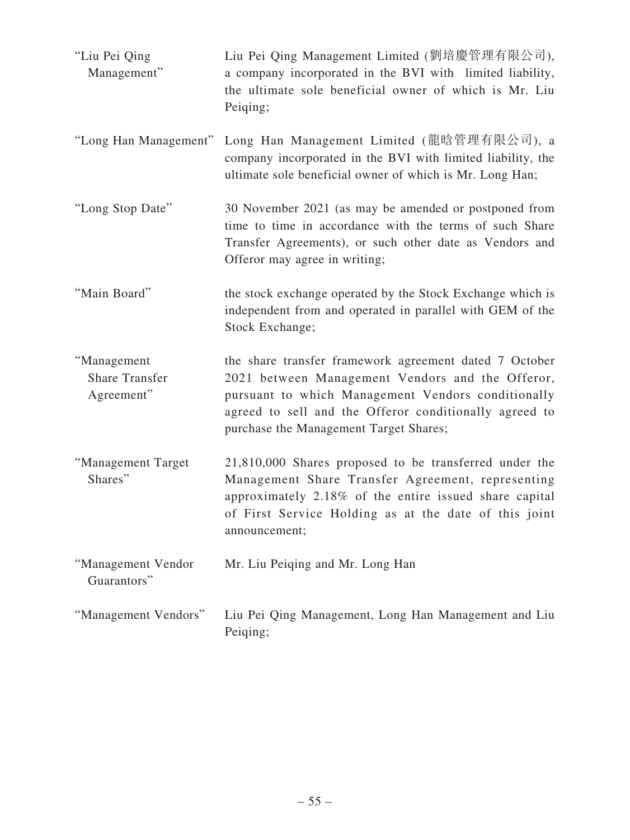| "Liu Pei Qing<br>Management"                       | Liu Pei Qing Management Limited (劉培慶管理有限公司),<br>a company incorporated in the BVI with limited liability,<br>the ultimate sole beneficial owner of which is Mr. Liu<br>Peiqing;                                                                                      |
|----------------------------------------------------|----------------------------------------------------------------------------------------------------------------------------------------------------------------------------------------------------------------------------------------------------------------------|
| "Long Han Management"                              | Long Han Management Limited (龍晗管理有限公司), a<br>company incorporated in the BVI with limited liability, the<br>ultimate sole beneficial owner of which is Mr. Long Han;                                                                                                 |
| "Long Stop Date"                                   | 30 November 2021 (as may be amended or postponed from<br>time to time in accordance with the terms of such Share<br>Transfer Agreements), or such other date as Vendors and<br>Offeror may agree in writing;                                                         |
| "Main Board"                                       | the stock exchange operated by the Stock Exchange which is<br>independent from and operated in parallel with GEM of the<br>Stock Exchange;                                                                                                                           |
| "Management<br><b>Share Transfer</b><br>Agreement" | the share transfer framework agreement dated 7 October<br>2021 between Management Vendors and the Offeror,<br>pursuant to which Management Vendors conditionally<br>agreed to sell and the Offeror conditionally agreed to<br>purchase the Management Target Shares; |
| "Management Target<br>Shares"                      | 21,810,000 Shares proposed to be transferred under the<br>Management Share Transfer Agreement, representing<br>approximately 2.18% of the entire issued share capital<br>of First Service Holding as at the date of this joint<br>announcement;                      |
| "Management Vendor<br>Guarantors"                  | Mr. Liu Peiqing and Mr. Long Han                                                                                                                                                                                                                                     |
| "Management Vendors"                               | Liu Pei Qing Management, Long Han Management and Liu<br>Peiqing;                                                                                                                                                                                                     |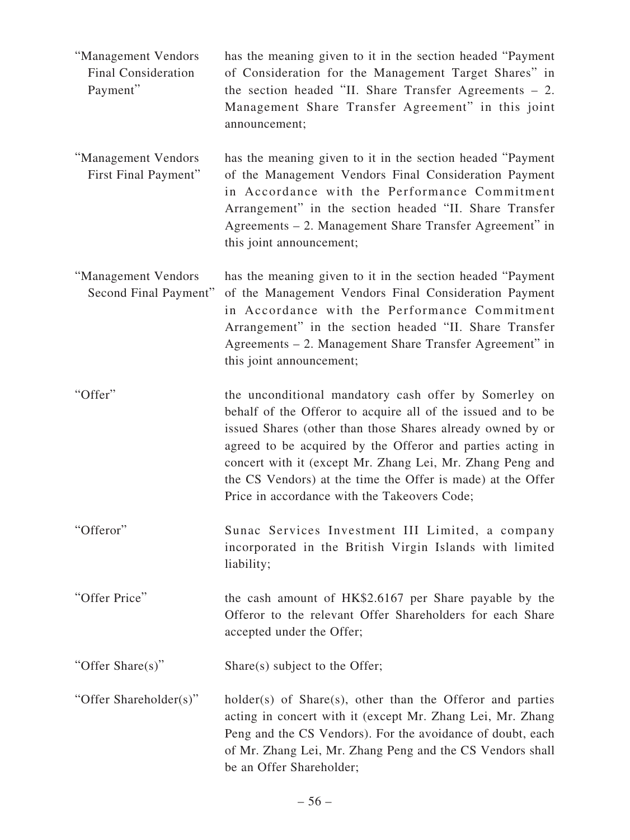- "Management Vendors Final Consideration Payment" has the meaning given to it in the section headed "Payment of Consideration for the Management Target Shares" in the section headed "II. Share Transfer Agreements – 2. Management Share Transfer Agreement" in this joint announcement;
- "Management Vendors First Final Payment" has the meaning given to it in the section headed "Payment of the Management Vendors Final Consideration Payment in Accordance with the Performance Commitment Arrangement" in the section headed "II. Share Transfer Agreements – 2. Management Share Transfer Agreement" in this joint announcement;
- "Management Vendors Second Final Payment" has the meaning given to it in the section headed "Payment of the Management Vendors Final Consideration Payment in Accordance with the Performance Commitment Arrangement" in the section headed "II. Share Transfer Agreements – 2. Management Share Transfer Agreement" in this joint announcement;
- "Offer" the unconditional mandatory cash offer by Somerley on behalf of the Offeror to acquire all of the issued and to be issued Shares (other than those Shares already owned by or agreed to be acquired by the Offeror and parties acting in concert with it (except Mr. Zhang Lei, Mr. Zhang Peng and the CS Vendors) at the time the Offer is made) at the Offer Price in accordance with the Takeovers Code;
- "Offeror" Sunac Services Investment III Limited, a company incorporated in the British Virgin Islands with limited liability;
- "Offer Price" the cash amount of HK\$2.6167 per Share payable by the Offeror to the relevant Offer Shareholders for each Share accepted under the Offer;

"Offer Share(s)" Share(s) subject to the Offer;

"Offer Shareholder(s)" holder(s) of Share(s), other than the Offeror and parties acting in concert with it (except Mr. Zhang Lei, Mr. Zhang Peng and the CS Vendors). For the avoidance of doubt, each of Mr. Zhang Lei, Mr. Zhang Peng and the CS Vendors shall be an Offer Shareholder;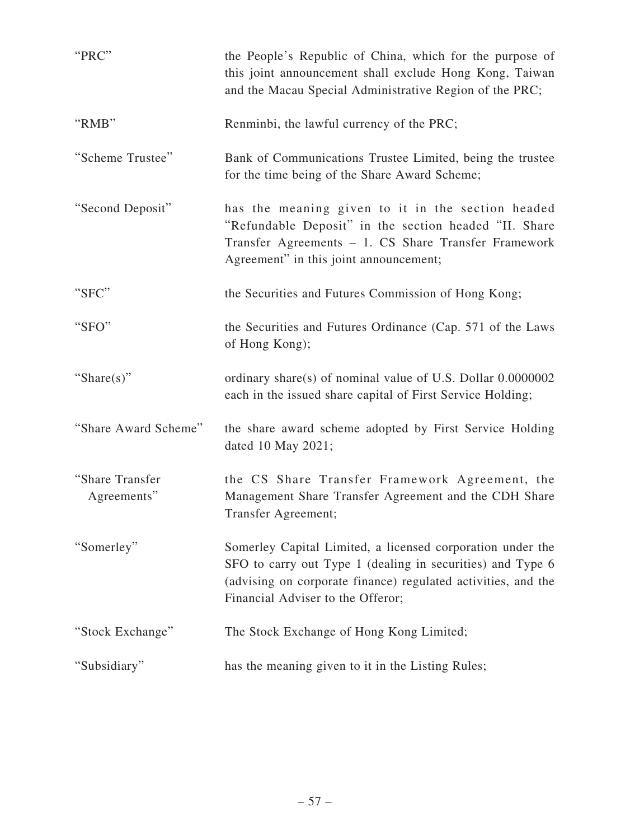| "PRC"                          | the People's Republic of China, which for the purpose of<br>this joint announcement shall exclude Hong Kong, Taiwan<br>and the Macau Special Administrative Region of the PRC;                                                 |
|--------------------------------|--------------------------------------------------------------------------------------------------------------------------------------------------------------------------------------------------------------------------------|
| "RMB"                          | Renminbi, the lawful currency of the PRC;                                                                                                                                                                                      |
| "Scheme Trustee"               | Bank of Communications Trustee Limited, being the trustee<br>for the time being of the Share Award Scheme;                                                                                                                     |
| "Second Deposit"               | has the meaning given to it in the section headed<br>"Refundable Deposit" in the section headed "II. Share<br>Transfer Agreements - 1. CS Share Transfer Framework<br>Agreement" in this joint announcement;                   |
| "SFC"                          | the Securities and Futures Commission of Hong Kong;                                                                                                                                                                            |
| "SFO"                          | the Securities and Futures Ordinance (Cap. 571 of the Laws<br>of Hong Kong);                                                                                                                                                   |
| "Share(s)"                     | ordinary share(s) of nominal value of U.S. Dollar 0.0000002<br>each in the issued share capital of First Service Holding;                                                                                                      |
| "Share Award Scheme"           | the share award scheme adopted by First Service Holding<br>dated 10 May 2021;                                                                                                                                                  |
| "Share Transfer<br>Agreements" | the CS Share Transfer Framework Agreement, the<br>Management Share Transfer Agreement and the CDH Share<br>Transfer Agreement;                                                                                                 |
| "Somerley"                     | Somerley Capital Limited, a licensed corporation under the<br>SFO to carry out Type 1 (dealing in securities) and Type 6<br>(advising on corporate finance) regulated activities, and the<br>Financial Adviser to the Offeror; |
| "Stock Exchange"               | The Stock Exchange of Hong Kong Limited;                                                                                                                                                                                       |
| "Subsidiary"                   | has the meaning given to it in the Listing Rules;                                                                                                                                                                              |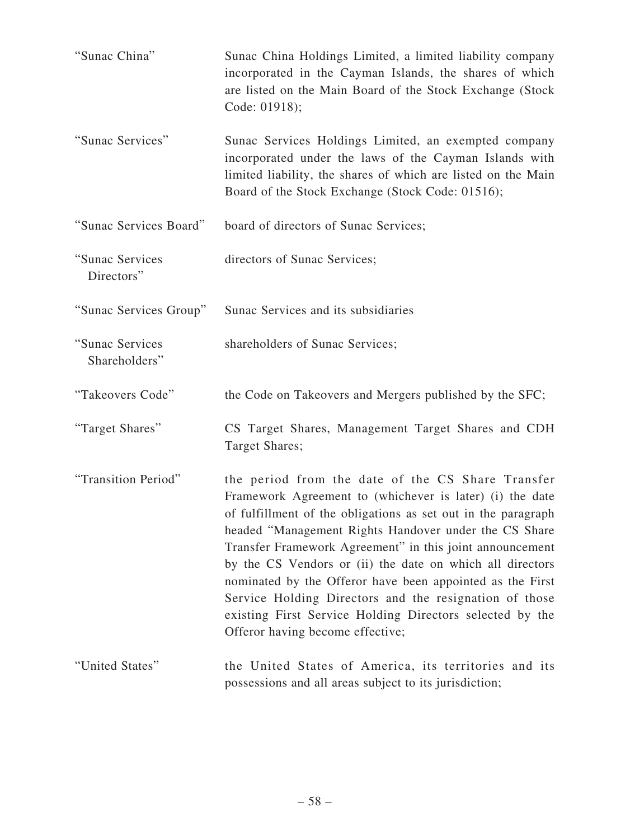| "Sunac China"                    | Sunac China Holdings Limited, a limited liability company<br>incorporated in the Cayman Islands, the shares of which<br>are listed on the Main Board of the Stock Exchange (Stock<br>Code: 01918);                                                                                                                                                                                                                                                                                                                                                                                      |
|----------------------------------|-----------------------------------------------------------------------------------------------------------------------------------------------------------------------------------------------------------------------------------------------------------------------------------------------------------------------------------------------------------------------------------------------------------------------------------------------------------------------------------------------------------------------------------------------------------------------------------------|
| "Sunac Services"                 | Sunac Services Holdings Limited, an exempted company<br>incorporated under the laws of the Cayman Islands with<br>limited liability, the shares of which are listed on the Main<br>Board of the Stock Exchange (Stock Code: 01516);                                                                                                                                                                                                                                                                                                                                                     |
| "Sunac Services Board"           | board of directors of Sunac Services;                                                                                                                                                                                                                                                                                                                                                                                                                                                                                                                                                   |
| "Sunac Services<br>Directors"    | directors of Sunac Services;                                                                                                                                                                                                                                                                                                                                                                                                                                                                                                                                                            |
| "Sunac Services Group"           | Sunac Services and its subsidiaries                                                                                                                                                                                                                                                                                                                                                                                                                                                                                                                                                     |
| "Sunac Services<br>Shareholders" | shareholders of Sunac Services;                                                                                                                                                                                                                                                                                                                                                                                                                                                                                                                                                         |
| "Takeovers Code"                 | the Code on Takeovers and Mergers published by the SFC;                                                                                                                                                                                                                                                                                                                                                                                                                                                                                                                                 |
| "Target Shares"                  | CS Target Shares, Management Target Shares and CDH<br>Target Shares;                                                                                                                                                                                                                                                                                                                                                                                                                                                                                                                    |
| "Transition Period"              | the period from the date of the CS Share Transfer<br>Framework Agreement to (whichever is later) (i) the date<br>of fulfillment of the obligations as set out in the paragraph<br>headed "Management Rights Handover under the CS Share<br>Transfer Framework Agreement" in this joint announcement<br>by the CS Vendors or (ii) the date on which all directors<br>nominated by the Offeror have been appointed as the First<br>Service Holding Directors and the resignation of those<br>existing First Service Holding Directors selected by the<br>Offeror having become effective; |
| "United States"                  |                                                                                                                                                                                                                                                                                                                                                                                                                                                                                                                                                                                         |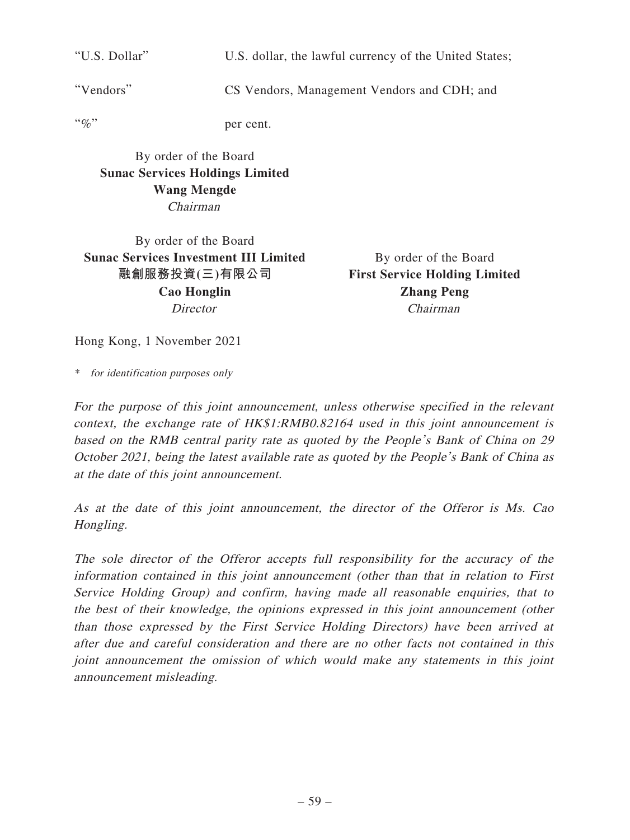"U.S. Dollar" U.S. dollar, the lawful currency of the United States;

"Vendors" CS Vendors, Management Vendors and CDH; and

"%" per cent.

By order of the Board **Sunac Services Holdings Limited Wang Mengde** Chairman

By order of the Board **Sunac Services Investment III Limited 融創服務投資(三)有限公司 Cao Honglin Director** 

By order of the Board **First Service Holding Limited Zhang Peng** Chairman

Hong Kong, 1 November 2021

\* for identification purposes only

For the purpose of this joint announcement, unless otherwise specified in the relevant context, the exchange rate of HK\$1:RMB0.82164 used in this joint announcement is based on the RMB central parity rate as quoted by the People's Bank of China on 29 October 2021, being the latest available rate as quoted by the People's Bank of China as at the date of this joint announcement.

As at the date of this joint announcement, the director of the Offeror is Ms. Cao Hongling.

The sole director of the Offeror accepts full responsibility for the accuracy of the information contained in this joint announcement (other than that in relation to First Service Holding Group) and confirm, having made all reasonable enquiries, that to the best of their knowledge, the opinions expressed in this joint announcement (other than those expressed by the First Service Holding Directors) have been arrived at after due and careful consideration and there are no other facts not contained in this joint announcement the omission of which would make any statements in this joint announcement misleading.